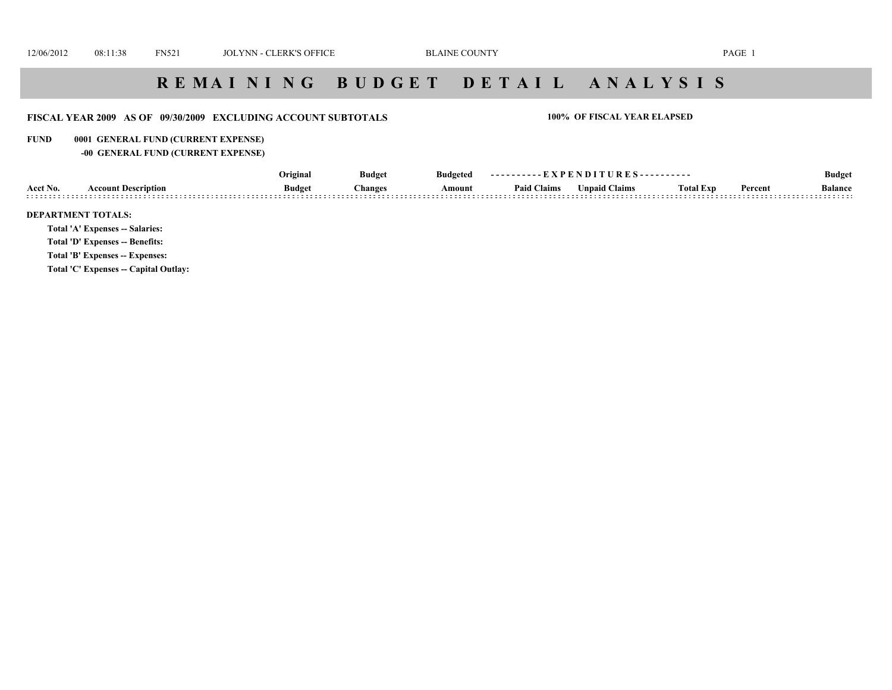#### **FISCAL YEAR 2009 AS OF 09/30/2009 EXCLUDING ACCOUNT SUBTOTALS 100% OF FISCAL YEAR ELAPSED**

#### **FUND 0001 GENERAL FUND (CURRENT EXPENSE)**

**-00 GENERAL FUND (CURRENT EXPENSE)**

|                      | Original                         | <b>Budget</b> | <b>Budgeted</b> | TXPENDI<br>' R E<br>. 6. .<br>---------- |                           |            |         | <b>Budget</b>       |
|----------------------|----------------------------------|---------------|-----------------|------------------------------------------|---------------------------|------------|---------|---------------------|
| Acct No<br>ላ ሶሶ<br>. | Des<br><b>Budget</b><br>>rintion | hange.        | Amount          | <sup>•</sup> Claims<br>Paid v            | <b>Claims</b><br>' ∣nnaid | ''otal Ext | Percent | <b>Balance</b><br>. |

#### **DEPARTMENT TOTALS:**

**Total 'A' Expenses -- Salaries:**

**Total 'D' Expenses -- Benefits:**

**Total 'B' Expenses -- Expenses:**

**Total 'C' Expenses -- Capital Outlay:**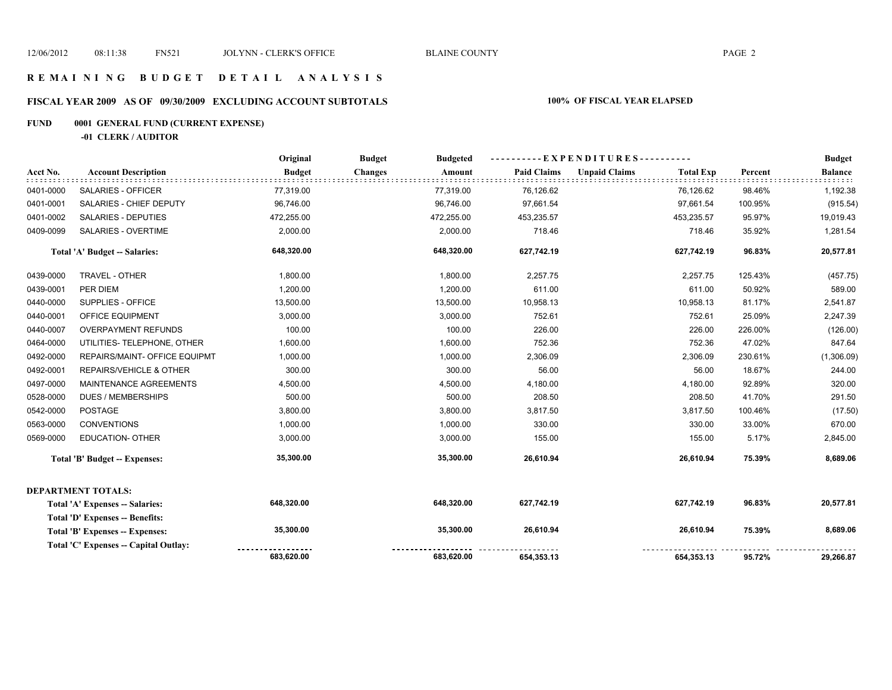# **FISCAL YEAR 2009 AS OF 09/30/2009 EXCLUDING ACCOUNT SUBTOTALS 100% OF FISCAL YEAR ELAPSED**

# **FUND 0001 GENERAL FUND (CURRENT EXPENSE)**

**-01 CLERK / AUDITOR**

|           |                                       | Original      | <b>Budget</b><br><b>Budgeted</b> |                    |                                          |         | <b>Budget</b>  |
|-----------|---------------------------------------|---------------|----------------------------------|--------------------|------------------------------------------|---------|----------------|
| Acct No.  | <b>Account Description</b>            | <b>Budget</b> | <b>Changes</b><br>Amount         | <b>Paid Claims</b> | <b>Unpaid Claims</b><br><b>Total Exp</b> | Percent | <b>Balance</b> |
| 0401-0000 | SALARIES - OFFICER                    | 77,319.00     | 77,319.00                        | 76,126.62          | 76,126.62                                | 98.46%  | 1,192.38       |
| 0401-0001 | SALARIES - CHIEF DEPUTY               | 96,746.00     | 96,746.00                        | 97,661.54          | 97,661.54                                | 100.95% | (915.54)       |
| 0401-0002 | <b>SALARIES - DEPUTIES</b>            | 472,255.00    | 472,255.00                       | 453,235.57         | 453,235.57                               | 95.97%  | 19,019.43      |
| 0409-0099 | <b>SALARIES - OVERTIME</b>            | 2,000.00      | 2,000.00                         | 718.46             | 718.46                                   | 35.92%  | 1,281.54       |
|           | Total 'A' Budget -- Salaries:         | 648,320.00    | 648,320.00                       | 627,742.19         | 627,742.19                               | 96.83%  | 20,577.81      |
| 0439-0000 | <b>TRAVEL - OTHER</b>                 | 1,800.00      | 1,800.00                         | 2,257.75           | 2,257.75                                 | 125.43% | (457.75)       |
| 0439-0001 | PER DIEM                              | 1,200.00      | 1,200.00                         | 611.00             | 611.00                                   | 50.92%  | 589.00         |
| 0440-0000 | SUPPLIES - OFFICE                     | 13,500.00     | 13,500.00                        | 10,958.13          | 10,958.13                                | 81.17%  | 2,541.87       |
| 0440-0001 | OFFICE EQUIPMENT                      | 3,000.00      | 3,000.00                         | 752.61             | 752.61                                   | 25.09%  | 2,247.39       |
| 0440-0007 | <b>OVERPAYMENT REFUNDS</b>            | 100.00        | 100.00                           | 226.00             | 226.00                                   | 226.00% | (126.00)       |
| 0464-0000 | UTILITIES- TELEPHONE, OTHER           | 1,600.00      | 1,600.00                         | 752.36             | 752.36                                   | 47.02%  | 847.64         |
| 0492-0000 | REPAIRS/MAINT- OFFICE EQUIPMT         | 1,000.00      | 1,000.00                         | 2,306.09           | 2,306.09                                 | 230.61% | (1,306.09)     |
| 0492-0001 | <b>REPAIRS/VEHICLE &amp; OTHER</b>    | 300.00        | 300.00                           | 56.00              | 56.00                                    | 18.67%  | 244.00         |
| 0497-0000 | MAINTENANCE AGREEMENTS                | 4,500.00      | 4,500.00                         | 4,180.00           | 4,180.00                                 | 92.89%  | 320.00         |
| 0528-0000 | <b>DUES / MEMBERSHIPS</b>             | 500.00        | 500.00                           | 208.50             | 208.50                                   | 41.70%  | 291.50         |
| 0542-0000 | <b>POSTAGE</b>                        | 3,800.00      | 3,800.00                         | 3,817.50           | 3,817.50                                 | 100.46% | (17.50)        |
| 0563-0000 | <b>CONVENTIONS</b>                    | 1,000.00      | 1,000.00                         | 330.00             | 330.00                                   | 33.00%  | 670.00         |
| 0569-0000 | <b>EDUCATION- OTHER</b>               | 3,000.00      | 3,000.00                         | 155.00             | 155.00                                   | 5.17%   | 2,845.00       |
|           | <b>Total 'B' Budget -- Expenses:</b>  | 35,300.00     | 35,300.00                        | 26,610.94          | 26,610.94                                | 75.39%  | 8,689.06       |
|           | DEPARTMENT TOTALS:                    |               |                                  |                    |                                          |         |                |
|           | Total 'A' Expenses -- Salaries:       | 648,320.00    | 648,320.00                       | 627,742.19         | 627,742.19                               | 96.83%  | 20,577.81      |
|           | Total 'D' Expenses -- Benefits:       |               |                                  |                    |                                          |         |                |
|           | Total 'B' Expenses -- Expenses:       | 35,300.00     | 35,300.00                        | 26,610.94          | 26,610.94                                | 75.39%  | 8,689.06       |
|           | Total 'C' Expenses -- Capital Outlay: |               |                                  |                    |                                          |         |                |
|           |                                       | 683.620.00    | 683,620.00                       | 654,353.13         | 654,353.13                               | 95.72%  | 29,266.87      |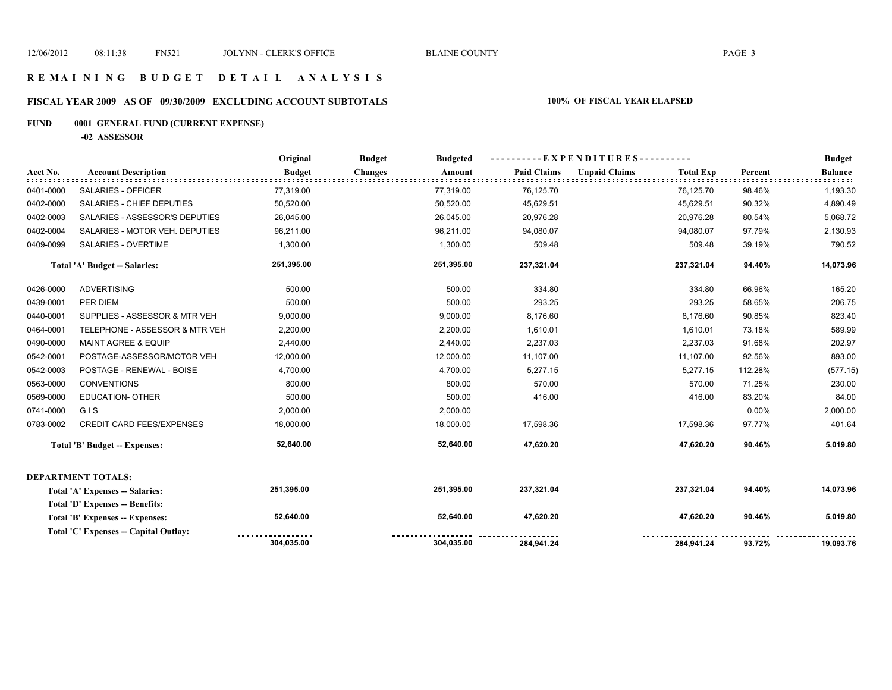#### **R E M A I N I N G B U D G E T D E T A I L A N A L Y S I S**

# **FISCAL YEAR 2009 AS OF 09/30/2009 EXCLUDING ACCOUNT SUBTOTALS 100% OF FISCAL YEAR ELAPSED**

# **FUND 0001 GENERAL FUND (CURRENT EXPENSE)**

**-02 ASSESSOR**

|           |                                       | Original      | <b>Budget</b><br><b>Budgeted</b> | $-EXPENDITURES$ --------- |                                          | <b>Budget</b> |                |
|-----------|---------------------------------------|---------------|----------------------------------|---------------------------|------------------------------------------|---------------|----------------|
| Acct No.  | <b>Account Description</b>            | <b>Budget</b> | <b>Changes</b><br>Amount         | <b>Paid Claims</b>        | <b>Unpaid Claims</b><br><b>Total Exp</b> | Percent       | <b>Balance</b> |
| 0401-0000 | SALARIES - OFFICER                    | 77,319.00     | 77,319.00                        | 76,125.70                 | 76,125.70                                | 98.46%        | 1,193.30       |
| 0402-0000 | SALARIES - CHIEF DEPUTIES             | 50,520.00     | 50,520.00                        | 45,629.51                 | 45,629.51                                | 90.32%        | 4,890.49       |
| 0402-0003 | SALARIES - ASSESSOR'S DEPUTIES        | 26,045.00     | 26,045.00                        | 20,976.28                 | 20,976.28                                | 80.54%        | 5,068.72       |
| 0402-0004 | SALARIES - MOTOR VEH. DEPUTIES        | 96,211.00     | 96,211.00                        | 94,080.07                 | 94,080.07                                | 97.79%        | 2,130.93       |
| 0409-0099 | SALARIES - OVERTIME                   | 1,300.00      | 1,300.00                         | 509.48                    | 509.48                                   | 39.19%        | 790.52         |
|           | Total 'A' Budget -- Salaries:         | 251,395.00    | 251,395.00                       | 237,321.04                | 237,321.04                               | 94.40%        | 14,073.96      |
| 0426-0000 | <b>ADVERTISING</b>                    | 500.00        | 500.00                           | 334.80                    | 334.80                                   | 66.96%        | 165.20         |
| 0439-0001 | PER DIEM                              | 500.00        | 500.00                           | 293.25                    | 293.25                                   | 58.65%        | 206.75         |
| 0440-0001 | SUPPLIES - ASSESSOR & MTR VEH         | 9,000.00      | 9,000.00                         | 8,176.60                  | 8,176.60                                 | 90.85%        | 823.40         |
| 0464-0001 | TELEPHONE - ASSESSOR & MTR VEH        | 2,200.00      | 2,200.00                         | 1,610.01                  | 1,610.01                                 | 73.18%        | 589.99         |
| 0490-0000 | <b>MAINT AGREE &amp; EQUIP</b>        | 2,440.00      | 2,440.00                         | 2,237.03                  | 2,237.03                                 | 91.68%        | 202.97         |
| 0542-0001 | POSTAGE-ASSESSOR/MOTOR VEH            | 12,000.00     | 12,000.00                        | 11,107.00                 | 11,107.00                                | 92.56%        | 893.00         |
| 0542-0003 | POSTAGE - RENEWAL - BOISE             | 4,700.00      | 4,700.00                         | 5,277.15                  | 5,277.15                                 | 112.28%       | (577.15)       |
| 0563-0000 | <b>CONVENTIONS</b>                    | 800.00        | 800.00                           | 570.00                    | 570.00                                   | 71.25%        | 230.00         |
| 0569-0000 | <b>EDUCATION- OTHER</b>               | 500.00        | 500.00                           | 416.00                    | 416.00                                   | 83.20%        | 84.00          |
| 0741-0000 | GIS                                   | 2,000.00      | 2,000.00                         |                           |                                          | 0.00%         | 2,000.00       |
| 0783-0002 | <b>CREDIT CARD FEES/EXPENSES</b>      | 18,000.00     | 18,000.00                        | 17,598.36                 | 17,598.36                                | 97.77%        | 401.64         |
|           | <b>Total 'B' Budget -- Expenses:</b>  | 52,640.00     | 52,640.00                        | 47,620.20                 | 47,620.20                                | 90.46%        | 5,019.80       |
|           | DEPARTMENT TOTALS:                    |               |                                  |                           |                                          |               |                |
|           | Total 'A' Expenses -- Salaries:       | 251,395.00    | 251,395.00                       | 237,321.04                | 237,321.04                               | 94.40%        | 14,073.96      |
|           | Total 'D' Expenses -- Benefits:       |               |                                  |                           |                                          |               |                |
|           | Total 'B' Expenses -- Expenses:       | 52,640.00     | 52,640.00                        | 47,620.20                 | 47,620.20                                | 90.46%        | 5,019.80       |
|           | Total 'C' Expenses -- Capital Outlay: |               |                                  |                           |                                          |               |                |
|           |                                       | 304,035.00    | 304,035.00                       | 284,941.24                | 284,941.24                               | 93.72%        | 19,093.76      |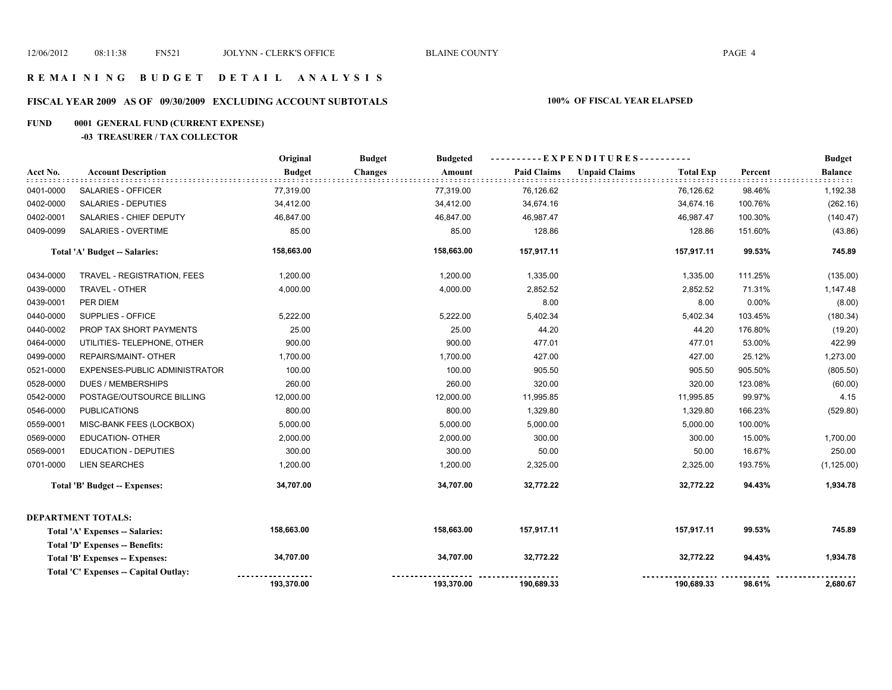# **FISCAL YEAR 2009 AS OF 09/30/2009 EXCLUDING ACCOUNT SUBTOTALS 100% OF FISCAL YEAR ELAPSED**

#### **FUND 0001 GENERAL FUND (CURRENT EXPENSE)**

#### **-03 TREASURER / TAX COLLECTOR**

|           |                                        | Original      | <b>Budget</b><br><b>Budgeted</b> |                    | ----------EXPENDITURES----------         |         | <b>Budget</b>          |
|-----------|----------------------------------------|---------------|----------------------------------|--------------------|------------------------------------------|---------|------------------------|
| Acct No.  | <b>Account Description</b>             | <b>Budget</b> | <b>Changes</b><br>Amount         | <b>Paid Claims</b> | <b>Unpaid Claims</b><br><b>Total Exp</b> | Percent | <b>Balance</b><br>:::: |
| 0401-0000 | SALARIES - OFFICER                     | 77,319.00     | 77,319.00                        | 76,126.62          | 76,126.62                                | 98.46%  | 1,192.38               |
| 0402-0000 | <b>SALARIES - DEPUTIES</b>             | 34,412.00     | 34,412.00                        | 34,674.16          | 34,674.16                                | 100.76% | (262.16)               |
| 0402-0001 | SALARIES - CHIEF DEPUTY                | 46,847.00     | 46,847.00                        | 46,987.47          | 46,987.47                                | 100.30% | (140.47)               |
| 0409-0099 | <b>SALARIES - OVERTIME</b>             | 85.00         | 85.00                            | 128.86             | 128.86                                   | 151.60% | (43.86)                |
|           | Total 'A' Budget -- Salaries:          | 158,663.00    | 158,663.00                       | 157,917.11         | 157,917.11                               | 99.53%  | 745.89                 |
| 0434-0000 | TRAVEL - REGISTRATION, FEES            | 1,200.00      | 1,200.00                         | 1,335.00           | 1,335.00                                 | 111.25% | (135.00)               |
| 0439-0000 | TRAVEL - OTHER                         | 4,000.00      | 4,000.00                         | 2,852.52           | 2,852.52                                 | 71.31%  | 1,147.48               |
| 0439-0001 | PER DIEM                               |               |                                  | 8.00               | 8.00                                     | 0.00%   | (8.00)                 |
| 0440-0000 | SUPPLIES - OFFICE                      | 5,222.00      | 5,222.00                         | 5,402.34           | 5,402.34                                 | 103.45% | (180.34)               |
| 0440-0002 | PROP TAX SHORT PAYMENTS                | 25.00         | 25.00                            | 44.20              | 44.20                                    | 176.80% | (19.20)                |
| 0464-0000 | UTILITIES- TELEPHONE, OTHER            | 900.00        | 900.00                           | 477.01             | 477.01                                   | 53.00%  | 422.99                 |
| 0499-0000 | REPAIRS/MAINT- OTHER                   | 1,700.00      | 1,700.00                         | 427.00             | 427.00                                   | 25.12%  | 1,273.00               |
| 0521-0000 | EXPENSES-PUBLIC ADMINISTRATOR          | 100.00        | 100.00                           | 905.50             | 905.50                                   | 905.50% | (805.50)               |
| 0528-0000 | <b>DUES / MEMBERSHIPS</b>              | 260.00        | 260.00                           | 320.00             | 320.00                                   | 123.08% | (60.00)                |
| 0542-0000 | POSTAGE/OUTSOURCE BILLING              | 12,000.00     | 12,000.00                        | 11,995.85          | 11,995.85                                | 99.97%  | 4.15                   |
| 0546-0000 | <b>PUBLICATIONS</b>                    | 800.00        | 800.00                           | 1,329.80           | 1,329.80                                 | 166.23% | (529.80)               |
| 0559-0001 | MISC-BANK FEES (LOCKBOX)               | 5,000.00      | 5,000.00                         | 5,000.00           | 5,000.00                                 | 100.00% |                        |
| 0569-0000 | <b>EDUCATION- OTHER</b>                | 2,000.00      | 2,000.00                         | 300.00             | 300.00                                   | 15.00%  | 1,700.00               |
| 0569-0001 | <b>EDUCATION - DEPUTIES</b>            | 300.00        | 300.00                           | 50.00              | 50.00                                    | 16.67%  | 250.00                 |
| 0701-0000 | <b>LIEN SEARCHES</b>                   | 1,200.00      | 1,200.00                         | 2,325.00           | 2,325.00                                 | 193.75% | (1, 125.00)            |
|           | <b>Total 'B' Budget -- Expenses:</b>   | 34,707.00     | 34,707.00                        | 32,772.22          | 32,772.22                                | 94.43%  | 1,934.78               |
|           | DEPARTMENT TOTALS:                     |               |                                  |                    |                                          |         |                        |
|           | Total 'A' Expenses -- Salaries:        | 158,663.00    | 158,663.00                       | 157,917.11         | 157,917.11                               | 99.53%  | 745.89                 |
|           | <b>Total 'D' Expenses -- Benefits:</b> |               |                                  |                    |                                          |         |                        |
|           | Total 'B' Expenses -- Expenses:        | 34,707.00     | 34,707.00                        | 32,772.22          | 32,772.22                                | 94.43%  | 1,934.78               |
|           | Total 'C' Expenses -- Capital Outlay:  |               |                                  |                    |                                          |         |                        |
|           |                                        | 193,370.00    | 193,370.00                       | 190,689.33         | 190,689.33                               | 98.61%  | 2,680.67               |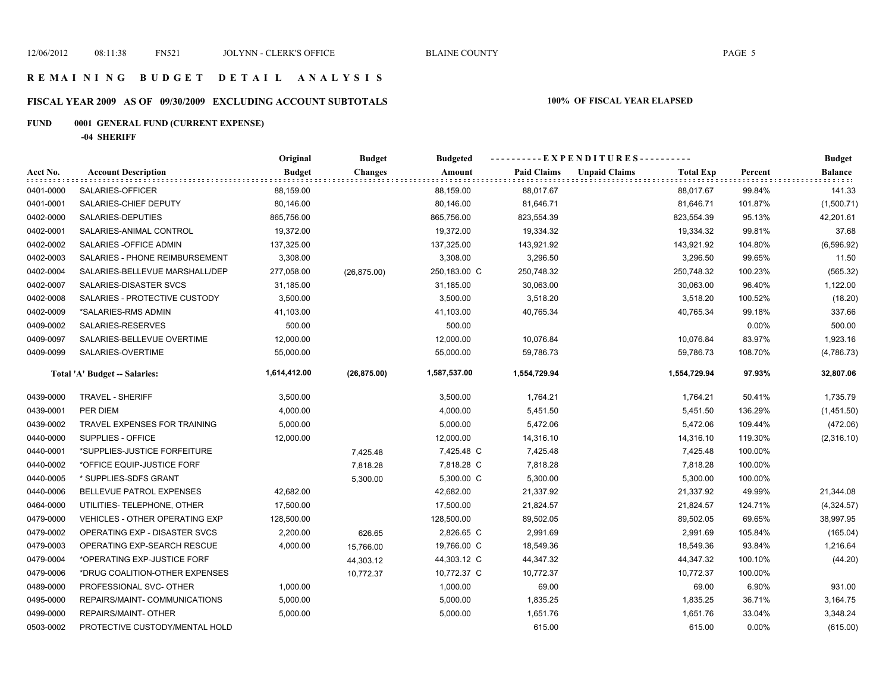# **FISCAL YEAR 2009 AS OF 09/30/2009 EXCLUDING ACCOUNT SUBTOTALS 100% OF FISCAL YEAR ELAPSED**

# **FUND 0001 GENERAL FUND (CURRENT EXPENSE)**

**-04 SHERIFF**

|           |                                       | Original      | <b>Budget</b> | <b>Budgeted</b> | ----------EXPENDITURES---------- |                      |                  | <b>Budget</b> |                |
|-----------|---------------------------------------|---------------|---------------|-----------------|----------------------------------|----------------------|------------------|---------------|----------------|
| Acct No.  | <b>Account Description</b>            | <b>Budget</b> | Changes       | Amount          | <b>Paid Claims</b>               | <b>Unpaid Claims</b> | <b>Total Exp</b> | Percent       | <b>Balance</b> |
| 0401-0000 | SALARIES-OFFICER                      | 88,159.00     |               | 88,159.00       | 88,017.67                        |                      | 88,017.67        | 99.84%        | 141.33         |
| 0401-0001 | SALARIES-CHIEF DEPUTY                 | 80,146.00     |               | 80,146.00       | 81,646.71                        |                      | 81,646.71        | 101.87%       | (1,500.71)     |
| 0402-0000 | SALARIES-DEPUTIES                     | 865,756.00    |               | 865,756.00      | 823,554.39                       |                      | 823,554.39       | 95.13%        | 42,201.61      |
| 0402-0001 | SALARIES-ANIMAL CONTROL               | 19,372.00     |               | 19,372.00       | 19,334.32                        |                      | 19,334.32        | 99.81%        | 37.68          |
| 0402-0002 | SALARIES - OF FICE ADMIN              | 137,325.00    |               | 137,325.00      | 143,921.92                       |                      | 143,921.92       | 104.80%       | (6,596.92)     |
| 0402-0003 | SALARIES - PHONE REIMBURSEMENT        | 3,308.00      |               | 3,308.00        | 3,296.50                         |                      | 3,296.50         | 99.65%        | 11.50          |
| 0402-0004 | SALARIES-BELLEVUE MARSHALL/DEP        | 277,058.00    | (26, 875.00)  | 250,183.00 C    | 250,748.32                       |                      | 250,748.32       | 100.23%       | (565.32)       |
| 0402-0007 | SALARIES-DISASTER SVCS                | 31,185.00     |               | 31,185.00       | 30,063.00                        |                      | 30,063.00        | 96.40%        | 1,122.00       |
| 0402-0008 | SALARIES - PROTECTIVE CUSTODY         | 3,500.00      |               | 3,500.00        | 3,518.20                         |                      | 3,518.20         | 100.52%       | (18.20)        |
| 0402-0009 | *SALARIES-RMS ADMIN                   | 41,103.00     |               | 41,103.00       | 40,765.34                        |                      | 40,765.34        | 99.18%        | 337.66         |
| 0409-0002 | SALARIES-RESERVES                     | 500.00        |               | 500.00          |                                  |                      |                  | $0.00\%$      | 500.00         |
| 0409-0097 | SALARIES-BELLEVUE OVERTIME            | 12,000.00     |               | 12,000.00       | 10,076.84                        |                      | 10,076.84        | 83.97%        | 1,923.16       |
| 0409-0099 | SALARIES-OVERTIME                     | 55,000.00     |               | 55,000.00       | 59,786.73                        |                      | 59,786.73        | 108.70%       | (4,786.73)     |
|           | Total 'A' Budget -- Salaries:         | 1,614,412.00  | (26, 875.00)  | 1,587,537.00    | 1,554,729.94                     |                      | 1,554,729.94     | 97.93%        | 32,807.06      |
| 0439-0000 | <b>TRAVEL - SHERIFF</b>               | 3,500.00      |               | 3,500.00        | 1,764.21                         |                      | 1,764.21         | 50.41%        | 1,735.79       |
| 0439-0001 | PER DIEM                              | 4,000.00      |               | 4,000.00        | 5,451.50                         |                      | 5,451.50         | 136.29%       | (1,451.50)     |
| 0439-0002 | TRAVEL EXPENSES FOR TRAINING          | 5,000.00      |               | 5,000.00        | 5,472.06                         |                      | 5,472.06         | 109.44%       | (472.06)       |
| 0440-0000 | SUPPLIES - OFFICE                     | 12,000.00     |               | 12,000.00       | 14,316.10                        |                      | 14,316.10        | 119.30%       | (2,316.10)     |
| 0440-0001 | *SUPPLIES-JUSTICE FORFEITURE          |               | 7,425.48      | 7,425.48 C      | 7,425.48                         |                      | 7,425.48         | 100.00%       |                |
| 0440-0002 | *OFFICE EQUIP-JUSTICE FORF            |               | 7,818.28      | 7,818.28 C      | 7,818.28                         |                      | 7,818.28         | 100.00%       |                |
| 0440-0005 | * SUPPLIES-SDFS GRANT                 |               | 5,300.00      | 5,300.00 C      | 5,300.00                         |                      | 5,300.00         | 100.00%       |                |
| 0440-0006 | BELLEVUE PATROL EXPENSES              | 42,682.00     |               | 42,682.00       | 21,337.92                        |                      | 21,337.92        | 49.99%        | 21,344.08      |
| 0464-0000 | UTILITIES- TELEPHONE, OTHER           | 17,500.00     |               | 17,500.00       | 21,824.57                        |                      | 21,824.57        | 124.71%       | (4,324.57)     |
| 0479-0000 | <b>VEHICLES - OTHER OPERATING EXP</b> | 128,500.00    |               | 128,500.00      | 89,502.05                        |                      | 89,502.05        | 69.65%        | 38,997.95      |
| 0479-0002 | OPERATING EXP - DISASTER SVCS         | 2,200.00      | 626.65        | 2,826.65 C      | 2,991.69                         |                      | 2,991.69         | 105.84%       | (165.04)       |
| 0479-0003 | OPERATING EXP-SEARCH RESCUE           | 4,000.00      | 15,766.00     | 19,766.00 C     | 18,549.36                        |                      | 18,549.36        | 93.84%        | 1,216.64       |
| 0479-0004 | *OPERATING EXP-JUSTICE FORF           |               | 44,303.12     | 44,303.12 C     | 44,347.32                        |                      | 44,347.32        | 100.10%       | (44.20)        |
| 0479-0006 | *DRUG COALITION-OTHER EXPENSES        |               | 10,772.37     | 10,772.37 C     | 10,772.37                        |                      | 10,772.37        | 100.00%       |                |
| 0489-0000 | PROFESSIONAL SVC- OTHER               | 1,000.00      |               | 1,000.00        | 69.00                            |                      | 69.00            | 6.90%         | 931.00         |
| 0495-0000 | REPAIRS/MAINT- COMMUNICATIONS         | 5,000.00      |               | 5,000.00        | 1,835.25                         |                      | 1,835.25         | 36.71%        | 3,164.75       |
| 0499-0000 | REPAIRS/MAINT- OTHER                  | 5,000.00      |               | 5,000.00        | 1,651.76                         |                      | 1,651.76         | 33.04%        | 3,348.24       |
| 0503-0002 | PROTECTIVE CUSTODY/MENTAL HOLD        |               |               |                 | 615.00                           |                      | 615.00           | $0.00\%$      | (615.00)       |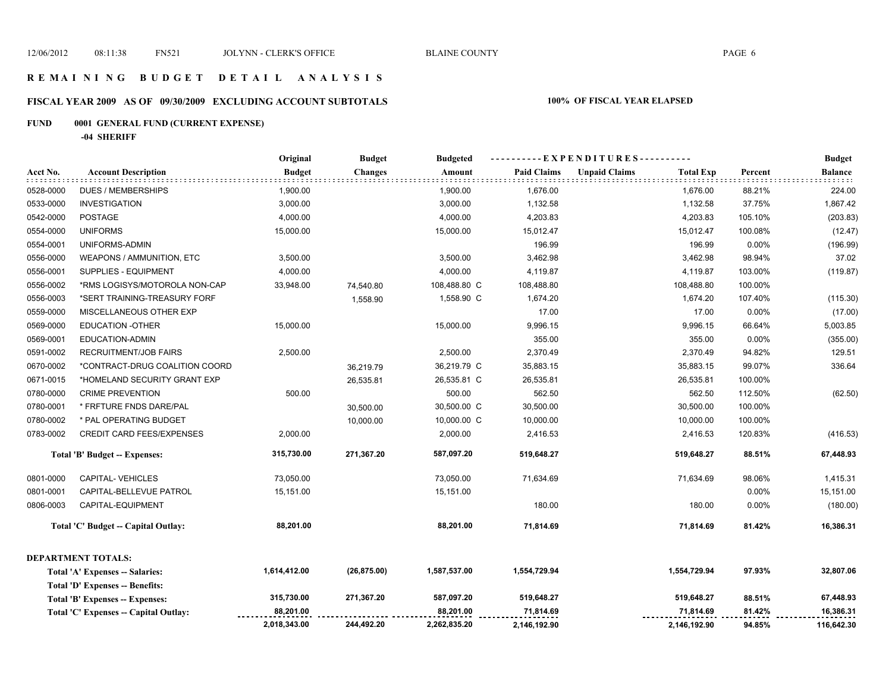# **FISCAL YEAR 2009 AS OF 09/30/2009 EXCLUDING ACCOUNT SUBTOTALS 100% OF FISCAL YEAR ELAPSED**

# **FUND 0001 GENERAL FUND (CURRENT EXPENSE)**

**-04 SHERIFF**

|           |                                        | Original      | <b>Budget</b>  | <b>Budgeted</b> |                    | -----EXPENDITURES----------              |         | <b>Budget</b>  |
|-----------|----------------------------------------|---------------|----------------|-----------------|--------------------|------------------------------------------|---------|----------------|
| Acct No.  | <b>Account Description</b>             | <b>Budget</b> | <b>Changes</b> | Amount          | <b>Paid Claims</b> | <b>Unpaid Claims</b><br><b>Total Exp</b> | Percent | <b>Balance</b> |
| 0528-0000 | <b>DUES / MEMBERSHIPS</b>              | 1,900.00      |                | 1,900.00        | 1,676.00           | 1,676.00                                 | 88.21%  | 224.00         |
| 0533-0000 | <b>INVESTIGATION</b>                   | 3,000.00      |                | 3,000.00        | 1,132.58           | 1,132.58                                 | 37.75%  | 1,867.42       |
| 0542-0000 | <b>POSTAGE</b>                         | 4,000.00      |                | 4,000.00        | 4,203.83           | 4,203.83                                 | 105.10% | (203.83)       |
| 0554-0000 | <b>UNIFORMS</b>                        | 15,000.00     |                | 15,000.00       | 15,012.47          | 15,012.47                                | 100.08% | (12.47)        |
| 0554-0001 | UNIFORMS-ADMIN                         |               |                |                 | 196.99             | 196.99                                   | 0.00%   | (196.99)       |
| 0556-0000 | WEAPONS / AMMUNITION, ETC              | 3,500.00      |                | 3,500.00        | 3,462.98           | 3,462.98                                 | 98.94%  | 37.02          |
| 0556-0001 | SUPPLIES - EQUIPMENT                   | 4,000.00      |                | 4,000.00        | 4,119.87           | 4,119.87                                 | 103.00% | (119.87)       |
| 0556-0002 | *RMS LOGISYS/MOTOROLA NON-CAP          | 33,948.00     | 74,540.80      | 108,488.80 C    | 108,488.80         | 108,488.80                               | 100.00% |                |
| 0556-0003 | *SERT TRAINING-TREASURY FORF           |               | 1,558.90       | 1,558.90 C      | 1,674.20           | 1,674.20                                 | 107.40% | (115.30)       |
| 0559-0000 | MISCELLANEOUS OTHER EXP                |               |                |                 | 17.00              | 17.00                                    | 0.00%   | (17.00)        |
| 0569-0000 | <b>EDUCATION -OTHER</b>                | 15,000.00     |                | 15,000.00       | 9,996.15           | 9,996.15                                 | 66.64%  | 5,003.85       |
| 0569-0001 | EDUCATION-ADMIN                        |               |                |                 | 355.00             | 355.00                                   | 0.00%   | (355.00)       |
| 0591-0002 | <b>RECRUITMENT/JOB FAIRS</b>           | 2,500.00      |                | 2,500.00        | 2,370.49           | 2,370.49                                 | 94.82%  | 129.51         |
| 0670-0002 | *CONTRACT-DRUG COALITION COORD         |               | 36,219.79      | 36,219.79 C     | 35,883.15          | 35,883.15                                | 99.07%  | 336.64         |
| 0671-0015 | *HOMELAND SECURITY GRANT EXP           |               | 26,535.81      | 26,535.81 C     | 26,535.81          | 26,535.81                                | 100.00% |                |
| 0780-0000 | <b>CRIME PREVENTION</b>                | 500.00        |                | 500.00          | 562.50             | 562.50                                   | 112.50% | (62.50)        |
| 0780-0001 | * FRFTURE FNDS DARE/PAL                |               | 30,500.00      | 30,500.00 C     | 30,500.00          | 30,500.00                                | 100.00% |                |
| 0780-0002 | * PAL OPERATING BUDGET                 |               | 10,000.00      | 10,000.00 C     | 10,000.00          | 10,000.00                                | 100.00% |                |
| 0783-0002 | <b>CREDIT CARD FEES/EXPENSES</b>       | 2,000.00      |                | 2,000.00        | 2,416.53           | 2,416.53                                 | 120.83% | (416.53)       |
|           | <b>Total 'B' Budget -- Expenses:</b>   | 315,730.00    | 271,367.20     | 587,097.20      | 519,648.27         | 519,648.27                               | 88.51%  | 67,448.93      |
| 0801-0000 | <b>CAPITAL-VEHICLES</b>                | 73,050.00     |                | 73,050.00       | 71,634.69          | 71,634.69                                | 98.06%  | 1,415.31       |
| 0801-0001 | CAPITAL-BELLEVUE PATROL                | 15,151.00     |                | 15,151.00       |                    |                                          | 0.00%   | 15,151.00      |
| 0806-0003 | CAPITAL-EQUIPMENT                      |               |                |                 | 180.00             | 180.00                                   | 0.00%   | (180.00)       |
|           | Total 'C' Budget -- Capital Outlay:    | 88,201.00     |                | 88,201.00       | 71,814.69          | 71,814.69                                | 81.42%  | 16,386.31      |
|           | <b>DEPARTMENT TOTALS:</b>              |               |                |                 |                    |                                          |         |                |
|           | Total 'A' Expenses -- Salaries:        | 1,614,412.00  | (26, 875.00)   | 1,587,537.00    | 1,554,729.94       | 1,554,729.94                             | 97.93%  | 32,807.06      |
|           | <b>Total 'D' Expenses -- Benefits:</b> |               |                |                 |                    |                                          |         |                |
|           | Total 'B' Expenses -- Expenses:        | 315,730.00    | 271,367.20     | 587,097.20      | 519,648.27         | 519,648.27                               | 88.51%  | 67,448.93      |
|           | Total 'C' Expenses -- Capital Outlay:  | 88,201.00     |                | 88,201.00       | 71,814.69          | 71,814.69                                | 81.42%  | 16,386.31      |
|           |                                        | 2,018,343.00  | 244,492.20     | 2,262,835.20    | 2,146,192.90       | 2,146,192.90                             | 94.85%  | 116,642.30     |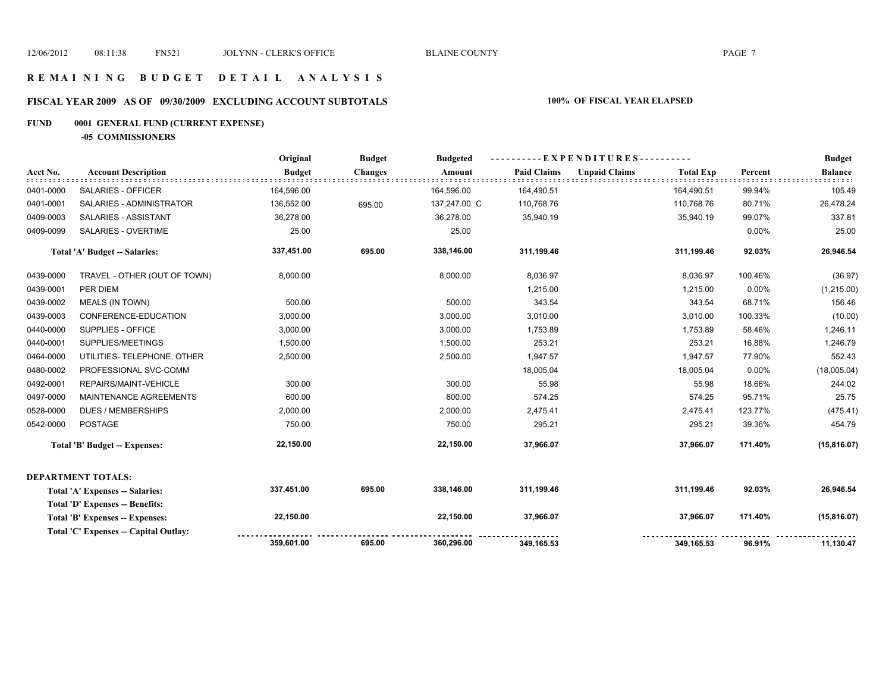# **FISCAL YEAR 2009 AS OF 09/30/2009 EXCLUDING ACCOUNT SUBTOTALS 100% OF FISCAL YEAR ELAPSED**

# **FUND 0001 GENERAL FUND (CURRENT EXPENSE)**

**-05 COMMISSIONERS**

|           |                                        | Original      | <b>Budget</b>  | <b>Budgeted</b> | - EXPENDITURES -   |                      |                  |          | <b>Budget</b>  |
|-----------|----------------------------------------|---------------|----------------|-----------------|--------------------|----------------------|------------------|----------|----------------|
| Acct No.  | <b>Account Description</b>             | <b>Budget</b> | <b>Changes</b> | Amount          | <b>Paid Claims</b> | <b>Unpaid Claims</b> | <b>Total Exp</b> | Percent  | <b>Balance</b> |
| 0401-0000 | SALARIES - OFFICER                     | 164,596.00    |                | 164,596.00      | 164,490.51         |                      | 164,490.51       | 99.94%   | 105.49         |
| 0401-0001 | SALARIES - ADMINISTRATOR               | 136,552.00    | 695.00         | 137,247.00 C    | 110,768.76         |                      | 110,768.76       | 80.71%   | 26,478.24      |
| 0409-0003 | SALARIES - ASSISTANT                   | 36,278.00     |                | 36,278.00       | 35,940.19          |                      | 35,940.19        | 99.07%   | 337.81         |
| 0409-0099 | SALARIES - OVERTIME                    | 25.00         |                | 25.00           |                    |                      |                  | $0.00\%$ | 25.00          |
|           | Total 'A' Budget -- Salaries:          | 337,451.00    | 695.00         | 338,146.00      | 311,199.46         |                      | 311,199.46       | 92.03%   | 26,946.54      |
| 0439-0000 | TRAVEL - OTHER (OUT OF TOWN)           | 8,000.00      |                | 8,000.00        | 8,036.97           |                      | 8,036.97         | 100.46%  | (36.97)        |
| 0439-0001 | PER DIEM                               |               |                |                 | 1,215.00           |                      | 1,215.00         | $0.00\%$ | (1,215.00)     |
| 0439-0002 | <b>MEALS (IN TOWN)</b>                 | 500.00        |                | 500.00          | 343.54             |                      | 343.54           | 68.71%   | 156.46         |
| 0439-0003 | CONFERENCE-EDUCATION                   | 3,000.00      |                | 3,000.00        | 3,010.00           |                      | 3,010.00         | 100.33%  | (10.00)        |
| 0440-0000 | SUPPLIES - OFFICE                      | 3,000.00      |                | 3,000.00        | 1,753.89           |                      | 1,753.89         | 58.46%   | 1,246.11       |
| 0440-0001 | SUPPLIES/MEETINGS                      | 1,500.00      |                | 1,500.00        | 253.21             |                      | 253.21           | 16.88%   | 1,246.79       |
| 0464-0000 | UTILITIES- TELEPHONE, OTHER            | 2,500.00      |                | 2,500.00        | 1,947.57           |                      | 1,947.57         | 77.90%   | 552.43         |
| 0480-0002 | PROFESSIONAL SVC-COMM                  |               |                |                 | 18,005.04          |                      | 18,005.04        | $0.00\%$ | (18,005.04)    |
| 0492-0001 | REPAIRS/MAINT-VEHICLE                  | 300.00        |                | 300.00          | 55.98              |                      | 55.98            | 18.66%   | 244.02         |
| 0497-0000 | MAINTENANCE AGREEMENTS                 | 600.00        |                | 600.00          | 574.25             |                      | 574.25           | 95.71%   | 25.75          |
| 0528-0000 | <b>DUES / MEMBERSHIPS</b>              | 2,000.00      |                | 2,000.00        | 2,475.41           |                      | 2,475.41         | 123.77%  | (475.41)       |
| 0542-0000 | <b>POSTAGE</b>                         | 750.00        |                | 750.00          | 295.21             |                      | 295.21           | 39.36%   | 454.79         |
|           | <b>Total 'B' Budget -- Expenses:</b>   | 22,150.00     |                | 22,150.00       | 37,966.07          |                      | 37,966.07        | 171.40%  | (15, 816.07)   |
|           | <b>DEPARTMENT TOTALS:</b>              |               |                |                 |                    |                      |                  |          |                |
|           | Total 'A' Expenses -- Salaries:        | 337,451.00    | 695.00         | 338,146.00      | 311,199.46         |                      | 311,199.46       | 92.03%   | 26,946.54      |
|           | <b>Total 'D' Expenses -- Benefits:</b> |               |                |                 |                    |                      |                  |          |                |
|           | Total 'B' Expenses -- Expenses:        | 22,150.00     |                | 22,150.00       | 37,966.07          |                      | 37,966.07        | 171.40%  | (15, 816.07)   |
|           | Total 'C' Expenses -- Capital Outlay:  |               |                |                 |                    |                      |                  |          |                |
|           |                                        | 359,601.00    | 695.00         | 360,296.00      | 349,165.53         |                      | 349,165.53       | 96.91%   | 11,130.47      |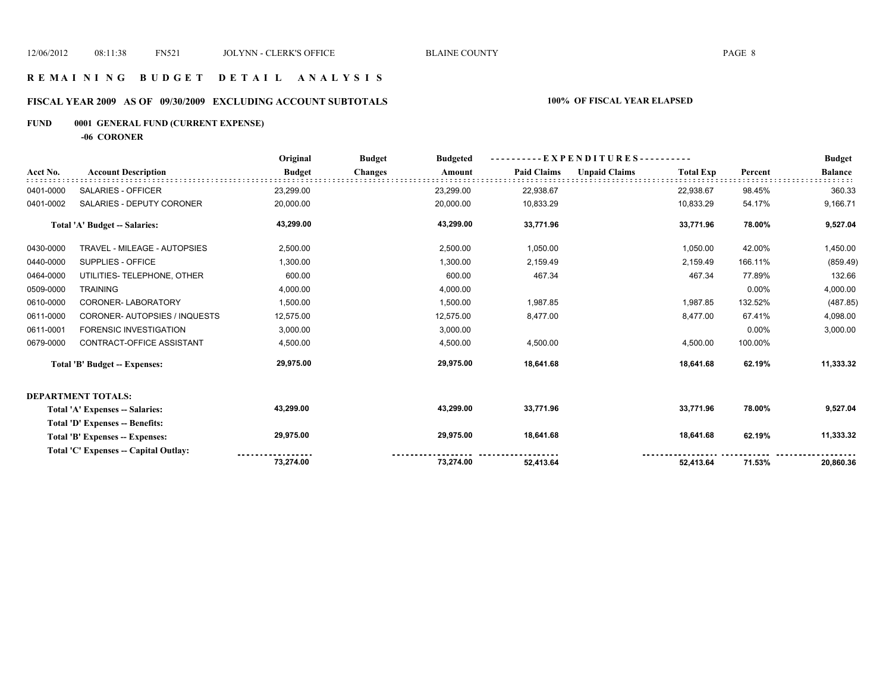### **R E M A I N I N G B U D G E T D E T A I L A N A L Y S I S**

# **FISCAL YEAR 2009 AS OF 09/30/2009 EXCLUDING ACCOUNT SUBTOTALS 100% OF FISCAL YEAR ELAPSED**

# **FUND 0001 GENERAL FUND (CURRENT EXPENSE)**

**-06 CORONER**

|           |                                       | Original      | <b>Budget</b><br><b>Budgeted</b> | - - E X P E N D I T U R E S - - - - - - - - - - |                    |                      |                  | <b>Budget</b> |                |
|-----------|---------------------------------------|---------------|----------------------------------|-------------------------------------------------|--------------------|----------------------|------------------|---------------|----------------|
| Acct No.  | <b>Account Description</b>            | <b>Budget</b> | <b>Changes</b>                   | Amount                                          | <b>Paid Claims</b> | <b>Unpaid Claims</b> | <b>Total Exp</b> | Percent       | <b>Balance</b> |
| 0401-0000 | <b>SALARIES - OFFICER</b>             | 23,299.00     |                                  | 23,299.00                                       | 22,938.67          |                      | 22,938.67        | 98.45%        | 360.33         |
| 0401-0002 | SALARIES - DEPUTY CORONER             | 20,000.00     |                                  | 20,000.00                                       | 10,833.29          |                      | 10,833.29        | 54.17%        | 9,166.71       |
|           | <b>Total 'A' Budget -- Salaries:</b>  | 43,299.00     |                                  | 43,299.00                                       | 33,771.96          |                      | 33,771.96        | 78.00%        | 9,527.04       |
| 0430-0000 | TRAVEL - MILEAGE - AUTOPSIES          | 2,500.00      |                                  | 2,500.00                                        | 1,050.00           |                      | 1,050.00         | 42.00%        | 1,450.00       |
| 0440-0000 | SUPPLIES - OFFICE                     | 1,300.00      |                                  | 1,300.00                                        | 2,159.49           |                      | 2,159.49         | 166.11%       | (859.49)       |
| 0464-0000 | UTILITIES- TELEPHONE, OTHER           | 600.00        |                                  | 600.00                                          | 467.34             |                      | 467.34           | 77.89%        | 132.66         |
| 0509-0000 | <b>TRAINING</b>                       | 4,000.00      |                                  | 4,000.00                                        |                    |                      |                  | 0.00%         | 4,000.00       |
| 0610-0000 | CORONER-LABORATORY                    | 1,500.00      |                                  | 1,500.00                                        | 1,987.85           |                      | 1,987.85         | 132.52%       | (487.85)       |
| 0611-0000 | CORONER-AUTOPSIES / INQUESTS          | 12,575.00     |                                  | 12,575.00                                       | 8,477.00           |                      | 8,477.00         | 67.41%        | 4,098.00       |
| 0611-0001 | <b>FORENSIC INVESTIGATION</b>         | 3,000.00      |                                  | 3,000.00                                        |                    |                      |                  | 0.00%         | 3,000.00       |
| 0679-0000 | <b>CONTRACT-OFFICE ASSISTANT</b>      | 4,500.00      |                                  | 4,500.00                                        | 4,500.00           |                      | 4,500.00         | 100.00%       |                |
|           | <b>Total 'B' Budget -- Expenses:</b>  | 29,975.00     |                                  | 29,975.00                                       | 18,641.68          |                      | 18,641.68        | 62.19%        | 11,333.32      |
|           | <b>DEPARTMENT TOTALS:</b>             |               |                                  |                                                 |                    |                      |                  |               |                |
|           | Total 'A' Expenses -- Salaries:       | 43,299.00     |                                  | 43,299.00                                       | 33,771.96          |                      | 33,771.96        | 78.00%        | 9,527.04       |
|           | Total 'D' Expenses -- Benefits:       |               |                                  |                                                 |                    |                      |                  |               |                |
|           | Total 'B' Expenses -- Expenses:       | 29,975.00     |                                  | 29,975.00                                       | 18,641.68          |                      | 18,641.68        | 62.19%        | 11,333.32      |
|           | Total 'C' Expenses -- Capital Outlay: |               |                                  |                                                 |                    |                      |                  |               |                |
|           |                                       | 73,274.00     |                                  | 73,274.00                                       | 52.413.64          |                      | 52.413.64        | 71.53%        | 20,860.36      |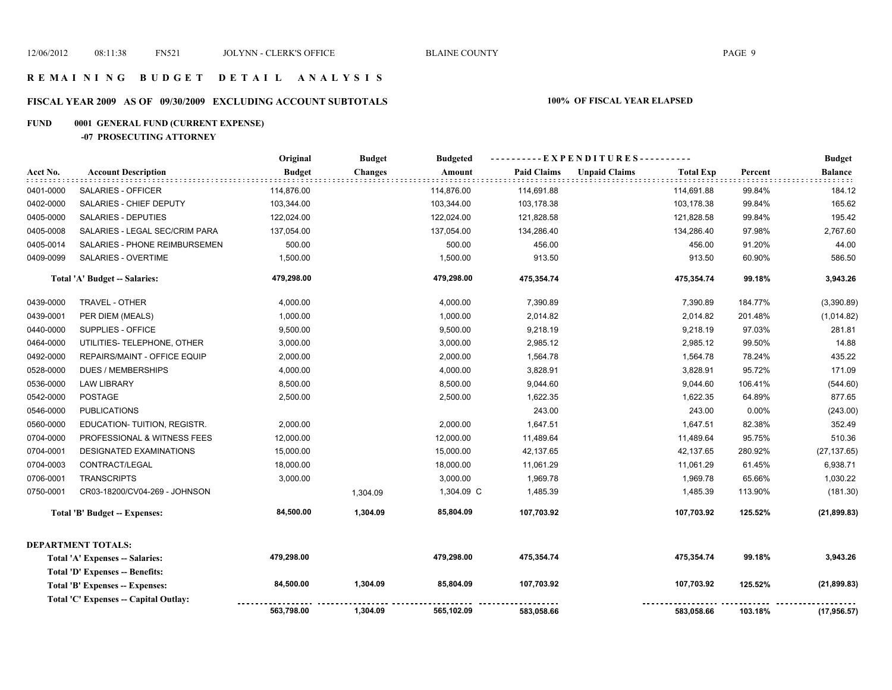# **FISCAL YEAR 2009 AS OF 09/30/2009 EXCLUDING ACCOUNT SUBTOTALS 100% OF FISCAL YEAR ELAPSED**

#### **FUND 0001 GENERAL FUND (CURRENT EXPENSE)**

#### **-07 PROSECUTING ATTORNEY**

|           |                                       | Original      | <b>Budget</b> | <b>Budgeted</b> | ----------EXPENDITURES---------- |                      |                  |         | <b>Budget</b>  |
|-----------|---------------------------------------|---------------|---------------|-----------------|----------------------------------|----------------------|------------------|---------|----------------|
| Acct No.  | <b>Account Description</b>            | <b>Budget</b> | Changes       | Amount          | <b>Paid Claims</b>               | <b>Unpaid Claims</b> | <b>Total Exp</b> | Percent | <b>Balance</b> |
| 0401-0000 | SALARIES - OFFICER                    | 114,876.00    |               | 114,876.00      | 114,691.88                       |                      | 114,691.88       | 99.84%  | 184.12         |
| 0402-0000 | SALARIES - CHIEF DEPUTY               | 103,344.00    |               | 103,344.00      | 103,178.38                       |                      | 103,178.38       | 99.84%  | 165.62         |
| 0405-0000 | <b>SALARIES - DEPUTIES</b>            | 122,024.00    |               | 122,024.00      | 121,828.58                       |                      | 121,828.58       | 99.84%  | 195.42         |
| 0405-0008 | SALARIES - LEGAL SEC/CRIM PARA        | 137,054.00    |               | 137,054.00      | 134,286.40                       |                      | 134,286.40       | 97.98%  | 2,767.60       |
| 0405-0014 | SALARIES - PHONE REIMBURSEMEN         | 500.00        |               | 500.00          | 456.00                           |                      | 456.00           | 91.20%  | 44.00          |
| 0409-0099 | <b>SALARIES - OVERTIME</b>            | 1,500.00      |               | 1,500.00        | 913.50                           |                      | 913.50           | 60.90%  | 586.50         |
|           | Total 'A' Budget -- Salaries:         | 479,298.00    |               | 479,298.00      | 475,354.74                       |                      | 475,354.74       | 99.18%  | 3,943.26       |
| 0439-0000 | TRAVEL - OTHER                        | 4,000.00      |               | 4,000.00        | 7,390.89                         |                      | 7,390.89         | 184.77% | (3,390.89)     |
| 0439-0001 | PER DIEM (MEALS)                      | 1,000.00      |               | 1,000.00        | 2,014.82                         |                      | 2,014.82         | 201.48% | (1,014.82)     |
| 0440-0000 | SUPPLIES - OFFICE                     | 9,500.00      |               | 9,500.00        | 9,218.19                         |                      | 9,218.19         | 97.03%  | 281.81         |
| 0464-0000 | UTILITIES- TELEPHONE, OTHER           | 3,000.00      |               | 3,000.00        | 2,985.12                         |                      | 2,985.12         | 99.50%  | 14.88          |
| 0492-0000 | REPAIRS/MAINT - OFFICE EQUIP          | 2,000.00      |               | 2,000.00        | 1,564.78                         |                      | 1,564.78         | 78.24%  | 435.22         |
| 0528-0000 | <b>DUES / MEMBERSHIPS</b>             | 4,000.00      |               | 4,000.00        | 3,828.91                         |                      | 3,828.91         | 95.72%  | 171.09         |
| 0536-0000 | <b>LAW LIBRARY</b>                    | 8,500.00      |               | 8,500.00        | 9,044.60                         |                      | 9,044.60         | 106.41% | (544.60)       |
| 0542-0000 | <b>POSTAGE</b>                        | 2,500.00      |               | 2,500.00        | 1,622.35                         |                      | 1,622.35         | 64.89%  | 877.65         |
| 0546-0000 | <b>PUBLICATIONS</b>                   |               |               |                 | 243.00                           |                      | 243.00           | 0.00%   | (243.00)       |
| 0560-0000 | EDUCATION- TUITION, REGISTR.          | 2,000.00      |               | 2,000.00        | 1,647.51                         |                      | 1,647.51         | 82.38%  | 352.49         |
| 0704-0000 | PROFESSIONAL & WITNESS FEES           | 12,000.00     |               | 12,000.00       | 11,489.64                        |                      | 11,489.64        | 95.75%  | 510.36         |
| 0704-0001 | <b>DESIGNATED EXAMINATIONS</b>        | 15,000.00     |               | 15,000.00       | 42,137.65                        |                      | 42,137.65        | 280.92% | (27, 137.65)   |
| 0704-0003 | CONTRACT/LEGAL                        | 18,000.00     |               | 18,000.00       | 11,061.29                        |                      | 11,061.29        | 61.45%  | 6,938.71       |
| 0706-0001 | <b>TRANSCRIPTS</b>                    | 3,000.00      |               | 3,000.00        | 1,969.78                         |                      | 1,969.78         | 65.66%  | 1,030.22       |
| 0750-0001 | CR03-18200/CV04-269 - JOHNSON         |               | 1,304.09      | 1,304.09 C      | 1,485.39                         |                      | 1,485.39         | 113.90% | (181.30)       |
|           | <b>Total 'B' Budget -- Expenses:</b>  | 84,500.00     | 1,304.09      | 85,804.09       | 107,703.92                       |                      | 107,703.92       | 125.52% | (21, 899.83)   |
|           | DEPARTMENT TOTALS:                    |               |               |                 |                                  |                      |                  |         |                |
|           | Total 'A' Expenses -- Salaries:       | 479,298.00    |               | 479,298.00      | 475,354.74                       |                      | 475,354.74       | 99.18%  | 3,943.26       |
|           | Total 'D' Expenses -- Benefits:       |               |               |                 |                                  |                      |                  |         |                |
|           | Total 'B' Expenses -- Expenses:       | 84,500.00     | 1,304.09      | 85,804.09       | 107,703.92                       |                      | 107,703.92       | 125.52% | (21, 899.83)   |
|           | Total 'C' Expenses -- Capital Outlay: |               |               |                 |                                  |                      |                  |         |                |
|           |                                       | 563,798.00    | 1,304.09      | 565,102.09      | 583,058.66                       |                      | 583,058.66       | 103.18% | (17, 956.57)   |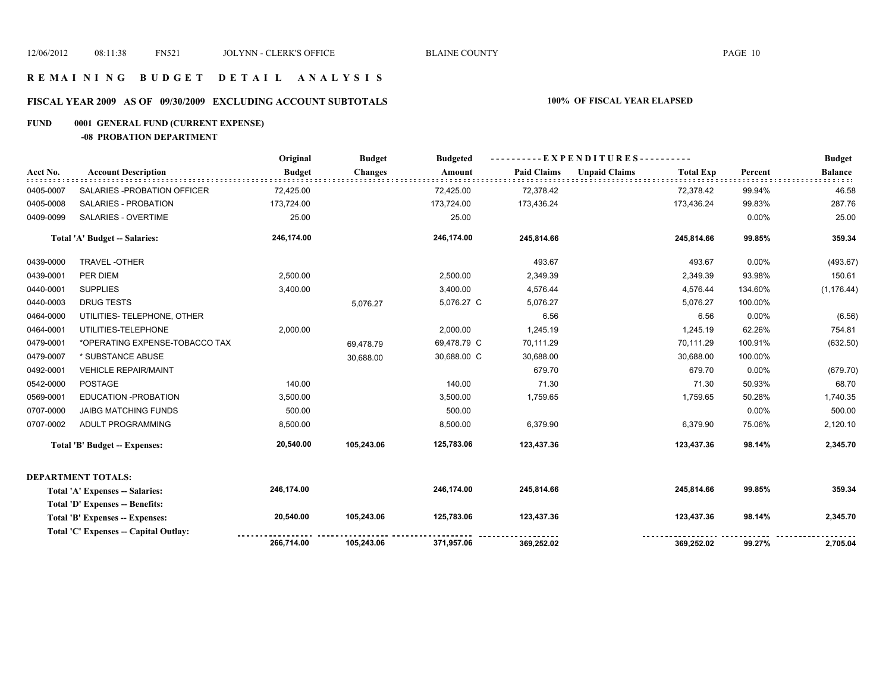#### **R E M A I N I N G B U D G E T D E T A I L A N A L Y S I S**

# **FISCAL YEAR 2009 AS OF 09/30/2009 EXCLUDING ACCOUNT SUBTOTALS 100% OF FISCAL YEAR ELAPSED**

#### **FUND 0001 GENERAL FUND (CURRENT EXPENSE)**

**-08 PROBATION DEPARTMENT**

|           |                                        | Original      | <b>Budget</b>  | <b>Budgeted</b> | ----------EXPENDITURES---------- |                      |                  |          | <b>Budget</b>  |
|-----------|----------------------------------------|---------------|----------------|-----------------|----------------------------------|----------------------|------------------|----------|----------------|
| Acct No.  | <b>Account Description</b>             | <b>Budget</b> | <b>Changes</b> | Amount          | <b>Paid Claims</b>               | <b>Unpaid Claims</b> | <b>Total Exp</b> | Percent  | <b>Balance</b> |
| 0405-0007 | SALARIES - PROBATION OFFICER           | 72,425.00     |                | 72,425.00       | 72,378.42                        |                      | 72,378.42        | 99.94%   | 46.58          |
| 0405-0008 | SALARIES - PROBATION                   | 173,724.00    |                | 173,724.00      | 173,436.24                       |                      | 173,436.24       | 99.83%   | 287.76         |
| 0409-0099 | <b>SALARIES - OVERTIME</b>             | 25.00         |                | 25.00           |                                  |                      |                  | $0.00\%$ | 25.00          |
|           | <b>Total 'A' Budget -- Salaries:</b>   | 246,174.00    |                | 246,174.00      | 245,814.66                       |                      | 245,814.66       | 99.85%   | 359.34         |
| 0439-0000 | TRAVEL-OTHER                           |               |                |                 | 493.67                           |                      | 493.67           | $0.00\%$ | (493.67)       |
| 0439-0001 | PER DIEM                               | 2,500.00      |                | 2,500.00        | 2,349.39                         |                      | 2,349.39         | 93.98%   | 150.61         |
| 0440-0001 | <b>SUPPLIES</b>                        | 3,400.00      |                | 3,400.00        | 4,576.44                         |                      | 4,576.44         | 134.60%  | (1, 176.44)    |
| 0440-0003 | <b>DRUG TESTS</b>                      |               | 5,076.27       | 5,076.27 C      | 5,076.27                         |                      | 5,076.27         | 100.00%  |                |
| 0464-0000 | UTILITIES- TELEPHONE, OTHER            |               |                |                 | 6.56                             |                      | 6.56             | $0.00\%$ | (6.56)         |
| 0464-0001 | UTILITIES-TELEPHONE                    | 2,000.00      |                | 2,000.00        | 1,245.19                         |                      | 1,245.19         | 62.26%   | 754.81         |
| 0479-0001 | *OPERATING EXPENSE-TOBACCO TAX         |               | 69,478.79      | 69,478.79 C     | 70,111.29                        |                      | 70,111.29        | 100.91%  | (632.50)       |
| 0479-0007 | * SUBSTANCE ABUSE                      |               | 30,688.00      | 30,688.00 C     | 30,688.00                        |                      | 30,688.00        | 100.00%  |                |
| 0492-0001 | <b>VEHICLE REPAIR/MAINT</b>            |               |                |                 | 679.70                           |                      | 679.70           | 0.00%    | (679.70)       |
| 0542-0000 | <b>POSTAGE</b>                         | 140.00        |                | 140.00          | 71.30                            |                      | 71.30            | 50.93%   | 68.70          |
| 0569-0001 | EDUCATION - PROBATION                  | 3,500.00      |                | 3,500.00        | 1,759.65                         |                      | 1,759.65         | 50.28%   | 1,740.35       |
| 0707-0000 | <b>JAIBG MATCHING FUNDS</b>            | 500.00        |                | 500.00          |                                  |                      |                  | $0.00\%$ | 500.00         |
| 0707-0002 | ADULT PROGRAMMING                      | 8,500.00      |                | 8,500.00        | 6,379.90                         |                      | 6,379.90         | 75.06%   | 2,120.10       |
|           | <b>Total 'B' Budget -- Expenses:</b>   | 20,540.00     | 105,243.06     | 125,783.06      | 123,437.36                       |                      | 123,437.36       | 98.14%   | 2,345.70       |
|           | <b>DEPARTMENT TOTALS:</b>              |               |                |                 |                                  |                      |                  |          |                |
|           | Total 'A' Expenses -- Salaries:        | 246,174.00    |                | 246,174.00      | 245,814.66                       |                      | 245,814.66       | 99.85%   | 359.34         |
|           | <b>Total 'D' Expenses -- Benefits:</b> |               |                |                 |                                  |                      |                  |          |                |
|           | Total 'B' Expenses -- Expenses:        | 20,540.00     | 105,243.06     | 125,783.06      | 123,437.36                       |                      | 123,437.36       | 98.14%   | 2,345.70       |
|           | Total 'C' Expenses -- Capital Outlay:  |               |                |                 |                                  |                      |                  |          |                |
|           |                                        | 266,714.00    | 105,243.06     | 371,957.06      | 369,252.02                       |                      | 369,252.02       | 99.27%   | 2,705.04       |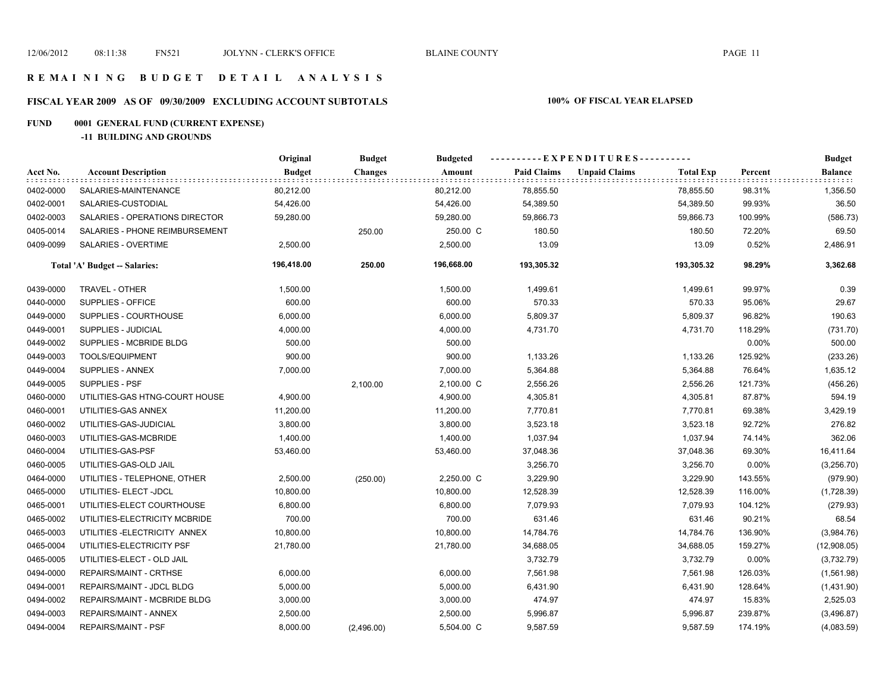# **FISCAL YEAR 2009 AS OF 09/30/2009 EXCLUDING ACCOUNT SUBTOTALS 100% OF FISCAL YEAR ELAPSED**

# **FUND 0001 GENERAL FUND (CURRENT EXPENSE)**

**-11 BUILDING AND GROUNDS**

|           |                                | Original      | <b>Budget</b>  | <b>Budgeted</b> | ----------EXPENDITURES---------- |                      |                  |         | <b>Budget</b>        |
|-----------|--------------------------------|---------------|----------------|-----------------|----------------------------------|----------------------|------------------|---------|----------------------|
| Acct No.  | <b>Account Description</b>     | <b>Budget</b> | <b>Changes</b> | Amount          | <b>Paid Claims</b>               | <b>Unpaid Claims</b> | <b>Total Exp</b> | Percent | Balance<br>did bibli |
| 0402-0000 | SALARIES-MAINTENANCE           | 80,212.00     |                | 80,212.00       | 78,855.50                        |                      | 78,855.50        | 98.31%  | 1,356.50             |
| 0402-0001 | SALARIES-CUSTODIAL             | 54,426.00     |                | 54,426.00       | 54,389.50                        |                      | 54,389.50        | 99.93%  | 36.50                |
| 0402-0003 | SALARIES - OPERATIONS DIRECTOR | 59,280.00     |                | 59,280.00       | 59,866.73                        |                      | 59,866.73        | 100.99% | (586.73)             |
| 0405-0014 | SALARIES - PHONE REIMBURSEMENT |               | 250.00         | 250.00 C        | 180.50                           |                      | 180.50           | 72.20%  | 69.50                |
| 0409-0099 | SALARIES - OVERTIME            | 2,500.00      |                | 2,500.00        | 13.09                            |                      | 13.09            | 0.52%   | 2,486.91             |
|           | Total 'A' Budget -- Salaries:  | 196,418.00    | 250.00         | 196,668.00      | 193,305.32                       |                      | 193,305.32       | 98.29%  | 3,362.68             |
| 0439-0000 | <b>TRAVEL - OTHER</b>          | 1,500.00      |                | 1,500.00        | 1,499.61                         |                      | 1,499.61         | 99.97%  | 0.39                 |
| 0440-0000 | SUPPLIES - OFFICE              | 600.00        |                | 600.00          | 570.33                           |                      | 570.33           | 95.06%  | 29.67                |
| 0449-0000 | SUPPLIES - COURTHOUSE          | 6,000.00      |                | 6,000.00        | 5,809.37                         |                      | 5,809.37         | 96.82%  | 190.63               |
| 0449-0001 | SUPPLIES - JUDICIAL            | 4,000.00      |                | 4,000.00        | 4,731.70                         |                      | 4,731.70         | 118.29% | (731.70)             |
| 0449-0002 | SUPPLIES - MCBRIDE BLDG        | 500.00        |                | 500.00          |                                  |                      |                  | 0.00%   | 500.00               |
| 0449-0003 | TOOLS/EQUIPMENT                | 900.00        |                | 900.00          | 1,133.26                         |                      | 1,133.26         | 125.92% | (233.26)             |
| 0449-0004 | SUPPLIES - ANNEX               | 7,000.00      |                | 7,000.00        | 5,364.88                         |                      | 5,364.88         | 76.64%  | 1,635.12             |
| 0449-0005 | SUPPLIES - PSF                 |               | 2,100.00       | 2,100.00 C      | 2,556.26                         |                      | 2,556.26         | 121.73% | (456.26)             |
| 0460-0000 | UTILITIES-GAS HTNG-COURT HOUSE | 4,900.00      |                | 4,900.00        | 4,305.81                         |                      | 4,305.81         | 87.87%  | 594.19               |
| 0460-0001 | UTILITIES-GAS ANNEX            | 11,200.00     |                | 11,200.00       | 7,770.81                         |                      | 7,770.81         | 69.38%  | 3,429.19             |
| 0460-0002 | UTILITIES-GAS-JUDICIAL         | 3,800.00      |                | 3,800.00        | 3,523.18                         |                      | 3,523.18         | 92.72%  | 276.82               |
| 0460-0003 | UTILITIES-GAS-MCBRIDE          | 1,400.00      |                | 1,400.00        | 1,037.94                         |                      | 1,037.94         | 74.14%  | 362.06               |
| 0460-0004 | UTILITIES-GAS-PSF              | 53,460.00     |                | 53,460.00       | 37,048.36                        |                      | 37,048.36        | 69.30%  | 16,411.64            |
| 0460-0005 | UTILITIES-GAS-OLD JAIL         |               |                |                 | 3,256.70                         |                      | 3,256.70         | 0.00%   | (3,256.70)           |
| 0464-0000 | UTILITIES - TELEPHONE, OTHER   | 2,500.00      | (250.00)       | 2,250.00 C      | 3,229.90                         |                      | 3,229.90         | 143.55% | (979.90)             |
| 0465-0000 | UTILITIES- ELECT -JDCL         | 10,800.00     |                | 10,800.00       | 12,528.39                        |                      | 12,528.39        | 116.00% | (1,728.39)           |
| 0465-0001 | UTILITIES-ELECT COURTHOUSE     | 6,800.00      |                | 6,800.00        | 7,079.93                         |                      | 7,079.93         | 104.12% | (279.93)             |
| 0465-0002 | UTILITIES-ELECTRICITY MCBRIDE  | 700.00        |                | 700.00          | 631.46                           |                      | 631.46           | 90.21%  | 68.54                |
| 0465-0003 | UTILITIES-ELECTRICITY ANNEX    | 10,800.00     |                | 10,800.00       | 14,784.76                        |                      | 14,784.76        | 136.90% | (3,984.76)           |
| 0465-0004 | UTILITIES-ELECTRICITY PSF      | 21,780.00     |                | 21,780.00       | 34,688.05                        |                      | 34,688.05        | 159.27% | (12,908.05)          |
| 0465-0005 | UTILITIES-ELECT - OLD JAIL     |               |                |                 | 3,732.79                         |                      | 3,732.79         | 0.00%   | (3,732.79)           |
| 0494-0000 | REPAIRS/MAINT - CRTHSE         | 6,000.00      |                | 6,000.00        | 7,561.98                         |                      | 7,561.98         | 126.03% | (1,561.98)           |
| 0494-0001 | REPAIRS/MAINT - JDCL BLDG      | 5,000.00      |                | 5,000.00        | 6,431.90                         |                      | 6,431.90         | 128.64% | (1,431.90)           |
| 0494-0002 | REPAIRS/MAINT - MCBRIDE BLDG   | 3,000.00      |                | 3,000.00        | 474.97                           |                      | 474.97           | 15.83%  | 2,525.03             |
| 0494-0003 | REPAIRS/MAINT - ANNEX          | 2,500.00      |                | 2,500.00        | 5,996.87                         |                      | 5,996.87         | 239.87% | (3,496.87)           |
| 0494-0004 | <b>REPAIRS/MAINT - PSF</b>     | 8,000.00      | (2,496.00)     | 5,504.00 C      | 9,587.59                         |                      | 9,587.59         | 174.19% | (4,083.59)           |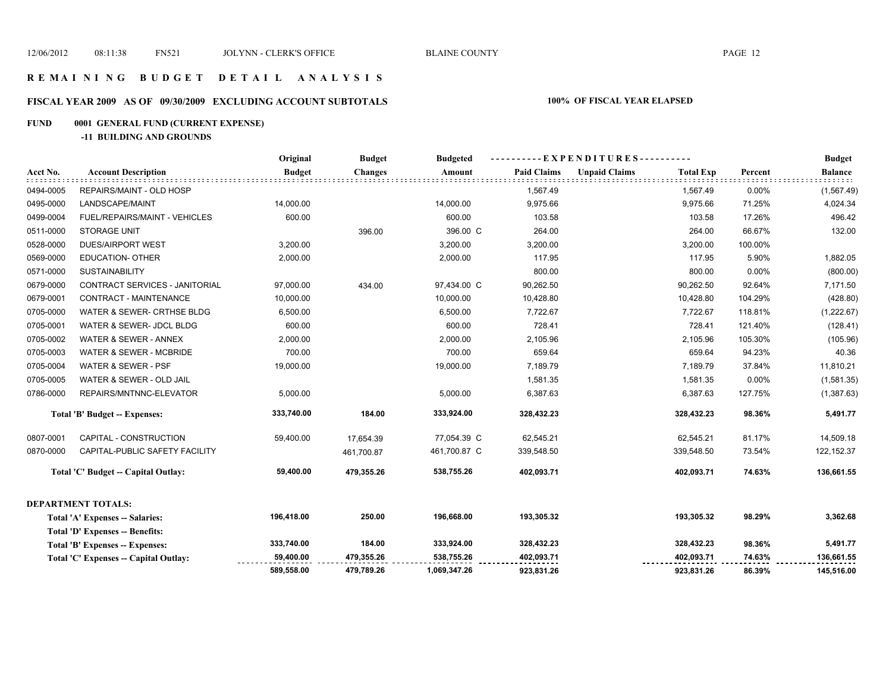#### **R E M A I N I N G B U D G E T D E T A I L A N A L Y S I S**

# **FISCAL YEAR 2009 AS OF 09/30/2009 EXCLUDING ACCOUNT SUBTOTALS 100% OF FISCAL YEAR ELAPSED**

#### **FUND 0001 GENERAL FUND (CURRENT EXPENSE)**

**-11 BUILDING AND GROUNDS**

|           |                                       | Original      | <b>Budget</b>  | <b>Budgeted</b> | ----------EXPENDITURES---------- |                      |                  |         | <b>Budget</b>  |
|-----------|---------------------------------------|---------------|----------------|-----------------|----------------------------------|----------------------|------------------|---------|----------------|
| Acct No.  | <b>Account Description</b>            | <b>Budget</b> | <b>Changes</b> | Amount          | <b>Paid Claims</b>               | <b>Unpaid Claims</b> | <b>Total Exp</b> | Percent | <b>Balance</b> |
| 0494-0005 | REPAIRS/MAINT - OLD HOSP              |               |                |                 | 1,567.49                         |                      | 1,567.49         | 0.00%   | (1,567.49)     |
| 0495-0000 | LANDSCAPE/MAINT                       | 14,000.00     |                | 14,000.00       | 9,975.66                         |                      | 9,975.66         | 71.25%  | 4,024.34       |
| 0499-0004 | FUEL/REPAIRS/MAINT - VEHICLES         | 600.00        |                | 600.00          | 103.58                           |                      | 103.58           | 17.26%  | 496.42         |
| 0511-0000 | <b>STORAGE UNIT</b>                   |               | 396.00         | 396.00 C        | 264.00                           |                      | 264.00           | 66.67%  | 132.00         |
| 0528-0000 | <b>DUES/AIRPORT WEST</b>              | 3,200.00      |                | 3,200.00        | 3,200.00                         |                      | 3,200.00         | 100.00% |                |
| 0569-0000 | <b>EDUCATION- OTHER</b>               | 2,000.00      |                | 2,000.00        | 117.95                           |                      | 117.95           | 5.90%   | 1,882.05       |
| 0571-0000 | <b>SUSTAINABILITY</b>                 |               |                |                 | 800.00                           |                      | 800.00           | 0.00%   | (800.00)       |
| 0679-0000 | CONTRACT SERVICES - JANITORIAL        | 97,000.00     | 434.00         | 97,434.00 C     | 90,262.50                        |                      | 90,262.50        | 92.64%  | 7,171.50       |
| 0679-0001 | <b>CONTRACT - MAINTENANCE</b>         | 10,000.00     |                | 10,000.00       | 10,428.80                        |                      | 10,428.80        | 104.29% | (428.80)       |
| 0705-0000 | WATER & SEWER- CRTHSE BLDG            | 6,500.00      |                | 6,500.00        | 7,722.67                         |                      | 7,722.67         | 118.81% | (1,222.67)     |
| 0705-0001 | WATER & SEWER- JDCL BLDG              | 600.00        |                | 600.00          | 728.41                           |                      | 728.41           | 121.40% | (128.41)       |
| 0705-0002 | WATER & SEWER - ANNEX                 | 2,000.00      |                | 2,000.00        | 2,105.96                         |                      | 2,105.96         | 105.30% | (105.96)       |
| 0705-0003 | <b>WATER &amp; SEWER - MCBRIDE</b>    | 700.00        |                | 700.00          | 659.64                           |                      | 659.64           | 94.23%  | 40.36          |
| 0705-0004 | WATER & SEWER - PSF                   | 19,000.00     |                | 19,000.00       | 7,189.79                         |                      | 7,189.79         | 37.84%  | 11,810.21      |
| 0705-0005 | WATER & SEWER - OLD JAIL              |               |                |                 | 1,581.35                         |                      | 1,581.35         | 0.00%   | (1,581.35)     |
| 0786-0000 | REPAIRS/MNTNNC-ELEVATOR               | 5,000.00      |                | 5,000.00        | 6,387.63                         |                      | 6,387.63         | 127.75% | (1,387.63)     |
|           | Total 'B' Budget -- Expenses:         | 333,740.00    | 184.00         | 333,924.00      | 328,432.23                       |                      | 328,432.23       | 98.36%  | 5,491.77       |
| 0807-0001 | CAPITAL - CONSTRUCTION                | 59,400.00     | 17,654.39      | 77,054.39 C     | 62,545.21                        |                      | 62,545.21        | 81.17%  | 14,509.18      |
| 0870-0000 | CAPITAL-PUBLIC SAFETY FACILITY        |               | 461,700.87     | 461,700.87 C    | 339,548.50                       |                      | 339,548.50       | 73.54%  | 122, 152.37    |
|           | Total 'C' Budget -- Capital Outlay:   | 59,400.00     | 479,355.26     | 538,755.26      | 402,093.71                       |                      | 402,093.71       | 74.63%  | 136,661.55     |
|           | <b>DEPARTMENT TOTALS:</b>             |               |                |                 |                                  |                      |                  |         |                |
|           | Total 'A' Expenses -- Salaries:       | 196,418.00    | 250.00         | 196,668.00      | 193,305.32                       |                      | 193,305.32       | 98.29%  | 3,362.68       |
|           | Total 'D' Expenses -- Benefits:       |               |                |                 |                                  |                      |                  |         |                |
|           | Total 'B' Expenses -- Expenses:       | 333,740.00    | 184.00         | 333,924.00      | 328,432.23                       |                      | 328,432.23       | 98.36%  | 5,491.77       |
|           | Total 'C' Expenses -- Capital Outlay: | 59,400.00     | 479,355.26     | 538,755.26      | 402,093.71                       |                      | 402,093.71       | 74.63%  | 136,661.55     |
|           |                                       | 589,558.00    | 479,789.26     | 1,069,347.26    | 923,831.26                       |                      | 923,831.26       | 86.39%  | 145,516.00     |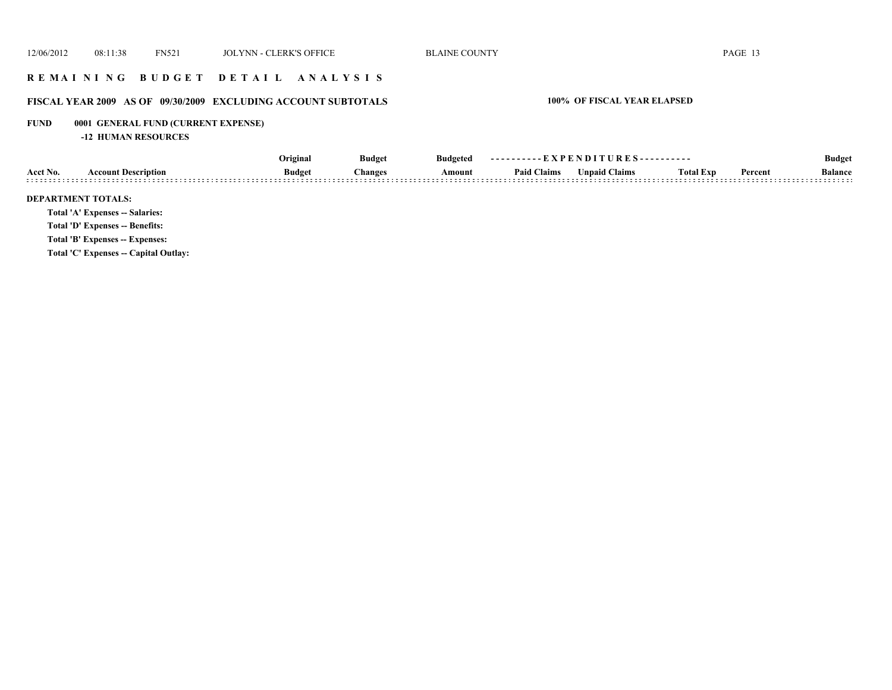### **R E M A I N I N G B U D G E T D E T A I L A N A L Y S I S**

# **FISCAL YEAR 2009 AS OF 09/30/2009 EXCLUDING ACCOUNT SUBTOTALS 100% OF FISCAL YEAR ELAPSED**

# **FUND 0001 GENERAL FUND (CURRENT EXPENSE)**

**-12 HUMAN RESOURCES**

|                                        | Original      | <b>Budget</b><br>Changes | <b>Budgeted</b> | ----------EXPENDITURES---------- |                      |                  |         | <b>Budget</b>  |
|----------------------------------------|---------------|--------------------------|-----------------|----------------------------------|----------------------|------------------|---------|----------------|
| <b>Account Description</b><br>Acct No. | <b>Budget</b> |                          | Amount          | <b>Paid Claims</b>               | <b>Unpaid Claims</b> | <b>Total Exp</b> | Percent | <b>Balance</b> |
| <b>DEPARTMENT TOTALS:</b>              |               |                          |                 |                                  |                      |                  |         |                |
| <b>Total 'A' Expenses -- Salaries:</b> |               |                          |                 |                                  |                      |                  |         |                |
| Total 'D' Expenses -- Benefits:        |               |                          |                 |                                  |                      |                  |         |                |
| Total 'B' Expenses -- Expenses:        |               |                          |                 |                                  |                      |                  |         |                |
| Total 'C' Expenses -- Capital Outlay:  |               |                          |                 |                                  |                      |                  |         |                |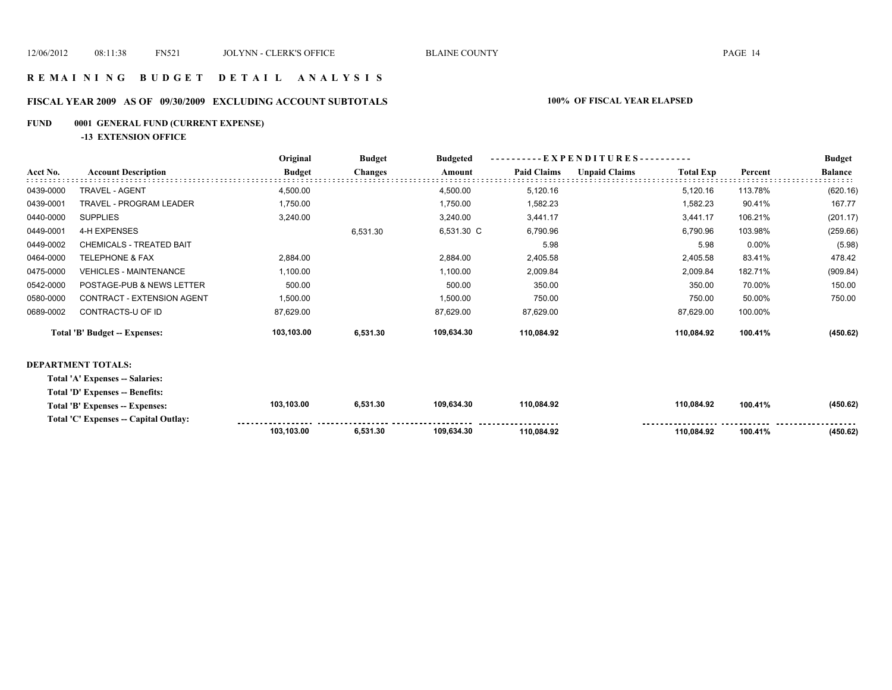#### **R E M A I N I N G B U D G E T D E T A I L A N A L Y S I S**

# **FISCAL YEAR 2009 AS OF 09/30/2009 EXCLUDING ACCOUNT SUBTOTALS 100% OF FISCAL YEAR ELAPSED**

# **FUND 0001 GENERAL FUND (CURRENT EXPENSE)**

**-13 EXTENSION OFFICE**

|           |                                   | Original      | <b>Budget</b>  | <b>Budgeted</b> |                    | ----------EXPENDITURES---------- |                  |         |                |  |
|-----------|-----------------------------------|---------------|----------------|-----------------|--------------------|----------------------------------|------------------|---------|----------------|--|
| Acct No.  | <b>Account Description</b>        | <b>Budget</b> | <b>Changes</b> | Amount          | <b>Paid Claims</b> | <b>Unpaid Claims</b>             | <b>Total Exp</b> | Percent | <b>Balance</b> |  |
| 0439-0000 | <b>TRAVEL - AGENT</b>             | 4,500.00      |                | 4,500.00        | 5,120.16           |                                  | 5,120.16         | 113.78% | (620.16)       |  |
| 0439-0001 | <b>TRAVEL - PROGRAM LEADER</b>    | 1,750.00      |                | 1,750.00        | 1,582.23           |                                  | 1,582.23         | 90.41%  | 167.77         |  |
| 0440-0000 | <b>SUPPLIES</b>                   | 3,240.00      |                | 3,240.00        | 3,441.17           |                                  | 3,441.17         | 106.21% | (201.17)       |  |
| 0449-0001 | 4-H EXPENSES                      |               | 6,531.30       | 6,531.30 C      | 6,790.96           |                                  | 6,790.96         | 103.98% | (259.66)       |  |
| 0449-0002 | CHEMICALS - TREATED BAIT          |               |                |                 | 5.98               |                                  | 5.98             | 0.00%   | (5.98)         |  |
| 0464-0000 | <b>TELEPHONE &amp; FAX</b>        | 2,884.00      |                | 2,884.00        | 2,405.58           |                                  | 2,405.58         | 83.41%  | 478.42         |  |
| 0475-0000 | <b>VEHICLES - MAINTENANCE</b>     | 1,100.00      |                | 1,100.00        | 2,009.84           |                                  | 2,009.84         | 182.71% | (909.84)       |  |
| 0542-0000 | POSTAGE-PUB & NEWS LETTER         | 500.00        |                | 500.00          | 350.00             |                                  | 350.00           | 70.00%  | 150.00         |  |
| 0580-0000 | <b>CONTRACT - EXTENSION AGENT</b> | 1,500.00      |                | 1,500.00        | 750.00             |                                  | 750.00           | 50.00%  | 750.00         |  |
| 0689-0002 | CONTRACTS-U OF ID                 | 87,629.00     |                | 87,629.00       | 87,629.00          |                                  | 87,629.00        | 100.00% |                |  |
|           | Total 'B' Budget -- Expenses:     | 103,103.00    | 6,531.30       | 109,634.30      | 110,084.92         |                                  | 110,084.92       | 100.41% | (450.62)       |  |
|           |                                   |               |                |                 |                    |                                  |                  |         |                |  |

#### **DEPARTMENT TOTALS:**

**Total 'A' Expenses -- Salaries:**

**Total 'D' Expenses -- Benefits:**

| Total 'B' Expenses $-$<br>Expenses:             | 103.103.00 | 5,531.30 | 109.634.30 | 110.084.92          | 110.084.92 | 100.41% | (450.62)               |
|-------------------------------------------------|------------|----------|------------|---------------------|------------|---------|------------------------|
| Total 'C' Expenses --<br><b>Capital Outlav:</b> |            |          |            | ------------------- |            |         | -------<br>----------  |
|                                                 | 103.103.00 | .531.30  |            | 110.084.92          | 110.084.92 | 100.41% | $(ABO$ $B2)$<br>700.04 |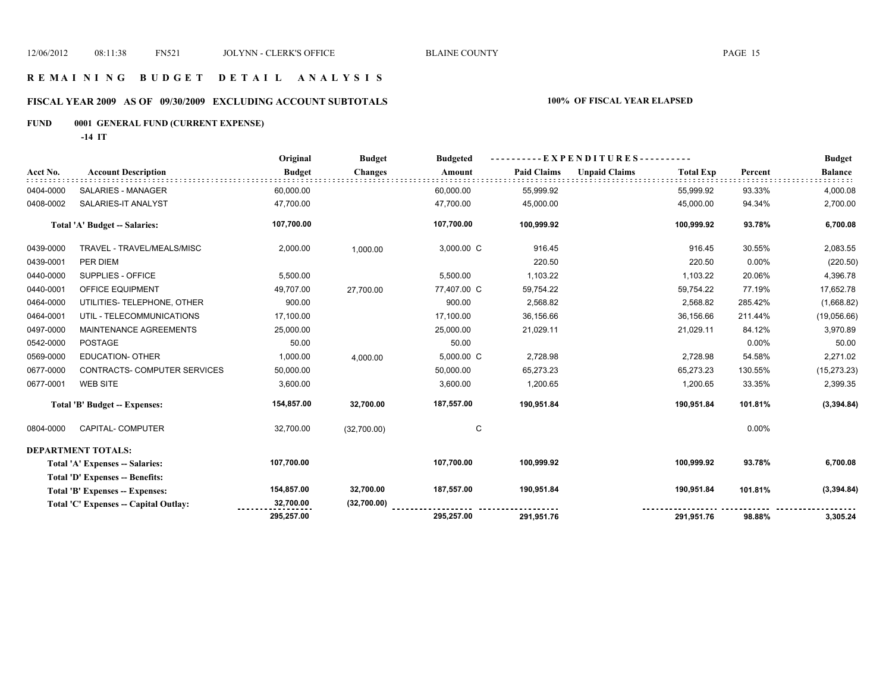### **R E M A I N I N G B U D G E T D E T A I L A N A L Y S I S**

# **FISCAL YEAR 2009 AS OF 09/30/2009 EXCLUDING ACCOUNT SUBTOTALS 100% OF FISCAL YEAR ELAPSED**

# **FUND 0001 GENERAL FUND (CURRENT EXPENSE)**

**-14 IT**

|           |                                        | Original      | <b>Budget</b>  | <b>Budgeted</b> | $-EXPENDITURES$ --------- |                      |                  |          | <b>Budget</b>  |
|-----------|----------------------------------------|---------------|----------------|-----------------|---------------------------|----------------------|------------------|----------|----------------|
| Acct No.  | <b>Account Description</b>             | <b>Budget</b> | <b>Changes</b> | Amount          | <b>Paid Claims</b>        | <b>Unpaid Claims</b> | <b>Total Exp</b> | Percent  | <b>Balance</b> |
| 0404-0000 | SALARIES - MANAGER                     | 60,000.00     |                | 60,000.00       | 55,999.92                 |                      | 55,999.92        | 93.33%   | 4,000.08       |
| 0408-0002 | SALARIES-IT ANALYST                    | 47,700.00     |                | 47,700.00       | 45,000.00                 |                      | 45,000.00        | 94.34%   | 2,700.00       |
|           | <b>Total 'A' Budget -- Salaries:</b>   | 107,700.00    |                | 107,700.00      | 100,999.92                |                      | 100,999.92       | 93.78%   | 6,700.08       |
| 0439-0000 | TRAVEL - TRAVEL/MEALS/MISC             | 2,000.00      | 1,000.00       | 3,000.00 C      | 916.45                    |                      | 916.45           | 30.55%   | 2,083.55       |
| 0439-0001 | PER DIEM                               |               |                |                 | 220.50                    |                      | 220.50           | $0.00\%$ | (220.50)       |
| 0440-0000 | SUPPLIES - OFFICE                      | 5,500.00      |                | 5,500.00        | 1,103.22                  |                      | 1,103.22         | 20.06%   | 4,396.78       |
| 0440-0001 | OFFICE EQUIPMENT                       | 49,707.00     | 27,700.00      | 77,407.00 C     | 59,754.22                 |                      | 59,754.22        | 77.19%   | 17,652.78      |
| 0464-0000 | UTILITIES- TELEPHONE, OTHER            | 900.00        |                | 900.00          | 2,568.82                  |                      | 2,568.82         | 285.42%  | (1,668.82)     |
| 0464-0001 | UTIL - TELECOMMUNICATIONS              | 17,100.00     |                | 17,100.00       | 36,156.66                 |                      | 36,156.66        | 211.44%  | (19,056.66)    |
| 0497-0000 | MAINTENANCE AGREEMENTS                 | 25,000.00     |                | 25,000.00       | 21,029.11                 |                      | 21,029.11        | 84.12%   | 3,970.89       |
| 0542-0000 | <b>POSTAGE</b>                         | 50.00         |                | 50.00           |                           |                      |                  | $0.00\%$ | 50.00          |
| 0569-0000 | <b>EDUCATION- OTHER</b>                | 1,000.00      | 4,000.00       | 5,000.00 C      | 2,728.98                  |                      | 2,728.98         | 54.58%   | 2,271.02       |
| 0677-0000 | CONTRACTS- COMPUTER SERVICES           | 50,000.00     |                | 50,000.00       | 65,273.23                 |                      | 65,273.23        | 130.55%  | (15, 273.23)   |
| 0677-0001 | <b>WEB SITE</b>                        | 3,600.00      |                | 3,600.00        | 1,200.65                  |                      | 1,200.65         | 33.35%   | 2,399.35       |
|           | Total 'B' Budget -- Expenses:          | 154,857.00    | 32,700.00      | 187,557.00      | 190,951.84                |                      | 190,951.84       | 101.81%  | (3,394.84)     |
| 0804-0000 | CAPITAL- COMPUTER                      | 32,700.00     | (32,700.00)    | C               |                           |                      |                  | $0.00\%$ |                |
|           | DEPARTMENT TOTALS:                     |               |                |                 |                           |                      |                  |          |                |
|           | Total 'A' Expenses -- Salaries:        | 107,700.00    |                | 107,700.00      | 100,999.92                |                      | 100,999.92       | 93.78%   | 6,700.08       |
|           | <b>Total 'D' Expenses -- Benefits:</b> |               |                |                 |                           |                      |                  |          |                |
|           | Total 'B' Expenses -- Expenses:        | 154,857.00    | 32,700.00      | 187,557.00      | 190,951.84                |                      | 190,951.84       | 101.81%  | (3,394.84)     |
|           | Total 'C' Expenses -- Capital Outlay:  | 32,700.00     | (32,700.00)    |                 |                           |                      |                  |          |                |
|           |                                        | 295,257.00    |                | 295,257.00      | 291,951.76                |                      | 291,951.76       | 98.88%   | 3,305.24       |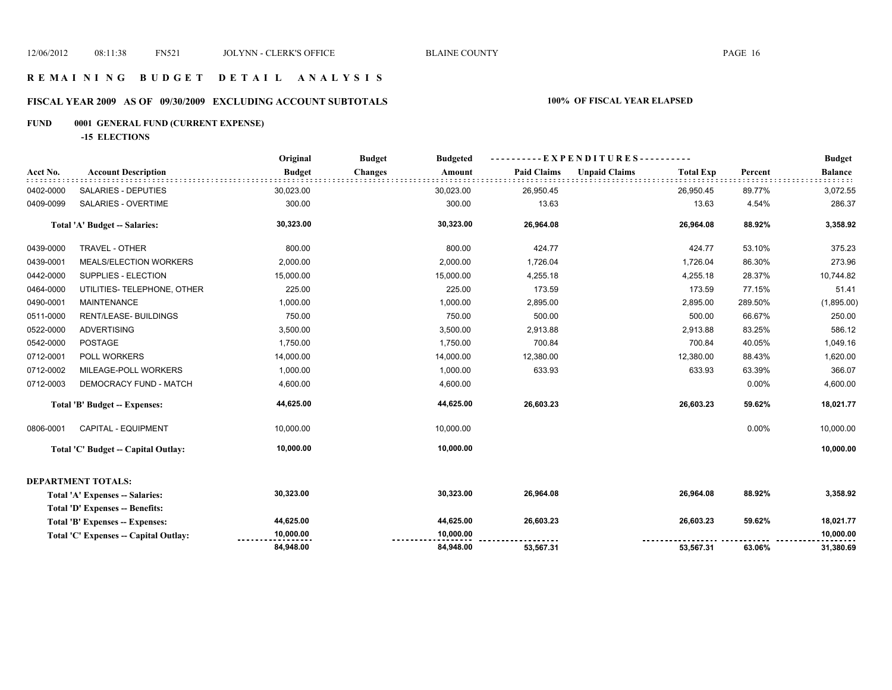### **R E M A I N I N G B U D G E T D E T A I L A N A L Y S I S**

# **FISCAL YEAR 2009 AS OF 09/30/2009 EXCLUDING ACCOUNT SUBTOTALS 100% OF FISCAL YEAR ELAPSED**

# **FUND 0001 GENERAL FUND (CURRENT EXPENSE)**

**-15 ELECTIONS**

|           |                                        | Original      | <b>Budget</b><br><b>Budgeted</b> | - EXPENDITURES - - |                                          | <b>Budget</b> |                |
|-----------|----------------------------------------|---------------|----------------------------------|--------------------|------------------------------------------|---------------|----------------|
| Acct No.  | <b>Account Description</b>             | <b>Budget</b> | <b>Changes</b><br>Amount         | <b>Paid Claims</b> | <b>Unpaid Claims</b><br><b>Total Exp</b> | Percent       | <b>Balance</b> |
| 0402-0000 | <b>SALARIES - DEPUTIES</b>             | 30,023.00     | 30,023.00                        | 26,950.45          | 26,950.45                                | 89.77%        | 3,072.55       |
| 0409-0099 | SALARIES - OVERTIME                    | 300.00        | 300.00                           | 13.63              | 13.63                                    | 4.54%         | 286.37         |
|           | Total 'A' Budget -- Salaries:          | 30,323.00     | 30,323.00                        | 26,964.08          | 26,964.08                                | 88.92%        | 3,358.92       |
| 0439-0000 | TRAVEL - OTHER                         | 800.00        | 800.00                           | 424.77             | 424.77                                   | 53.10%        | 375.23         |
| 0439-0001 | MEALS/ELECTION WORKERS                 | 2,000.00      | 2,000.00                         | 1,726.04           | 1,726.04                                 | 86.30%        | 273.96         |
| 0442-0000 | SUPPLIES - ELECTION                    | 15,000.00     | 15,000.00                        | 4,255.18           | 4,255.18                                 | 28.37%        | 10,744.82      |
| 0464-0000 | UTILITIES- TELEPHONE, OTHER            | 225.00        | 225.00                           | 173.59             | 173.59                                   | 77.15%        | 51.41          |
| 0490-0001 | <b>MAINTENANCE</b>                     | 1,000.00      | 1,000.00                         | 2,895.00           | 2,895.00                                 | 289.50%       | (1,895.00)     |
| 0511-0000 | <b>RENT/LEASE- BUILDINGS</b>           | 750.00        | 750.00                           | 500.00             | 500.00                                   | 66.67%        | 250.00         |
| 0522-0000 | <b>ADVERTISING</b>                     | 3,500.00      | 3,500.00                         | 2,913.88           | 2,913.88                                 | 83.25%        | 586.12         |
| 0542-0000 | POSTAGE                                | 1,750.00      | 1,750.00                         | 700.84             | 700.84                                   | 40.05%        | 1,049.16       |
| 0712-0001 | POLL WORKERS                           | 14,000.00     | 14,000.00                        | 12,380.00          | 12,380.00                                | 88.43%        | 1,620.00       |
| 0712-0002 | MILEAGE-POLL WORKERS                   | 1,000.00      | 1,000.00                         | 633.93             | 633.93                                   | 63.39%        | 366.07         |
| 0712-0003 | DEMOCRACY FUND - MATCH                 | 4,600.00      | 4,600.00                         |                    |                                          | 0.00%         | 4,600.00       |
|           | Total 'B' Budget -- Expenses:          | 44,625.00     | 44,625.00                        | 26,603.23          | 26,603.23                                | 59.62%        | 18,021.77      |
| 0806-0001 | <b>CAPITAL - EQUIPMENT</b>             | 10,000.00     | 10,000.00                        |                    |                                          | 0.00%         | 10,000.00      |
|           | Total 'C' Budget -- Capital Outlay:    | 10,000.00     | 10,000.00                        |                    |                                          |               | 10,000.00      |
|           | DEPARTMENT TOTALS:                     |               |                                  |                    |                                          |               |                |
|           | Total 'A' Expenses -- Salaries:        | 30,323.00     | 30,323.00                        | 26,964.08          | 26,964.08                                | 88.92%        | 3,358.92       |
|           | <b>Total 'D' Expenses -- Benefits:</b> |               |                                  |                    |                                          |               |                |
|           | Total 'B' Expenses -- Expenses:        | 44,625.00     | 44,625.00                        | 26,603.23          | 26,603.23                                | 59.62%        | 18,021.77      |
|           | Total 'C' Expenses -- Capital Outlay:  | 10,000.00     | 10,000.00                        |                    |                                          |               | 10,000.00      |
|           |                                        | 84,948.00     | 84,948.00                        | 53,567.31          | 53,567.31                                | 63.06%        | 31,380.69      |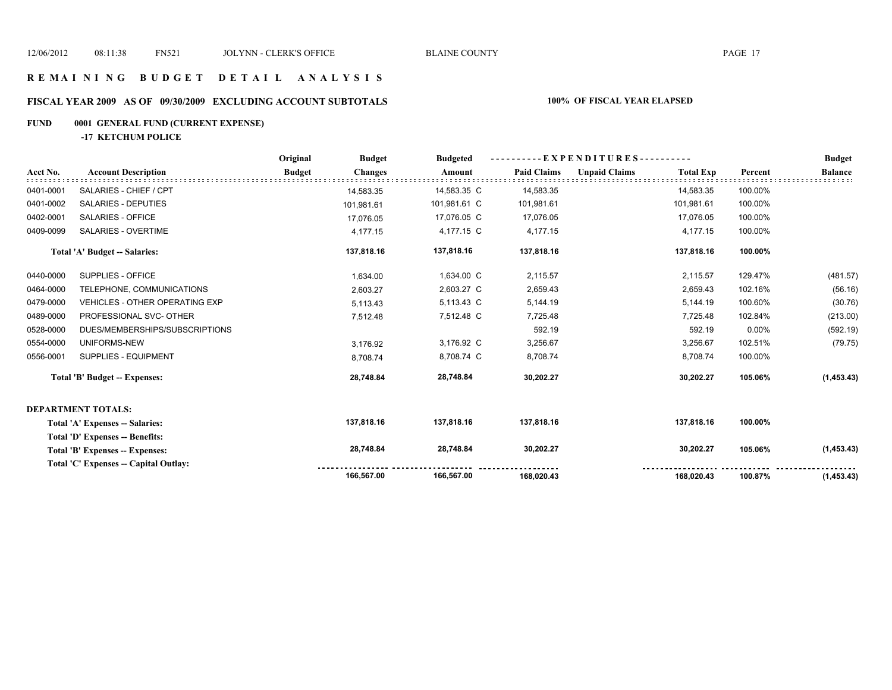# **FISCAL YEAR 2009 AS OF 09/30/2009 EXCLUDING ACCOUNT SUBTOTALS 100% OF FISCAL YEAR ELAPSED**

#### **FUND 0001 GENERAL FUND (CURRENT EXPENSE)**

**-17 KETCHUM POLICE**

|           |                                       | Original      | <b>Budget</b>  | <b>Budgeted</b> | - E X P E N D I T U R E S - - - - - - - - - |                      |                  |          | <b>Budget</b>  |
|-----------|---------------------------------------|---------------|----------------|-----------------|---------------------------------------------|----------------------|------------------|----------|----------------|
| Acct No.  | <b>Account Description</b>            | <b>Budget</b> | <b>Changes</b> | Amount          | <b>Paid Claims</b>                          | <b>Unpaid Claims</b> | <b>Total Exp</b> | Percent  | <b>Balance</b> |
| 0401-0001 | SALARIES - CHIEF / CPT                |               | 14,583.35      | 14,583.35 C     | 14,583.35                                   |                      | 14,583.35        | 100.00%  |                |
| 0401-0002 | SALARIES - DEPUTIES                   |               | 101,981.61     | 101,981.61 C    | 101,981.61                                  |                      | 101,981.61       | 100.00%  |                |
| 0402-0001 | SALARIES - OFFICE                     |               | 17,076.05      | 17,076.05 C     | 17,076.05                                   |                      | 17,076.05        | 100.00%  |                |
| 0409-0099 | SALARIES - OVERTIME                   |               | 4,177.15       | 4,177.15 C      | 4,177.15                                    |                      | 4,177.15         | 100.00%  |                |
|           | Total 'A' Budget -- Salaries:         |               | 137,818.16     | 137,818.16      | 137,818.16                                  |                      | 137,818.16       | 100.00%  |                |
| 0440-0000 | SUPPLIES - OFFICE                     |               | 1,634.00       | 1,634.00 C      | 2,115.57                                    |                      | 2,115.57         | 129.47%  | (481.57)       |
| 0464-0000 | TELEPHONE, COMMUNICATIONS             |               | 2,603.27       | 2,603.27 C      | 2,659.43                                    |                      | 2,659.43         | 102.16%  | (56.16)        |
| 0479-0000 | <b>VEHICLES - OTHER OPERATING EXP</b> |               | 5,113.43       | 5,113.43 C      | 5,144.19                                    |                      | 5,144.19         | 100.60%  | (30.76)        |
| 0489-0000 | PROFESSIONAL SVC- OTHER               |               | 7,512.48       | 7,512.48 C      | 7,725.48                                    |                      | 7,725.48         | 102.84%  | (213.00)       |
| 0528-0000 | DUES/MEMBERSHIPS/SUBSCRIPTIONS        |               |                |                 | 592.19                                      |                      | 592.19           | $0.00\%$ | (592.19)       |
| 0554-0000 | UNIFORMS-NEW                          |               | 3,176.92       | 3,176.92 C      | 3,256.67                                    |                      | 3,256.67         | 102.51%  | (79.75)        |
| 0556-0001 | SUPPLIES - EQUIPMENT                  |               | 8,708.74       | 8,708.74 C      | 8,708.74                                    |                      | 8,708.74         | 100.00%  |                |
|           | <b>Total 'B' Budget -- Expenses:</b>  |               | 28,748.84      | 28,748.84       | 30,202.27                                   |                      | 30,202.27        | 105.06%  | (1,453.43)     |
|           | <b>DEPARTMENT TOTALS:</b>             |               |                |                 |                                             |                      |                  |          |                |
|           | Total 'A' Expenses -- Salaries:       |               | 137,818.16     | 137,818.16      | 137,818.16                                  |                      | 137,818.16       | 100.00%  |                |
|           | Total 'D' Expenses -- Benefits:       |               |                |                 |                                             |                      |                  |          |                |
|           | Total 'B' Expenses -- Expenses:       |               | 28,748.84      | 28,748.84       | 30,202.27                                   |                      | 30,202.27        | 105.06%  | (1,453.43)     |
|           | Total 'C' Expenses -- Capital Outlay: |               |                |                 |                                             |                      |                  |          |                |
|           |                                       |               | 166,567.00     | 166,567.00      | 168,020.43                                  |                      | 168,020.43       | 100.87%  | (1,453.43)     |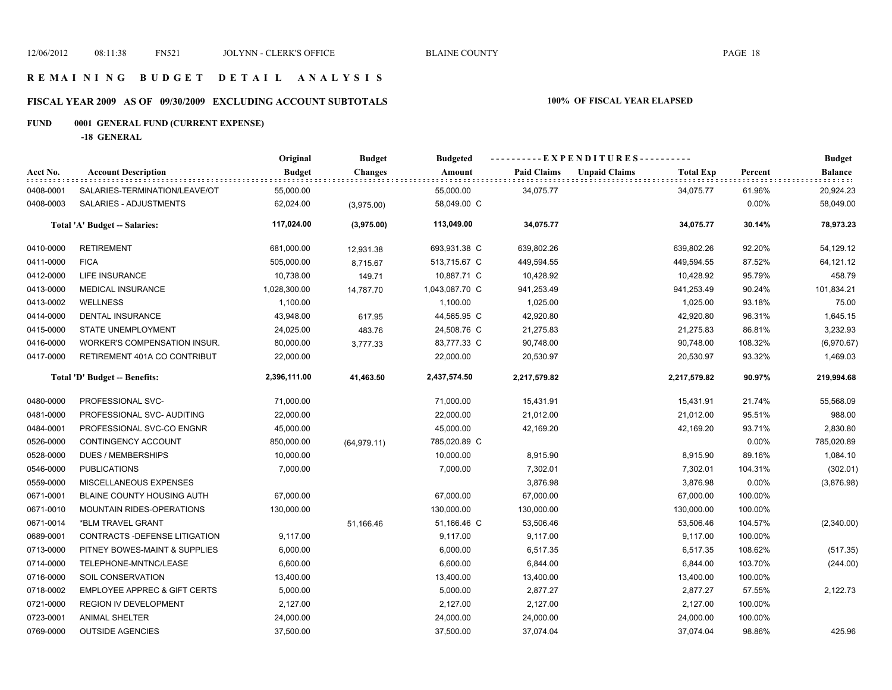### **R E M A I N I N G B U D G E T D E T A I L A N A L Y S I S**

# **FISCAL YEAR 2009 AS OF 09/30/2009 EXCLUDING ACCOUNT SUBTOTALS 100% OF FISCAL YEAR ELAPSED**

# **FUND 0001 GENERAL FUND (CURRENT EXPENSE)**

**-18 GENERAL**

|           |                                         | Original      | <b>Budget</b>  | <b>Budgeted</b> |                    | ----------EXPENDITURES----------         |         | <b>Budget</b>  |
|-----------|-----------------------------------------|---------------|----------------|-----------------|--------------------|------------------------------------------|---------|----------------|
| Acct No.  | <b>Account Description</b>              | <b>Budget</b> | <b>Changes</b> | Amount          | <b>Paid Claims</b> | <b>Unpaid Claims</b><br><b>Total Exp</b> | Percent | <b>Balance</b> |
| 0408-0001 | SALARIES-TERMINATION/LEAVE/OT           | 55,000.00     |                | 55,000.00       | 34,075.77          | 34,075.77                                | 61.96%  | 20,924.23      |
| 0408-0003 | SALARIES - ADJUSTMENTS                  | 62,024.00     | (3,975.00)     | 58,049.00 C     |                    |                                          | 0.00%   | 58,049.00      |
|           | Total 'A' Budget -- Salaries:           | 117,024.00    | (3,975.00)     | 113,049.00      | 34,075.77          | 34,075.77                                | 30.14%  | 78,973.23      |
| 0410-0000 | <b>RETIREMENT</b>                       | 681,000.00    | 12,931.38      | 693,931.38 C    | 639,802.26         | 639,802.26                               | 92.20%  | 54,129.12      |
| 0411-0000 | <b>FICA</b>                             | 505,000.00    | 8,715.67       | 513,715.67 C    | 449,594.55         | 449,594.55                               | 87.52%  | 64,121.12      |
| 0412-0000 | LIFE INSURANCE                          | 10,738.00     | 149.71         | 10,887.71 C     | 10,428.92          | 10,428.92                                | 95.79%  | 458.79         |
| 0413-0000 | <b>MEDICAL INSURANCE</b>                | 1,028,300.00  | 14,787.70      | 1,043,087.70 C  | 941,253.49         | 941,253.49                               | 90.24%  | 101,834.21     |
| 0413-0002 | <b>WELLNESS</b>                         | 1,100.00      |                | 1,100.00        | 1,025.00           | 1,025.00                                 | 93.18%  | 75.00          |
| 0414-0000 | DENTAL INSURANCE                        | 43,948.00     | 617.95         | 44,565.95 C     | 42,920.80          | 42,920.80                                | 96.31%  | 1,645.15       |
| 0415-0000 | <b>STATE UNEMPLOYMENT</b>               | 24,025.00     | 483.76         | 24,508.76 C     | 21,275.83          | 21,275.83                                | 86.81%  | 3,232.93       |
| 0416-0000 | WORKER'S COMPENSATION INSUR.            | 80,000.00     | 3,777.33       | 83,777.33 C     | 90,748.00          | 90,748.00                                | 108.32% | (6,970.67)     |
| 0417-0000 | RETIREMENT 401A CO CONTRIBUT            | 22,000.00     |                | 22,000.00       | 20,530.97          | 20,530.97                                | 93.32%  | 1,469.03       |
|           | Total 'D' Budget -- Benefits:           | 2,396,111.00  | 41,463.50      | 2,437,574.50    | 2,217,579.82       | 2,217,579.82                             | 90.97%  | 219,994.68     |
| 0480-0000 | PROFESSIONAL SVC-                       | 71,000.00     |                | 71,000.00       | 15,431.91          | 15,431.91                                | 21.74%  | 55,568.09      |
| 0481-0000 | PROFESSIONAL SVC- AUDITING              | 22,000.00     |                | 22,000.00       | 21,012.00          | 21,012.00                                | 95.51%  | 988.00         |
| 0484-0001 | PROFESSIONAL SVC-CO ENGNR               | 45,000.00     |                | 45,000.00       | 42,169.20          | 42,169.20                                | 93.71%  | 2,830.80       |
| 0526-0000 | CONTINGENCY ACCOUNT                     | 850,000.00    | (64, 979.11)   | 785,020.89 C    |                    |                                          | 0.00%   | 785,020.89     |
| 0528-0000 | <b>DUES / MEMBERSHIPS</b>               | 10,000.00     |                | 10,000.00       | 8,915.90           | 8,915.90                                 | 89.16%  | 1,084.10       |
| 0546-0000 | <b>PUBLICATIONS</b>                     | 7,000.00      |                | 7,000.00        | 7,302.01           | 7,302.01                                 | 104.31% | (302.01)       |
| 0559-0000 | MISCELLANEOUS EXPENSES                  |               |                |                 | 3,876.98           | 3,876.98                                 | 0.00%   | (3,876.98)     |
| 0671-0001 | BLAINE COUNTY HOUSING AUTH              | 67,000.00     |                | 67,000.00       | 67,000.00          | 67,000.00                                | 100.00% |                |
| 0671-0010 | <b>MOUNTAIN RIDES-OPERATIONS</b>        | 130,000.00    |                | 130,000.00      | 130,000.00         | 130,000.00                               | 100.00% |                |
| 0671-0014 | *BLM TRAVEL GRANT                       |               | 51,166.46      | 51,166.46 C     | 53,506.46          | 53,506.46                                | 104.57% | (2,340.00)     |
| 0689-0001 | CONTRACTS - DEFENSE LITIGATION          | 9,117.00      |                | 9,117.00        | 9,117.00           | 9,117.00                                 | 100.00% |                |
| 0713-0000 | PITNEY BOWES-MAINT & SUPPLIES           | 6,000.00      |                | 6,000.00        | 6,517.35           | 6,517.35                                 | 108.62% | (517.35)       |
| 0714-0000 | TELEPHONE-MNTNC/LEASE                   | 6,600.00      |                | 6,600.00        | 6,844.00           | 6,844.00                                 | 103.70% | (244.00)       |
| 0716-0000 | SOIL CONSERVATION                       | 13,400.00     |                | 13,400.00       | 13,400.00          | 13,400.00                                | 100.00% |                |
| 0718-0002 | <b>EMPLOYEE APPREC &amp; GIFT CERTS</b> | 5,000.00      |                | 5,000.00        | 2,877.27           | 2,877.27                                 | 57.55%  | 2,122.73       |
| 0721-0000 | REGION IV DEVELOPMENT                   | 2,127.00      |                | 2,127.00        | 2,127.00           | 2,127.00                                 | 100.00% |                |
| 0723-0001 | <b>ANIMAL SHELTER</b>                   | 24,000.00     |                | 24,000.00       | 24,000.00          | 24,000.00                                | 100.00% |                |
| 0769-0000 | <b>OUTSIDE AGENCIES</b>                 | 37,500.00     |                | 37,500.00       | 37,074.04          | 37,074.04                                | 98.86%  | 425.96         |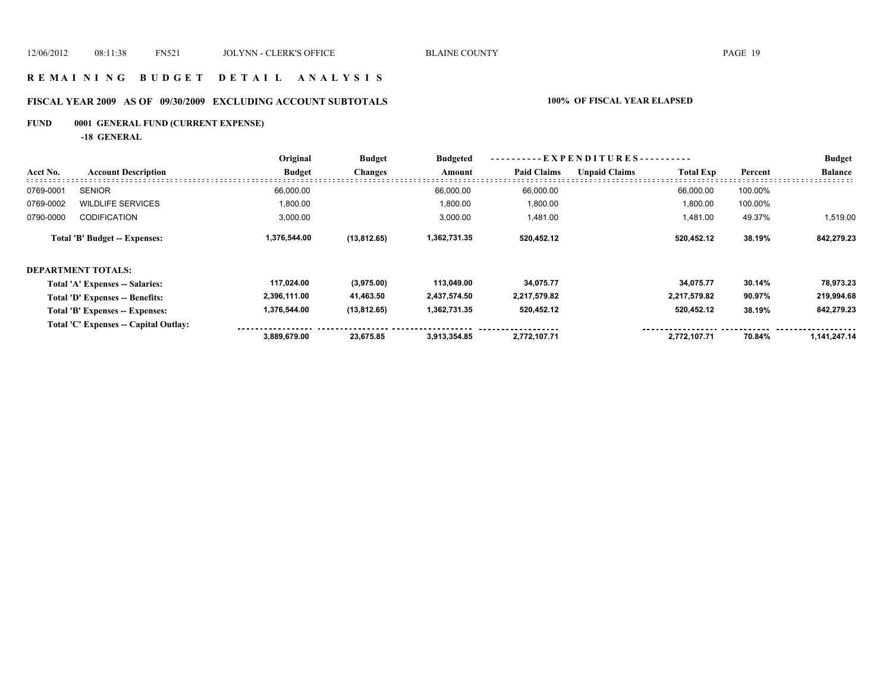#### **R E M A I N I N G B U D G E T D E T A I L A N A L Y S I S**

# **FISCAL YEAR 2009 AS OF 09/30/2009 EXCLUDING ACCOUNT SUBTOTALS 100% OF FISCAL YEAR ELAPSED**

# **FUND 0001 GENERAL FUND (CURRENT EXPENSE)**

**-18 GENERAL**

|           |                                       | Original      | <b>Budget</b>  | <b>Budgeted</b><br>Amount | - E X P E N D I T U R E S - - · |                      |                  |         | <b>Budget</b>  |
|-----------|---------------------------------------|---------------|----------------|---------------------------|---------------------------------|----------------------|------------------|---------|----------------|
| Acct No.  | <b>Account Description</b>            | <b>Budget</b> | <b>Changes</b> |                           | <b>Paid Claims</b>              | <b>Unpaid Claims</b> | <b>Total Exp</b> | Percent | <b>Balance</b> |
| 0769-0001 | <b>SENIOR</b>                         | 66,000.00     |                | 66,000.00                 | 66,000.00                       |                      | 66,000.00        | 100.00% |                |
| 0769-0002 | <b>WILDLIFE SERVICES</b>              | 1,800.00      |                | 1,800.00                  | 1,800.00                        |                      | 1,800.00         | 100.00% |                |
| 0790-0000 | <b>CODIFICATION</b>                   | 3,000.00      |                | 3,000.00                  | 1,481.00                        |                      | 1,481.00         | 49.37%  | 1,519.00       |
|           | Total 'B' Budget -- Expenses:         | 1,376,544.00  | (13, 812.65)   | 1,362,731.35              | 520,452.12                      |                      | 520,452.12       | 38.19%  | 842,279.23     |
|           | <b>DEPARTMENT TOTALS:</b>             |               |                |                           |                                 |                      |                  |         |                |
|           | Total 'A' Expenses -- Salaries:       | 117,024.00    | (3,975.00)     | 113,049.00                | 34,075.77                       |                      | 34,075.77        | 30.14%  | 78,973.23      |
|           | Total 'D' Expenses -- Benefits:       | 2,396,111.00  | 41,463.50      | 2,437,574.50              | 2,217,579.82                    |                      | 2,217,579.82     | 90.97%  | 219,994.68     |
|           | Total 'B' Expenses -- Expenses:       | 1,376,544.00  | (13,812.65)    | 1,362,731.35              | 520,452.12                      |                      | 520,452.12       | 38.19%  | 842,279.23     |
|           | Total 'C' Expenses -- Capital Outlay: |               |                |                           |                                 |                      |                  |         |                |
|           |                                       | 3,889,679.00  | 23,675.85      | 3.913.354.85              | 2,772,107.71                    |                      | 2,772,107.71     | 70.84%  | 1,141,247.14   |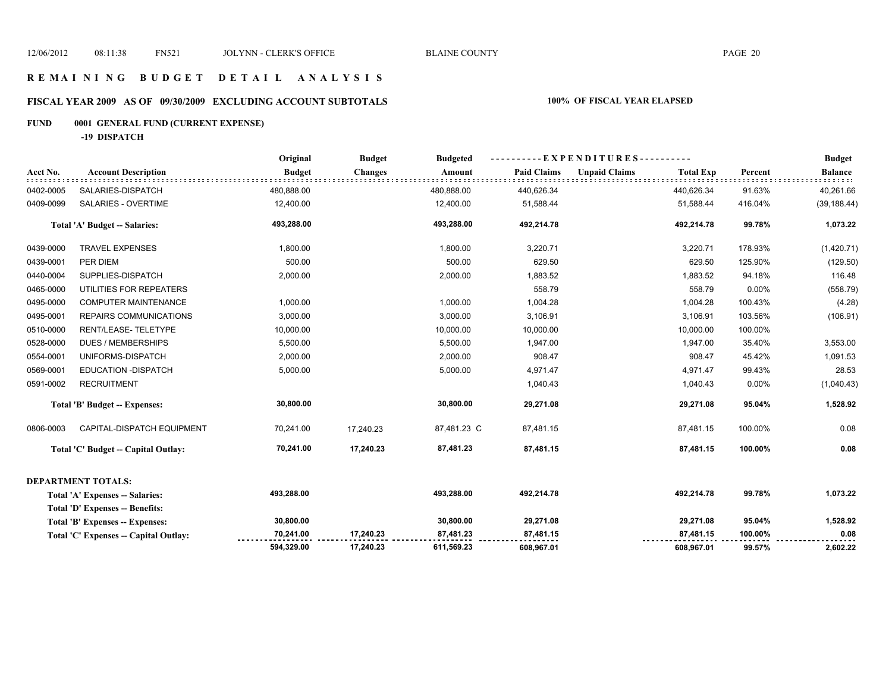#### **R E M A I N I N G B U D G E T D E T A I L A N A L Y S I S**

# **FISCAL YEAR 2009 AS OF 09/30/2009 EXCLUDING ACCOUNT SUBTOTALS 100% OF FISCAL YEAR ELAPSED**

# **FUND 0001 GENERAL FUND (CURRENT EXPENSE)**

**-19 DISPATCH**

|           |                                        | Original      | <b>Budget</b>  | <b>Budgeted</b> | EXPENDITURES---------- |                      |                  |         | <b>Budget</b>  |
|-----------|----------------------------------------|---------------|----------------|-----------------|------------------------|----------------------|------------------|---------|----------------|
| Acct No.  | <b>Account Description</b>             | <b>Budget</b> | <b>Changes</b> | Amount          | <b>Paid Claims</b>     | <b>Unpaid Claims</b> | <b>Total Exp</b> | Percent | <b>Balance</b> |
| 0402-0005 | SALARIES-DISPATCH                      | 480,888.00    |                | 480,888.00      | 440,626.34             |                      | 440,626.34       | 91.63%  | 40,261.66      |
| 0409-0099 | SALARIES - OVERTIME                    | 12,400.00     |                | 12,400.00       | 51,588.44              |                      | 51,588.44        | 416.04% | (39, 188.44)   |
|           | Total 'A' Budget -- Salaries:          | 493,288.00    |                | 493,288.00      | 492,214.78             |                      | 492,214.78       | 99.78%  | 1,073.22       |
| 0439-0000 | <b>TRAVEL EXPENSES</b>                 | 1,800.00      |                | 1,800.00        | 3,220.71               |                      | 3,220.71         | 178.93% | (1,420.71)     |
| 0439-0001 | PER DIEM                               | 500.00        |                | 500.00          | 629.50                 |                      | 629.50           | 125.90% | (129.50)       |
| 0440-0004 | SUPPLIES-DISPATCH                      | 2,000.00      |                | 2,000.00        | 1,883.52               |                      | 1,883.52         | 94.18%  | 116.48         |
| 0465-0000 | UTILITIES FOR REPEATERS                |               |                |                 | 558.79                 |                      | 558.79           | 0.00%   | (558.79)       |
| 0495-0000 | <b>COMPUTER MAINTENANCE</b>            | 1,000.00      |                | 1,000.00        | 1,004.28               |                      | 1,004.28         | 100.43% | (4.28)         |
| 0495-0001 | REPAIRS COMMUNICATIONS                 | 3,000.00      |                | 3,000.00        | 3,106.91               |                      | 3,106.91         | 103.56% | (106.91)       |
| 0510-0000 | RENT/LEASE-TELETYPE                    | 10,000.00     |                | 10,000.00       | 10,000.00              |                      | 10,000.00        | 100.00% |                |
| 0528-0000 | <b>DUES / MEMBERSHIPS</b>              | 5,500.00      |                | 5,500.00        | 1,947.00               |                      | 1,947.00         | 35.40%  | 3,553.00       |
| 0554-0001 | UNIFORMS-DISPATCH                      | 2,000.00      |                | 2,000.00        | 908.47                 |                      | 908.47           | 45.42%  | 1,091.53       |
| 0569-0001 | <b>EDUCATION - DISPATCH</b>            | 5,000.00      |                | 5,000.00        | 4,971.47               |                      | 4,971.47         | 99.43%  | 28.53          |
| 0591-0002 | <b>RECRUITMENT</b>                     |               |                |                 | 1,040.43               |                      | 1,040.43         | 0.00%   | (1,040.43)     |
|           | Total 'B' Budget -- Expenses:          | 30,800.00     |                | 30,800.00       | 29,271.08              |                      | 29,271.08        | 95.04%  | 1,528.92       |
| 0806-0003 | CAPITAL-DISPATCH EQUIPMENT             | 70,241.00     | 17.240.23      | 87,481.23 C     | 87,481.15              |                      | 87,481.15        | 100.00% | 0.08           |
|           | Total 'C' Budget -- Capital Outlay:    | 70,241.00     | 17,240.23      | 87,481.23       | 87,481.15              |                      | 87,481.15        | 100.00% | 0.08           |
|           | <b>DEPARTMENT TOTALS:</b>              |               |                |                 |                        |                      |                  |         |                |
|           | Total 'A' Expenses -- Salaries:        | 493,288.00    |                | 493,288.00      | 492,214.78             |                      | 492,214.78       | 99.78%  | 1,073.22       |
|           | <b>Total 'D' Expenses -- Benefits:</b> |               |                |                 |                        |                      |                  |         |                |
|           | Total 'B' Expenses -- Expenses:        | 30,800.00     |                | 30,800.00       | 29,271.08              |                      | 29,271.08        | 95.04%  | 1,528.92       |
|           | Total 'C' Expenses -- Capital Outlay:  | 70,241.00     | 17,240.23      | 87,481.23       | 87,481.15              |                      | 87,481.15        | 100.00% | 0.08           |
|           |                                        | 594,329.00    | 17,240.23      | 611,569.23      | 608,967.01             |                      | 608,967.01       | 99.57%  | 2,602.22       |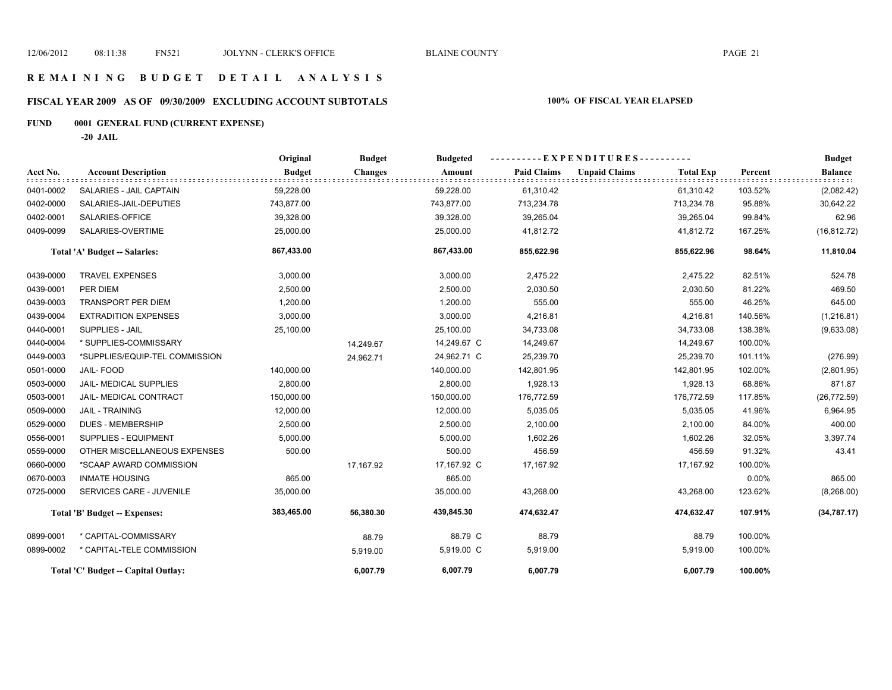# **FISCAL YEAR 2009 AS OF 09/30/2009 EXCLUDING ACCOUNT SUBTOTALS 100% OF FISCAL YEAR ELAPSED**

# **FUND 0001 GENERAL FUND (CURRENT EXPENSE)**

**-20 JAIL**

|           |                                     | Original      | <b>Budget</b>  | <b>Budgeted</b> | $-EXPENDITURES---$ |                      |                  |         | <b>Budget</b>  |
|-----------|-------------------------------------|---------------|----------------|-----------------|--------------------|----------------------|------------------|---------|----------------|
| Acct No.  | <b>Account Description</b>          | <b>Budget</b> | <b>Changes</b> | Amount          | <b>Paid Claims</b> | <b>Unpaid Claims</b> | <b>Total Exp</b> | Percent | <b>Balance</b> |
| 0401-0002 | SALARIES - JAIL CAPTAIN             | 59,228.00     |                | 59,228.00       | 61,310.42          |                      | 61,310.42        | 103.52% | (2,082.42)     |
| 0402-0000 | SALARIES-JAIL-DEPUTIES              | 743,877.00    |                | 743,877.00      | 713,234.78         |                      | 713,234.78       | 95.88%  | 30,642.22      |
| 0402-0001 | SALARIES-OFFICE                     | 39,328.00     |                | 39,328.00       | 39,265.04          |                      | 39,265.04        | 99.84%  | 62.96          |
| 0409-0099 | SALARIES-OVERTIME                   | 25,000.00     |                | 25,000.00       | 41,812.72          |                      | 41,812.72        | 167.25% | (16, 812.72)   |
|           | Total 'A' Budget -- Salaries:       | 867,433.00    |                | 867,433.00      | 855,622.96         |                      | 855,622.96       | 98.64%  | 11,810.04      |
| 0439-0000 | <b>TRAVEL EXPENSES</b>              | 3,000.00      |                | 3,000.00        | 2,475.22           |                      | 2,475.22         | 82.51%  | 524.78         |
| 0439-0001 | PER DIEM                            | 2,500.00      |                | 2,500.00        | 2,030.50           |                      | 2,030.50         | 81.22%  | 469.50         |
| 0439-0003 | <b>TRANSPORT PER DIEM</b>           | 1,200.00      |                | 1,200.00        | 555.00             |                      | 555.00           | 46.25%  | 645.00         |
| 0439-0004 | <b>EXTRADITION EXPENSES</b>         | 3,000.00      |                | 3,000.00        | 4,216.81           |                      | 4,216.81         | 140.56% | (1,216.81)     |
| 0440-0001 | <b>SUPPLIES - JAIL</b>              | 25,100.00     |                | 25,100.00       | 34,733.08          |                      | 34,733.08        | 138.38% | (9,633.08)     |
| 0440-0004 | * SUPPLIES-COMMISSARY               |               | 14,249.67      | 14,249.67 C     | 14,249.67          |                      | 14,249.67        | 100.00% |                |
| 0449-0003 | *SUPPLIES/EQUIP-TEL COMMISSION      |               | 24,962.71      | 24,962.71 C     | 25,239.70          |                      | 25,239.70        | 101.11% | (276.99)       |
| 0501-0000 | JAIL-FOOD                           | 140,000.00    |                | 140,000.00      | 142,801.95         |                      | 142,801.95       | 102.00% | (2,801.95)     |
| 0503-0000 | <b>JAIL- MEDICAL SUPPLIES</b>       | 2,800.00      |                | 2,800.00        | 1,928.13           |                      | 1,928.13         | 68.86%  | 871.87         |
| 0503-0001 | JAIL- MEDICAL CONTRACT              | 150,000.00    |                | 150,000.00      | 176,772.59         |                      | 176,772.59       | 117.85% | (26, 772.59)   |
| 0509-0000 | <b>JAIL - TRAINING</b>              | 12,000.00     |                | 12,000.00       | 5,035.05           |                      | 5,035.05         | 41.96%  | 6,964.95       |
| 0529-0000 | <b>DUES - MEMBERSHIP</b>            | 2,500.00      |                | 2,500.00        | 2,100.00           |                      | 2,100.00         | 84.00%  | 400.00         |
| 0556-0001 | SUPPLIES - EQUIPMENT                | 5,000.00      |                | 5,000.00        | 1,602.26           |                      | 1,602.26         | 32.05%  | 3,397.74       |
| 0559-0000 | OTHER MISCELLANEOUS EXPENSES        | 500.00        |                | 500.00          | 456.59             |                      | 456.59           | 91.32%  | 43.41          |
| 0660-0000 | *SCAAP AWARD COMMISSION             |               | 17,167.92      | 17,167.92 C     | 17,167.92          |                      | 17,167.92        | 100.00% |                |
| 0670-0003 | <b>INMATE HOUSING</b>               | 865.00        |                | 865.00          |                    |                      |                  | 0.00%   | 865.00         |
| 0725-0000 | SERVICES CARE - JUVENILE            | 35,000.00     |                | 35,000.00       | 43,268.00          |                      | 43,268.00        | 123.62% | (8,268.00)     |
|           | Total 'B' Budget -- Expenses:       | 383,465.00    | 56,380.30      | 439,845.30      | 474,632.47         |                      | 474,632.47       | 107.91% | (34, 787.17)   |
| 0899-0001 | * CAPITAL-COMMISSARY                |               | 88.79          | 88.79 C         | 88.79              |                      | 88.79            | 100.00% |                |
| 0899-0002 | * CAPITAL-TELE COMMISSION           |               | 5,919.00       | 5,919.00 C      | 5,919.00           |                      | 5,919.00         | 100.00% |                |
|           | Total 'C' Budget -- Capital Outlay: |               | 6.007.79       | 6,007.79        | 6,007.79           |                      | 6,007.79         | 100.00% |                |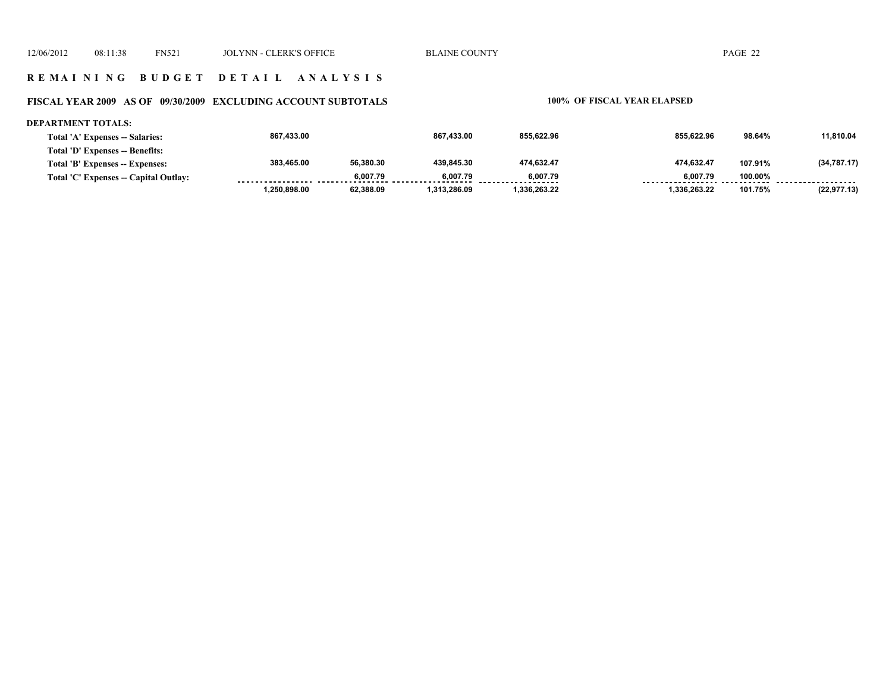#### **R E M A I N I N G B U D G E T D E T A I L A N A L Y S I S**

#### **FISCAL YEAR 2009 AS OF 09/30/2009 EXCLUDING ACCOUNT SUBTOTALS 100% OF FISCAL YEAR ELAPSED**

#### **DEPARTMENT TOTALS:**

| Total 'A' Expenses -- Salaries:       | 867.433.00   |           | 867.433.00   | 855.622.96  | 855.622.96   | 98.64%  | 11.810.04    |
|---------------------------------------|--------------|-----------|--------------|-------------|--------------|---------|--------------|
| Total 'D' Expenses -- Benefits:       |              |           |              |             |              |         |              |
| Total 'B' Expenses -- Expenses:       | 383.465.00   | 56.380.30 | 439.845.30   | 474.632.47  | 474.632.47   | 107.91% | (34, 787.17) |
| Total 'C' Expenses -- Capital Outlay: |              | 6.007.79  | 6.007.79     | 6.007.79    | 6.007.79     | 100.00% |              |
|                                       | 1.250.898.00 | 62.388.09 | 1.313.286.09 | .336.263.22 | 1.336.263.22 | 101.75% | (22, 977.13) |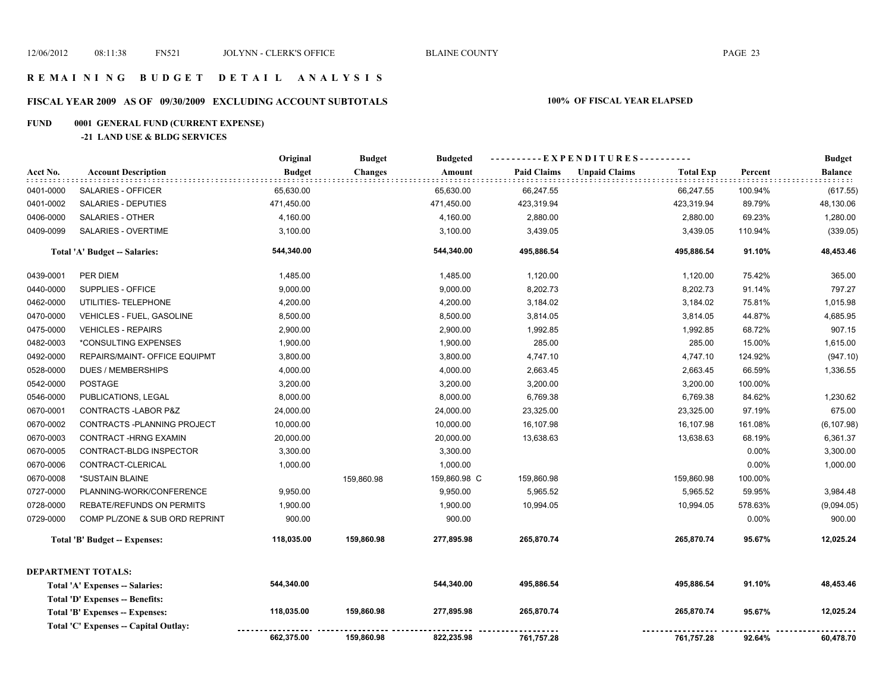# **FISCAL YEAR 2009 AS OF 09/30/2009 EXCLUDING ACCOUNT SUBTOTALS 100% OF FISCAL YEAR ELAPSED**

# **FUND 0001 GENERAL FUND (CURRENT EXPENSE)**

#### **-21 LAND USE & BLDG SERVICES**

|           |                                       | Original      | <b>Budget</b>  | <b>Budgeted</b> | ----------EXPENDITURES---------- |                      |                  |         | <b>Budget</b>                      |
|-----------|---------------------------------------|---------------|----------------|-----------------|----------------------------------|----------------------|------------------|---------|------------------------------------|
| Acct No.  | <b>Account Description</b>            | <b>Budget</b> | <b>Changes</b> | Amount          | <b>Paid Claims</b>               | <b>Unpaid Claims</b> | <b>Total Exp</b> | Percent | <b>Balance</b><br>: : : : <b>:</b> |
| 0401-0000 | SALARIES - OFFICER                    | 65,630.00     |                | 65,630.00       | 66,247.55                        |                      | 66,247.55        | 100.94% | (617.55)                           |
| 0401-0002 | SALARIES - DEPUTIES                   | 471,450.00    |                | 471,450.00      | 423,319.94                       |                      | 423,319.94       | 89.79%  | 48,130.06                          |
| 0406-0000 | <b>SALARIES - OTHER</b>               | 4,160.00      |                | 4,160.00        | 2,880.00                         |                      | 2,880.00         | 69.23%  | 1,280.00                           |
| 0409-0099 | SALARIES - OVERTIME                   | 3,100.00      |                | 3,100.00        | 3,439.05                         |                      | 3,439.05         | 110.94% | (339.05)                           |
|           | Total 'A' Budget -- Salaries:         | 544,340.00    |                | 544,340.00      | 495,886.54                       |                      | 495,886.54       | 91.10%  | 48,453.46                          |
| 0439-0001 | PER DIEM                              | 1,485.00      |                | 1,485.00        | 1,120.00                         |                      | 1,120.00         | 75.42%  | 365.00                             |
| 0440-0000 | SUPPLIES - OFFICE                     | 9,000.00      |                | 9,000.00        | 8,202.73                         |                      | 8,202.73         | 91.14%  | 797.27                             |
| 0462-0000 | UTILITIES- TELEPHONE                  | 4,200.00      |                | 4,200.00        | 3,184.02                         |                      | 3,184.02         | 75.81%  | 1,015.98                           |
| 0470-0000 | <b>VEHICLES - FUEL, GASOLINE</b>      | 8,500.00      |                | 8,500.00        | 3,814.05                         |                      | 3,814.05         | 44.87%  | 4,685.95                           |
| 0475-0000 | <b>VEHICLES - REPAIRS</b>             | 2,900.00      |                | 2,900.00        | 1,992.85                         |                      | 1,992.85         | 68.72%  | 907.15                             |
| 0482-0003 | *CONSULTING EXPENSES                  | 1,900.00      |                | 1,900.00        | 285.00                           |                      | 285.00           | 15.00%  | 1,615.00                           |
| 0492-0000 | REPAIRS/MAINT- OFFICE EQUIPMT         | 3,800.00      |                | 3,800.00        | 4,747.10                         |                      | 4,747.10         | 124.92% | (947.10)                           |
| 0528-0000 | <b>DUES / MEMBERSHIPS</b>             | 4,000.00      |                | 4,000.00        | 2,663.45                         |                      | 2,663.45         | 66.59%  | 1,336.55                           |
| 0542-0000 | <b>POSTAGE</b>                        | 3,200.00      |                | 3,200.00        | 3,200.00                         |                      | 3,200.00         | 100.00% |                                    |
| 0546-0000 | PUBLICATIONS, LEGAL                   | 8,000.00      |                | 8,000.00        | 6,769.38                         |                      | 6,769.38         | 84.62%  | 1,230.62                           |
| 0670-0001 | CONTRACTS-LABOR P&Z                   | 24,000.00     |                | 24,000.00       | 23,325.00                        |                      | 23,325.00        | 97.19%  | 675.00                             |
| 0670-0002 | CONTRACTS - PLANNING PROJECT          | 10,000.00     |                | 10,000.00       | 16,107.98                        |                      | 16,107.98        | 161.08% | (6, 107.98)                        |
| 0670-0003 | CONTRACT -HRNG EXAMIN                 | 20,000.00     |                | 20,000.00       | 13,638.63                        |                      | 13,638.63        | 68.19%  | 6,361.37                           |
| 0670-0005 | CONTRACT-BLDG INSPECTOR               | 3,300.00      |                | 3,300.00        |                                  |                      |                  | 0.00%   | 3,300.00                           |
| 0670-0006 | CONTRACT-CLERICAL                     | 1,000.00      |                | 1,000.00        |                                  |                      |                  | 0.00%   | 1,000.00                           |
| 0670-0008 | *SUSTAIN BLAINE                       |               | 159,860.98     | 159,860.98 C    | 159,860.98                       |                      | 159,860.98       | 100.00% |                                    |
| 0727-0000 | PLANNING-WORK/CONFERENCE              | 9,950.00      |                | 9,950.00        | 5,965.52                         |                      | 5,965.52         | 59.95%  | 3,984.48                           |
| 0728-0000 | REBATE/REFUNDS ON PERMITS             | 1,900.00      |                | 1,900.00        | 10,994.05                        |                      | 10,994.05        | 578.63% | (9,094.05)                         |
| 0729-0000 | COMP PL/ZONE & SUB ORD REPRINT        | 900.00        |                | 900.00          |                                  |                      |                  | 0.00%   | 900.00                             |
|           | Total 'B' Budget -- Expenses:         | 118,035.00    | 159,860.98     | 277,895.98      | 265,870.74                       |                      | 265,870.74       | 95.67%  | 12,025.24                          |
|           | DEPARTMENT TOTALS:                    |               |                |                 |                                  |                      |                  |         |                                    |
|           | Total 'A' Expenses -- Salaries:       | 544,340.00    |                | 544,340.00      | 495,886.54                       |                      | 495,886.54       | 91.10%  | 48,453.46                          |
|           | Total 'D' Expenses -- Benefits:       |               |                |                 |                                  |                      |                  |         |                                    |
|           | Total 'B' Expenses -- Expenses:       | 118,035.00    | 159,860.98     | 277,895.98      | 265,870.74                       |                      | 265,870.74       | 95.67%  | 12,025.24                          |
|           | Total 'C' Expenses -- Capital Outlay: |               |                |                 |                                  |                      |                  |         |                                    |
|           |                                       | 662,375.00    | 159,860.98     | 822,235.98      | 761,757.28                       |                      | 761,757.28       | 92.64%  | 60,478.70                          |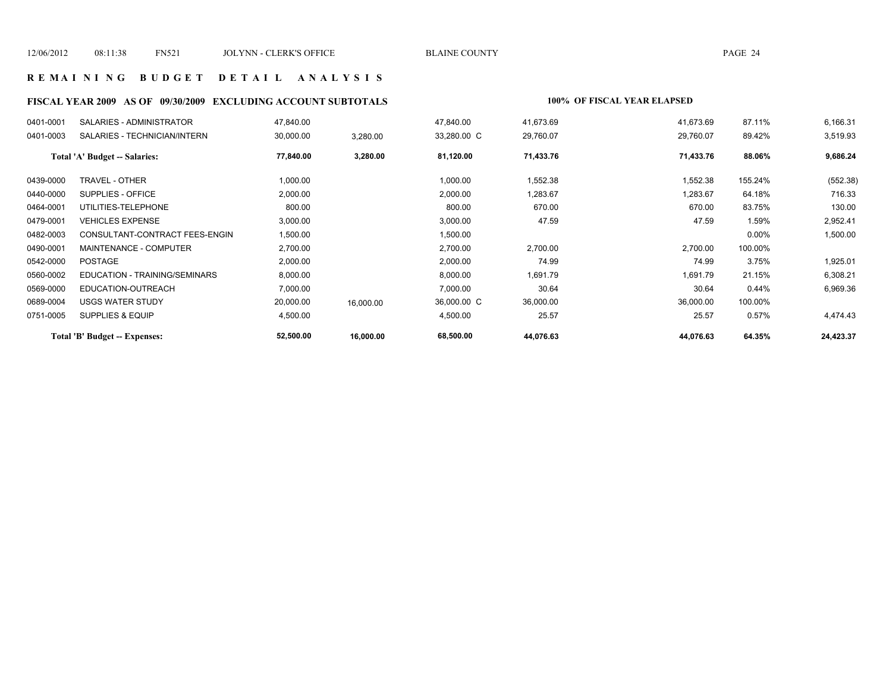#### **R E M A I N I N G B U D G E T D E T A I L A N A L Y S I S**

# **FISCAL YEAR 2009 AS OF 09/30/2009 EXCLUDING ACCOUNT SUBTOTALS 100% OF FISCAL YEAR ELAPSED**

| 0401-0001 | SALARIES - ADMINISTRATOR       | 47,840.00 |           | 47,840.00   | 41,673.69 | 41,673.69 | 87.11%   | 6,166.31  |
|-----------|--------------------------------|-----------|-----------|-------------|-----------|-----------|----------|-----------|
| 0401-0003 | SALARIES - TECHNICIAN/INTERN   | 30,000.00 | 3,280.00  | 33,280.00 C | 29,760.07 | 29,760.07 | 89.42%   | 3,519.93  |
|           | Total 'A' Budget -- Salaries:  | 77,840.00 | 3,280.00  | 81,120.00   | 71,433.76 | 71,433.76 | 88.06%   | 9,686.24  |
| 0439-0000 | TRAVEL - OTHER                 | 1,000.00  |           | 1,000.00    | 1,552.38  | 1,552.38  | 155.24%  | (552.38)  |
| 0440-0000 | SUPPLIES - OFFICE              | 2,000.00  |           | 2,000.00    | 1,283.67  | 1,283.67  | 64.18%   | 716.33    |
| 0464-0001 | UTILITIES-TELEPHONE            | 800.00    |           | 800.00      | 670.00    | 670.00    | 83.75%   | 130.00    |
| 0479-0001 | <b>VEHICLES EXPENSE</b>        | 3,000.00  |           | 3,000.00    | 47.59     | 47.59     | 1.59%    | 2,952.41  |
| 0482-0003 | CONSULTANT-CONTRACT FEES-ENGIN | 1,500.00  |           | 1,500.00    |           |           | $0.00\%$ | 1,500.00  |
| 0490-0001 | <b>MAINTENANCE - COMPUTER</b>  | 2,700.00  |           | 2,700.00    | 2,700.00  | 2,700.00  | 100.00%  |           |
| 0542-0000 | <b>POSTAGE</b>                 | 2,000.00  |           | 2,000.00    | 74.99     | 74.99     | 3.75%    | 1,925.01  |
| 0560-0002 | EDUCATION - TRAINING/SEMINARS  | 8,000.00  |           | 8,000.00    | 1,691.79  | 1,691.79  | 21.15%   | 6,308.21  |
| 0569-0000 | EDUCATION-OUTREACH             | 7,000.00  |           | 7,000.00    | 30.64     | 30.64     | 0.44%    | 6,969.36  |
| 0689-0004 | <b>USGS WATER STUDY</b>        | 20,000.00 | 16,000.00 | 36,000.00 C | 36,000.00 | 36,000.00 | 100.00%  |           |
| 0751-0005 | <b>SUPPLIES &amp; EQUIP</b>    | 4,500.00  |           | 4,500.00    | 25.57     | 25.57     | 0.57%    | 4,474.43  |
|           | Total 'B' Budget -- Expenses:  | 52,500.00 | 16,000.00 | 68,500.00   | 44,076.63 | 44,076.63 | 64.35%   | 24,423.37 |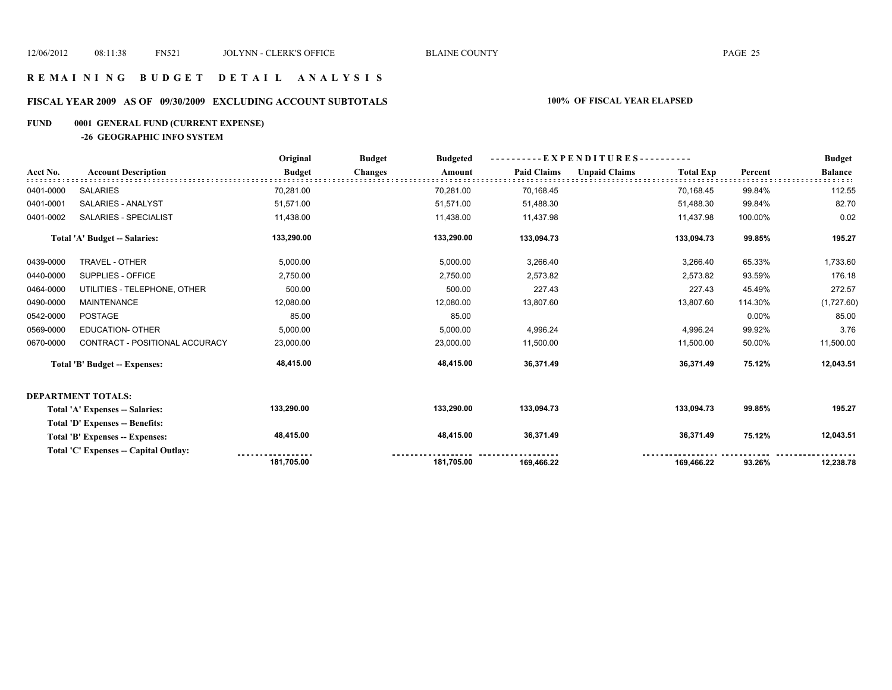# **FISCAL YEAR 2009 AS OF 09/30/2009 EXCLUDING ACCOUNT SUBTOTALS 100% OF FISCAL YEAR ELAPSED**

# **FUND 0001 GENERAL FUND (CURRENT EXPENSE)**

**-26 GEOGRAPHIC INFO SYSTEM**

|           |                                        | Original      | <b>Budget</b><br><b>Budgeted</b> | - EXPENDITURES---------- |                    |                      |                  | <b>Budget</b> |                |
|-----------|----------------------------------------|---------------|----------------------------------|--------------------------|--------------------|----------------------|------------------|---------------|----------------|
| Acct No.  | <b>Account Description</b>             | <b>Budget</b> | <b>Changes</b>                   | Amount                   | <b>Paid Claims</b> | <b>Unpaid Claims</b> | <b>Total Exp</b> | Percent       | <b>Balance</b> |
| 0401-0000 | <b>SALARIES</b>                        | 70,281.00     |                                  | 70,281.00                | 70,168.45          |                      | 70,168.45        | 99.84%        | 112.55         |
| 0401-0001 | SALARIES - ANALYST                     | 51,571.00     |                                  | 51,571.00                | 51,488.30          |                      | 51,488.30        | 99.84%        | 82.70          |
| 0401-0002 | SALARIES - SPECIALIST                  | 11,438.00     |                                  | 11,438.00                | 11,437.98          |                      | 11,437.98        | 100.00%       | 0.02           |
|           | Total 'A' Budget -- Salaries:          | 133,290.00    |                                  | 133,290.00               | 133,094.73         |                      | 133,094.73       | 99.85%        | 195.27         |
| 0439-0000 | TRAVEL - OTHER                         | 5,000.00      |                                  | 5,000.00                 | 3,266.40           |                      | 3,266.40         | 65.33%        | 1,733.60       |
| 0440-0000 | SUPPLIES - OFFICE                      | 2,750.00      |                                  | 2,750.00                 | 2,573.82           |                      | 2,573.82         | 93.59%        | 176.18         |
| 0464-0000 | UTILITIES - TELEPHONE, OTHER           | 500.00        |                                  | 500.00                   | 227.43             |                      | 227.43           | 45.49%        | 272.57         |
| 0490-0000 | <b>MAINTENANCE</b>                     | 12,080.00     |                                  | 12,080.00                | 13,807.60          |                      | 13,807.60        | 114.30%       | (1,727.60)     |
| 0542-0000 | <b>POSTAGE</b>                         | 85.00         |                                  | 85.00                    |                    |                      |                  | 0.00%         | 85.00          |
| 0569-0000 | <b>EDUCATION- OTHER</b>                | 5,000.00      |                                  | 5,000.00                 | 4,996.24           |                      | 4,996.24         | 99.92%        | 3.76           |
| 0670-0000 | CONTRACT - POSITIONAL ACCURACY         | 23,000.00     |                                  | 23,000.00                | 11,500.00          |                      | 11,500.00        | 50.00%        | 11,500.00      |
|           | <b>Total 'B' Budget -- Expenses:</b>   | 48,415.00     |                                  | 48,415.00                | 36,371.49          |                      | 36,371.49        | 75.12%        | 12,043.51      |
|           | <b>DEPARTMENT TOTALS:</b>              |               |                                  |                          |                    |                      |                  |               |                |
|           | Total 'A' Expenses -- Salaries:        | 133,290.00    |                                  | 133,290.00               | 133,094.73         |                      | 133,094.73       | 99.85%        | 195.27         |
|           | <b>Total 'D' Expenses -- Benefits:</b> |               |                                  |                          |                    |                      |                  |               |                |
|           | Total 'B' Expenses -- Expenses:        | 48,415.00     |                                  | 48,415.00                | 36,371.49          |                      | 36,371.49        | 75.12%        | 12,043.51      |
|           | Total 'C' Expenses -- Capital Outlay:  |               |                                  |                          |                    |                      |                  |               |                |
|           |                                        | 181,705.00    |                                  | 181,705.00               | 169,466.22         |                      | 169,466.22       | 93.26%        | 12,238.78      |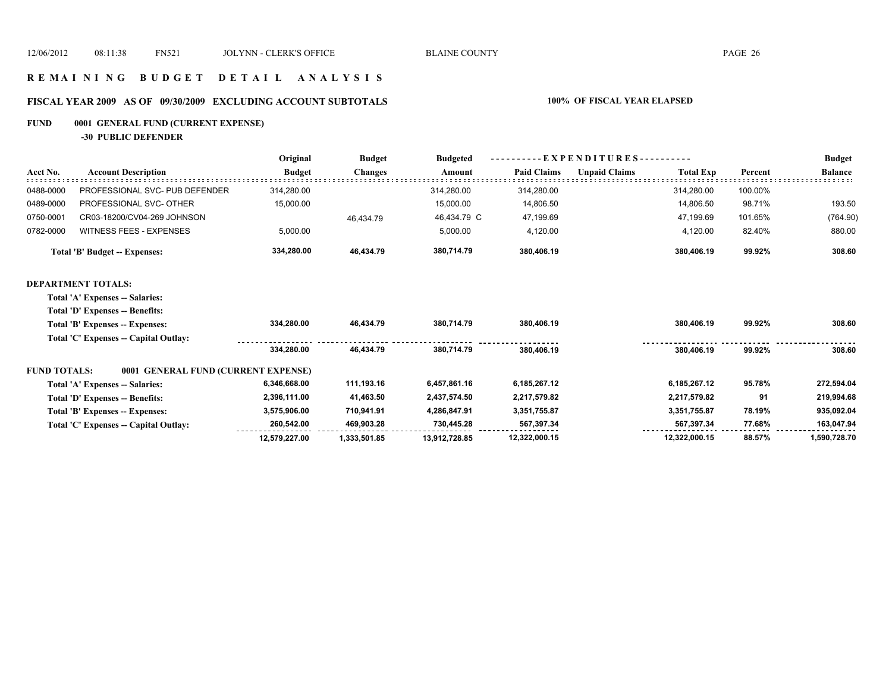# **R E M A I N I N G B U D G E T D E T A I L A N A L Y S I S**

# **FISCAL YEAR 2009 AS OF 09/30/2009 EXCLUDING ACCOUNT SUBTOTALS 100% OF FISCAL YEAR ELAPSED**

# **FUND 0001 GENERAL FUND (CURRENT EXPENSE)**

**-30 PUBLIC DEFENDER**

|                     |                                       | Original      | <b>Budget</b>  | <b>Budgeted</b> | EXPENDITURES-      |                      |                  |         | <b>Budget</b>  |
|---------------------|---------------------------------------|---------------|----------------|-----------------|--------------------|----------------------|------------------|---------|----------------|
| Acct No.            | <b>Account Description</b>            | <b>Budget</b> | <b>Changes</b> | Amount          | <b>Paid Claims</b> | <b>Unpaid Claims</b> | <b>Total Exp</b> | Percent | <b>Balance</b> |
| 0488-0000           | PROFESSIONAL SVC- PUB DEFENDER        | 314,280.00    |                | 314,280.00      | 314,280.00         |                      | 314,280.00       | 100.00% |                |
| 0489-0000           | PROFESSIONAL SVC- OTHER               | 15,000.00     |                | 15,000.00       | 14,806.50          |                      | 14,806.50        | 98.71%  | 193.50         |
| 0750-0001           | CR03-18200/CV04-269 JOHNSON           |               | 46,434.79      | 46,434.79 C     | 47,199.69          |                      | 47,199.69        | 101.65% | (764.90)       |
| 0782-0000           | <b>WITNESS FEES - EXPENSES</b>        | 5,000.00      |                | 5,000.00        | 4,120.00           |                      | 4,120.00         | 82.40%  | 880.00         |
|                     | <b>Total 'B' Budget -- Expenses:</b>  | 334,280.00    | 46,434.79      | 380,714.79      | 380,406.19         |                      | 380,406.19       | 99.92%  | 308.60         |
|                     | <b>DEPARTMENT TOTALS:</b>             |               |                |                 |                    |                      |                  |         |                |
|                     | Total 'A' Expenses -- Salaries:       |               |                |                 |                    |                      |                  |         |                |
|                     | Total 'D' Expenses -- Benefits:       |               |                |                 |                    |                      |                  |         |                |
|                     | Total 'B' Expenses -- Expenses:       | 334,280.00    | 46,434.79      | 380,714.79      | 380,406.19         |                      | 380,406.19       | 99.92%  | 308.60         |
|                     | Total 'C' Expenses -- Capital Outlay: |               |                |                 |                    |                      |                  |         |                |
|                     |                                       | 334.280.00    | 46.434.79      | 380.714.79      | 380,406.19         |                      | 380,406.19       | 99.92%  | 308.60         |
| <b>FUND TOTALS:</b> | 0001 GENERAL FUND (CURRENT EXPENSE)   |               |                |                 |                    |                      |                  |         |                |
|                     | Total 'A' Expenses -- Salaries:       | 6,346,668.00  | 111,193.16     | 6,457,861.16    | 6,185,267.12       |                      | 6,185,267.12     | 95.78%  | 272,594.04     |
|                     | Total 'D' Expenses -- Benefits:       | 2,396,111.00  | 41,463.50      | 2,437,574.50    | 2,217,579.82       |                      | 2,217,579.82     | 91      | 219,994.68     |
|                     | Total 'B' Expenses -- Expenses:       | 3,575,906.00  | 710,941.91     | 4,286,847.91    | 3,351,755.87       |                      | 3,351,755.87     | 78.19%  | 935,092.04     |
|                     | Total 'C' Expenses -- Capital Outlay: | 260.542.00    | 469,903.28     | 730,445.28      | 567,397.34         |                      | 567.397.34       | 77.68%  | 163,047.94     |
|                     |                                       | 12,579,227.00 | 1.333.501.85   | 13,912,728.85   | 12,322,000.15      |                      | 12,322,000.15    | 88.57%  | 1,590,728.70   |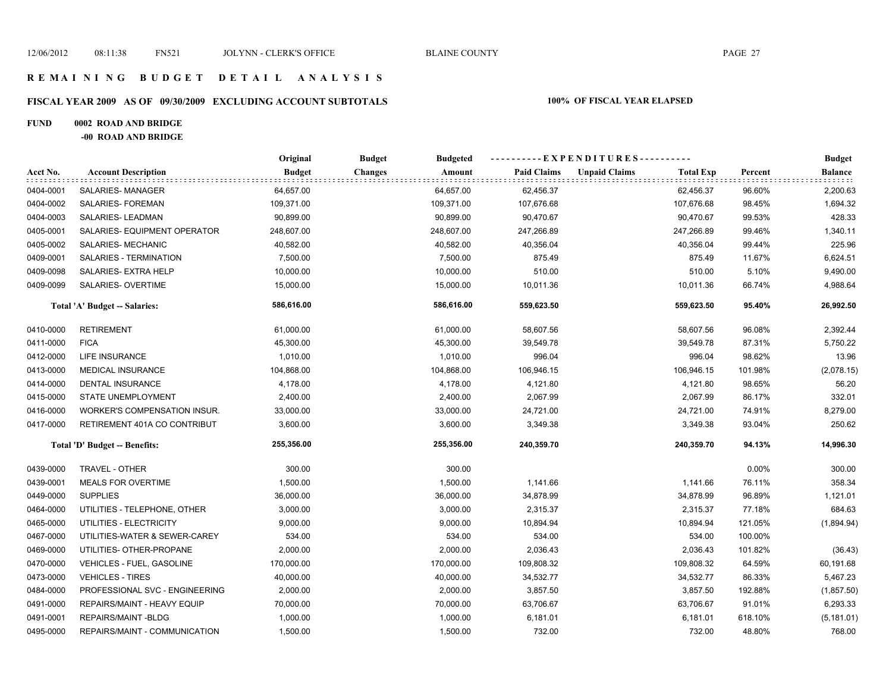# **FISCAL YEAR 2009 AS OF 09/30/2009 EXCLUDING ACCOUNT SUBTOTALS 100% OF FISCAL YEAR ELAPSED**

#### **FUND 0002 ROAD AND BRIDGE**

**-00 ROAD AND BRIDGE**

|           |                                     | Original<br><b>Budget</b><br><b>Budgeted</b> |                          |                    | ----------EXPENDITURES---------- |                  |         | <b>Budget</b>  |
|-----------|-------------------------------------|----------------------------------------------|--------------------------|--------------------|----------------------------------|------------------|---------|----------------|
| Acct No.  | <b>Account Description</b>          | <b>Budget</b>                                | <b>Changes</b><br>Amount | <b>Paid Claims</b> | <b>Unpaid Claims</b>             | <b>Total Exp</b> | Percent | <b>Balance</b> |
| 0404-0001 | SALARIES-MANAGER                    | 64,657.00                                    | 64,657.00                | 62,456.37          |                                  | 62,456.37        | 96.60%  | 2,200.63       |
| 0404-0002 | SALARIES- FOREMAN                   | 109,371.00                                   | 109,371.00               | 107,676.68         |                                  | 107,676.68       | 98.45%  | 1,694.32       |
| 0404-0003 | SALARIES-LEADMAN                    | 90,899.00                                    | 90,899.00                | 90,470.67          |                                  | 90,470.67        | 99.53%  | 428.33         |
| 0405-0001 | SALARIES- EQUIPMENT OPERATOR        | 248,607.00                                   | 248,607.00               | 247,266.89         |                                  | 247,266.89       | 99.46%  | 1,340.11       |
| 0405-0002 | SALARIES- MECHANIC                  | 40,582.00                                    | 40,582.00                | 40,356.04          |                                  | 40,356.04        | 99.44%  | 225.96         |
| 0409-0001 | SALARIES - TERMINATION              | 7,500.00                                     | 7,500.00                 | 875.49             |                                  | 875.49           | 11.67%  | 6,624.51       |
| 0409-0098 | SALARIES- EXTRA HELP                | 10,000.00                                    | 10,000.00                | 510.00             |                                  | 510.00           | 5.10%   | 9,490.00       |
| 0409-0099 | SALARIES- OVERTIME                  | 15,000.00                                    | 15,000.00                | 10,011.36          |                                  | 10,011.36        | 66.74%  | 4,988.64       |
|           | Total 'A' Budget -- Salaries:       | 586,616.00                                   | 586,616.00               | 559,623.50         |                                  | 559,623.50       | 95.40%  | 26,992.50      |
| 0410-0000 | <b>RETIREMENT</b>                   | 61,000.00                                    | 61,000.00                | 58,607.56          |                                  | 58,607.56        | 96.08%  | 2,392.44       |
| 0411-0000 | <b>FICA</b>                         | 45,300.00                                    | 45,300.00                | 39,549.78          |                                  | 39,549.78        | 87.31%  | 5,750.22       |
| 0412-0000 | LIFE INSURANCE                      | 1,010.00                                     | 1,010.00                 | 996.04             |                                  | 996.04           | 98.62%  | 13.96          |
| 0413-0000 | <b>MEDICAL INSURANCE</b>            | 104,868.00                                   | 104,868.00               | 106,946.15         |                                  | 106,946.15       | 101.98% | (2,078.15)     |
| 0414-0000 | DENTAL INSURANCE                    | 4,178.00                                     | 4,178.00                 | 4,121.80           |                                  | 4,121.80         | 98.65%  | 56.20          |
| 0415-0000 | STATE UNEMPLOYMENT                  | 2,400.00                                     | 2,400.00                 | 2,067.99           |                                  | 2,067.99         | 86.17%  | 332.01         |
| 0416-0000 | <b>WORKER'S COMPENSATION INSUR.</b> | 33,000.00                                    | 33,000.00                | 24,721.00          |                                  | 24,721.00        | 74.91%  | 8,279.00       |
| 0417-0000 | RETIREMENT 401A CO CONTRIBUT        | 3,600.00                                     | 3,600.00                 | 3,349.38           |                                  | 3,349.38         | 93.04%  | 250.62         |
|           | Total 'D' Budget -- Benefits:       | 255,356.00                                   | 255,356.00               | 240,359.70         |                                  | 240,359.70       | 94.13%  | 14,996.30      |
| 0439-0000 | TRAVEL - OTHER                      | 300.00                                       | 300.00                   |                    |                                  |                  | 0.00%   | 300.00         |
| 0439-0001 | <b>MEALS FOR OVERTIME</b>           | 1,500.00                                     | 1,500.00                 | 1,141.66           |                                  | 1,141.66         | 76.11%  | 358.34         |
| 0449-0000 | <b>SUPPLIES</b>                     | 36,000.00                                    | 36,000.00                | 34,878.99          |                                  | 34,878.99        | 96.89%  | 1,121.01       |
| 0464-0000 | UTILITIES - TELEPHONE, OTHER        | 3,000.00                                     | 3,000.00                 | 2,315.37           |                                  | 2,315.37         | 77.18%  | 684.63         |
| 0465-0000 | UTILITIES - ELECTRICITY             | 9,000.00                                     | 9,000.00                 | 10,894.94          |                                  | 10,894.94        | 121.05% | (1,894.94)     |
| 0467-0000 | UTILITIES-WATER & SEWER-CAREY       | 534.00                                       | 534.00                   | 534.00             |                                  | 534.00           | 100.00% |                |
| 0469-0000 | UTILITIES- OTHER-PROPANE            | 2,000.00                                     | 2,000.00                 | 2,036.43           |                                  | 2,036.43         | 101.82% | (36.43)        |
| 0470-0000 | <b>VEHICLES - FUEL, GASOLINE</b>    | 170,000.00                                   | 170,000.00               | 109,808.32         |                                  | 109,808.32       | 64.59%  | 60,191.68      |
| 0473-0000 | <b>VEHICLES - TIRES</b>             | 40,000.00                                    | 40,000.00                | 34,532.77          |                                  | 34,532.77        | 86.33%  | 5,467.23       |
| 0484-0000 | PROFESSIONAL SVC - ENGINEERING      | 2,000.00                                     | 2,000.00                 | 3,857.50           |                                  | 3,857.50         | 192.88% | (1, 857.50)    |
| 0491-0000 | REPAIRS/MAINT - HEAVY EQUIP         | 70,000.00                                    | 70,000.00                | 63,706.67          |                                  | 63,706.67        | 91.01%  | 6,293.33       |
| 0491-0001 | REPAIRS/MAINT-BLDG                  | 1,000.00                                     | 1,000.00                 | 6,181.01           |                                  | 6,181.01         | 618.10% | (5, 181.01)    |
| 0495-0000 | REPAIRS/MAINT - COMMUNICATION       | 1,500.00                                     | 1,500.00                 | 732.00             |                                  | 732.00           | 48.80%  | 768.00         |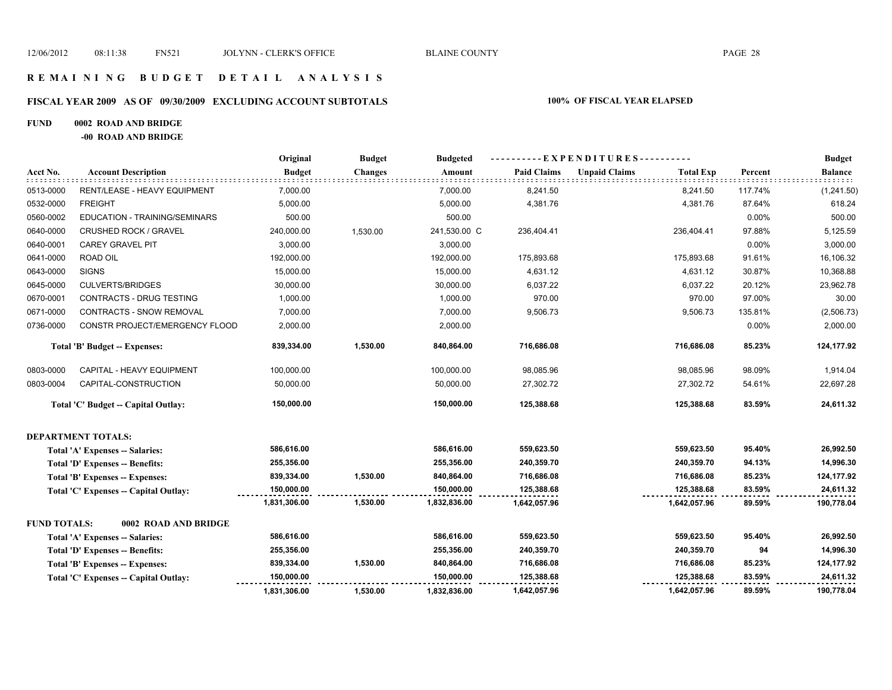# **R E M A I N I N G B U D G E T D E T A I L A N A L Y S I S**

#### **FISCAL YEAR 2009 AS OF 09/30/2009 EXCLUDING ACCOUNT SUBTOTALS 100% OF FISCAL YEAR ELAPSED**

#### **FUND 0002 ROAD AND BRIDGE**

**-00 ROAD AND BRIDGE**

|                     |                                        | Original      | <b>Budget</b>  | <b>Budgeted</b> | . E X P E N D I T U R E S - |                      |                  |         | <b>Budget</b>  |  |
|---------------------|----------------------------------------|---------------|----------------|-----------------|-----------------------------|----------------------|------------------|---------|----------------|--|
| Acct No.            | <b>Account Description</b>             | <b>Budget</b> | <b>Changes</b> | Amount          | <b>Paid Claims</b>          | <b>Unpaid Claims</b> | <b>Total Exp</b> | Percent | <b>Balance</b> |  |
| 0513-0000           | RENT/LEASE - HEAVY EQUIPMENT           | 7,000.00      |                | 7,000.00        | 8,241.50                    |                      | 8,241.50         | 117.74% | (1,241.50)     |  |
| 0532-0000           | <b>FREIGHT</b>                         | 5,000.00      |                | 5,000.00        | 4,381.76                    |                      | 4,381.76         | 87.64%  | 618.24         |  |
| 0560-0002           | EDUCATION - TRAINING/SEMINARS          | 500.00        |                | 500.00          |                             |                      |                  | 0.00%   | 500.00         |  |
| 0640-0000           | <b>CRUSHED ROCK / GRAVEL</b>           | 240,000.00    | 1,530.00       | 241,530.00 C    | 236,404.41                  |                      | 236,404.41       | 97.88%  | 5,125.59       |  |
| 0640-0001           | <b>CAREY GRAVEL PIT</b>                | 3,000.00      |                | 3,000.00        |                             |                      |                  | 0.00%   | 3,000.00       |  |
| 0641-0000           | ROAD OIL                               | 192,000.00    |                | 192,000.00      | 175,893.68                  |                      | 175,893.68       | 91.61%  | 16,106.32      |  |
| 0643-0000           | <b>SIGNS</b>                           | 15,000.00     |                | 15,000.00       | 4,631.12                    |                      | 4,631.12         | 30.87%  | 10,368.88      |  |
| 0645-0000           | <b>CULVERTS/BRIDGES</b>                | 30,000.00     |                | 30,000.00       | 6,037.22                    |                      | 6,037.22         | 20.12%  | 23,962.78      |  |
| 0670-0001           | <b>CONTRACTS - DRUG TESTING</b>        | 1,000.00      |                | 1,000.00        | 970.00                      |                      | 970.00           | 97.00%  | 30.00          |  |
| 0671-0000           | <b>CONTRACTS - SNOW REMOVAL</b>        | 7,000.00      |                | 7,000.00        | 9,506.73                    |                      | 9,506.73         | 135.81% | (2,506.73)     |  |
| 0736-0000           | CONSTR PROJECT/EMERGENCY FLOOD         | 2,000.00      |                | 2,000.00        |                             |                      |                  | 0.00%   | 2,000.00       |  |
|                     | Total 'B' Budget -- Expenses:          | 839,334.00    | 1,530.00       | 840,864.00      | 716,686.08                  |                      | 716,686.08       | 85.23%  | 124,177.92     |  |
| 0803-0000           | CAPITAL - HEAVY EQUIPMENT              | 100,000.00    |                | 100,000.00      | 98,085.96                   |                      | 98,085.96        | 98.09%  | 1,914.04       |  |
| 0803-0004           | CAPITAL-CONSTRUCTION                   | 50,000.00     |                | 50,000.00       | 27,302.72                   |                      | 27,302.72        | 54.61%  | 22,697.28      |  |
|                     | Total 'C' Budget -- Capital Outlay:    | 150,000.00    |                | 150,000.00      | 125,388.68                  |                      | 125,388.68       | 83.59%  | 24,611.32      |  |
|                     | <b>DEPARTMENT TOTALS:</b>              |               |                |                 |                             |                      |                  |         |                |  |
|                     | <b>Total 'A' Expenses -- Salaries:</b> | 586,616.00    |                | 586,616.00      | 559,623.50                  |                      | 559,623.50       | 95.40%  | 26,992.50      |  |
|                     | <b>Total 'D' Expenses -- Benefits:</b> | 255,356.00    |                | 255,356.00      | 240,359.70                  |                      | 240,359.70       | 94.13%  | 14,996.30      |  |
|                     | Total 'B' Expenses -- Expenses:        | 839,334.00    | 1,530.00       | 840,864.00      | 716,686.08                  |                      | 716,686.08       | 85.23%  | 124,177.92     |  |
|                     | Total 'C' Expenses -- Capital Outlay:  | 150,000.00    |                | 150,000.00      | 125,388.68                  |                      | 125,388.68       | 83.59%  | 24,611.32      |  |
|                     |                                        | 1,831,306.00  | 1,530.00       | 1,832,836.00    | 1,642,057.96                |                      | 1,642,057.96     | 89.59%  | 190,778.04     |  |
| <b>FUND TOTALS:</b> | 0002 ROAD AND BRIDGE                   |               |                |                 |                             |                      |                  |         |                |  |
|                     | Total 'A' Expenses -- Salaries:        | 586,616.00    |                | 586,616.00      | 559,623.50                  |                      | 559,623.50       | 95.40%  | 26,992.50      |  |
|                     | <b>Total 'D' Expenses -- Benefits:</b> | 255,356.00    |                | 255,356.00      | 240,359.70                  |                      | 240,359.70       | 94      | 14,996.30      |  |
|                     | Total 'B' Expenses -- Expenses:        | 839,334.00    | 1,530.00       | 840,864.00      | 716,686.08                  |                      | 716,686.08       | 85.23%  | 124,177.92     |  |
|                     | Total 'C' Expenses -- Capital Outlay:  | 150,000.00    |                | 150,000.00      | 125,388.68                  |                      | 125,388.68       | 83.59%  | 24,611.32      |  |
|                     |                                        | 1,831,306.00  | 1,530.00       | 1,832,836.00    | 1,642,057.96                |                      | 1,642,057.96     | 89.59%  | 190,778.04     |  |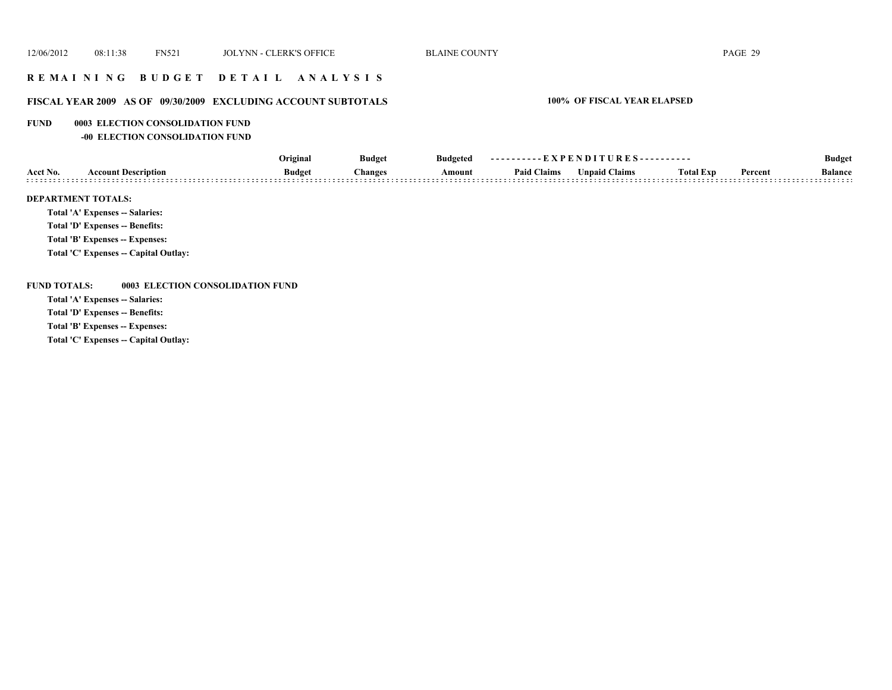### **R E M A I N I N G B U D G E T D E T A I L A N A L Y S I S**

### **FISCAL YEAR 2009 AS OF 09/30/2009 EXCLUDING ACCOUNT SUBTOTALS 100% OF FISCAL YEAR ELAPSED**

#### **FUND 0003 ELECTION CONSOLIDATION FUND**

**-00 ELECTION CONSOLIDATION FUND**

|                           |                                 | Original      | <b>Budget</b> | <b>Budgeted</b> | ----------EXPENDITURES---------- |                      |                  |         | <b>Budget</b>  |
|---------------------------|---------------------------------|---------------|---------------|-----------------|----------------------------------|----------------------|------------------|---------|----------------|
| Acct No.                  | <b>Account Description</b>      | <b>Budget</b> | hanges:       | Amount          | <b>Paid Claims</b>               | <b>Unpaid Claims</b> | <b>Total Exp</b> | Percent | <b>Balance</b> |
| <b>DEPARTMENT TOTALS:</b> | Total 'A' Expenses -- Salaries: |               |               |                 |                                  |                      |                  |         |                |

**Total 'D' Expenses -- Benefits:**

**Total 'B' Expenses -- Expenses:**

**Total 'C' Expenses -- Capital Outlay:**

**FUND TOTALS: 0003 ELECTION CONSOLIDATION FUND**

**Total 'A' Expenses -- Salaries:**

**Total 'D' Expenses -- Benefits:**

**Total 'B' Expenses -- Expenses:**

**Total 'C' Expenses -- Capital Outlay:**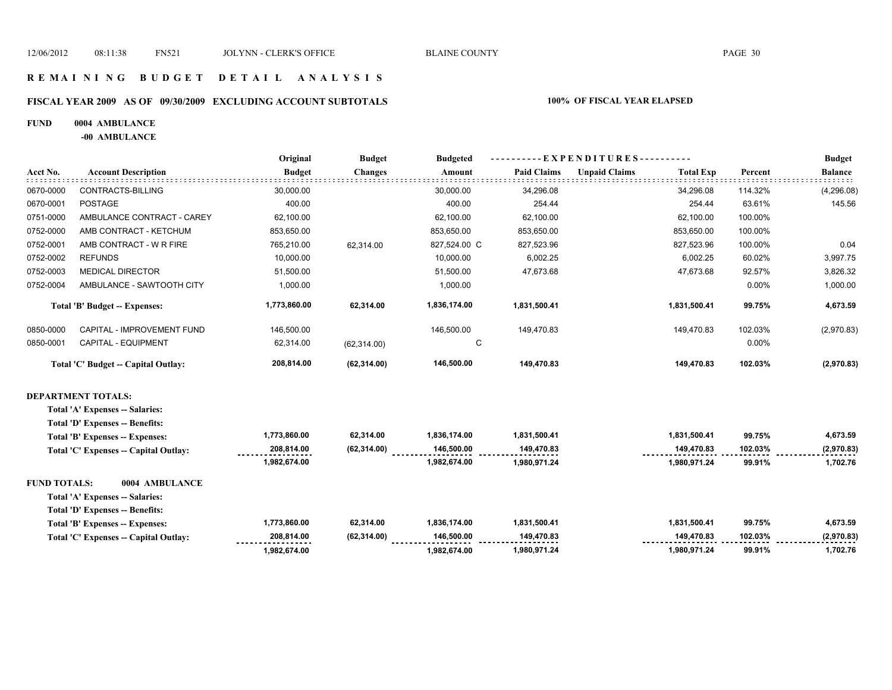# **FISCAL YEAR 2009 AS OF 09/30/2009 EXCLUDING ACCOUNT SUBTOTALS 100% OF FISCAL YEAR ELAPSED**

#### **FUND 0004 AMBULANCE**

**-00 AMBULANCE**

|                     |                                       | Original      | <b>Budget</b>  | <b>Budgeted</b> | ----------EXPENDITURES---------- |                      |                  |         | <b>Budget</b>  |
|---------------------|---------------------------------------|---------------|----------------|-----------------|----------------------------------|----------------------|------------------|---------|----------------|
| Acct No.            | <b>Account Description</b>            | <b>Budget</b> | <b>Changes</b> | Amount          | <b>Paid Claims</b>               | <b>Unpaid Claims</b> | <b>Total Exp</b> | Percent | <b>Balance</b> |
| 0670-0000           | CONTRACTS-BILLING                     | 30,000.00     |                | 30.000.00       | 34,296.08                        |                      | 34,296.08        | 114.32% | (4, 296.08)    |
| 0670-0001           | <b>POSTAGE</b>                        | 400.00        |                | 400.00          | 254.44                           |                      | 254.44           | 63.61%  | 145.56         |
| 0751-0000           | AMBULANCE CONTRACT - CAREY            | 62,100.00     |                | 62.100.00       | 62,100.00                        |                      | 62,100.00        | 100.00% |                |
| 0752-0000           | AMB CONTRACT - KETCHUM                | 853,650.00    |                | 853,650.00      | 853,650.00                       |                      | 853,650.00       | 100.00% |                |
| 0752-0001           | AMB CONTRACT - W R FIRE               | 765,210.00    | 62.314.00      | 827,524.00 C    | 827,523.96                       |                      | 827,523.96       | 100.00% | 0.04           |
| 0752-0002           | <b>REFUNDS</b>                        | 10,000.00     |                | 10,000.00       | 6,002.25                         |                      | 6,002.25         | 60.02%  | 3,997.75       |
| 0752-0003           | <b>MEDICAL DIRECTOR</b>               | 51,500.00     |                | 51,500.00       | 47,673.68                        |                      | 47,673.68        | 92.57%  | 3,826.32       |
| 0752-0004           | AMBULANCE - SAWTOOTH CITY             | 1,000.00      |                | 1,000.00        |                                  |                      |                  | 0.00%   | 1,000.00       |
|                     | Total 'B' Budget -- Expenses:         | 1,773,860.00  | 62,314.00      | 1,836,174.00    | 1,831,500.41                     |                      | 1,831,500.41     | 99.75%  | 4,673.59       |
| 0850-0000           | CAPITAL - IMPROVEMENT FUND            | 146,500.00    |                | 146,500.00      | 149,470.83                       |                      | 149,470.83       | 102.03% | (2,970.83)     |
| 0850-0001           | CAPITAL - EQUIPMENT                   | 62,314.00     | (62, 314.00)   | C               |                                  |                      |                  | 0.00%   |                |
|                     | Total 'C' Budget -- Capital Outlay:   | 208,814.00    | (62, 314.00)   | 146,500.00      | 149,470.83                       |                      | 149,470.83       | 102.03% | (2,970.83)     |
|                     | <b>DEPARTMENT TOTALS:</b>             |               |                |                 |                                  |                      |                  |         |                |
|                     | Total 'A' Expenses -- Salaries:       |               |                |                 |                                  |                      |                  |         |                |
|                     | Total 'D' Expenses -- Benefits:       |               |                |                 |                                  |                      |                  |         |                |
|                     | Total 'B' Expenses -- Expenses:       | 1,773,860.00  | 62,314.00      | 1,836,174.00    | 1,831,500.41                     |                      | 1,831,500.41     | 99.75%  | 4,673.59       |
|                     | Total 'C' Expenses -- Capital Outlay: | 208,814.00    | (62, 314.00)   | 146,500.00      | 149,470.83                       |                      | 149,470.83       | 102.03% | (2,970.83)     |
|                     |                                       | 1,982,674.00  |                | 1,982,674.00    | 1,980,971.24                     |                      | 1,980,971.24     | 99.91%  | 1,702.76       |
| <b>FUND TOTALS:</b> | 0004 AMBULANCE                        |               |                |                 |                                  |                      |                  |         |                |

**Total 'A' Expenses -- Salaries:**

**Total 'D' Expenses -- Benefits:**

| Total 'B' Expenses -- Expenses:       | ,773,860.00                     | 62.314.00    | 1.836.174.00                     | 1.831.500.41   | 1.831.500.41 | 99.75%  | 4.673.59   |
|---------------------------------------|---------------------------------|--------------|----------------------------------|----------------|--------------|---------|------------|
| Total 'C' Expenses -- Capital Outlay: | 208.814.00<br>----------------- | (62, 314.00) | 146.500.00<br>------------------ | 149.470.83<br> | 149.470.83   | 102.03% | (2.970.83) |
|                                       | .982.674.00                     |              | .982.674.00                      | 1,980,971.24   | 1,980,971.24 | 99.91%  | 702.76.    |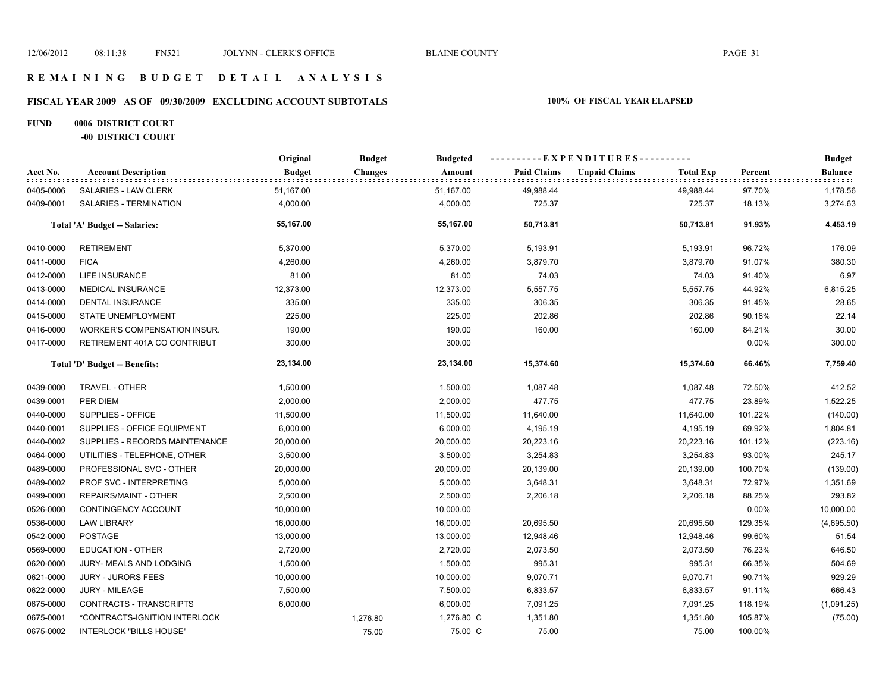# **FISCAL YEAR 2009 AS OF 09/30/2009 EXCLUDING ACCOUNT SUBTOTALS 100% OF FISCAL YEAR ELAPSED**

# **FUND 0006 DISTRICT COURT**

**-00 DISTRICT COURT**

|           |                                | Original      | <b>Budget</b>  | <b>Budgeted</b> | - - E X P E N D I T U R E S - - - - - - - - - - |                      |                  |         | <b>Budget</b> |
|-----------|--------------------------------|---------------|----------------|-----------------|-------------------------------------------------|----------------------|------------------|---------|---------------|
| Acct No.  | <b>Account Description</b>     | <b>Budget</b> | <b>Changes</b> | Amount          | <b>Paid Claims</b>                              | <b>Unpaid Claims</b> | <b>Total Exp</b> | Percent | Balance       |
| 0405-0006 | SALARIES - LAW CLERK           | 51,167.00     |                | 51,167.00       | 49,988.44                                       |                      | 49,988.44        | 97.70%  | 1,178.56      |
| 0409-0001 | SALARIES - TERMINATION         | 4,000.00      |                | 4,000.00        | 725.37                                          |                      | 725.37           | 18.13%  | 3,274.63      |
|           | Total 'A' Budget -- Salaries:  | 55,167.00     |                | 55,167.00       | 50,713.81                                       |                      | 50,713.81        | 91.93%  | 4,453.19      |
| 0410-0000 | <b>RETIREMENT</b>              | 5,370.00      |                | 5,370.00        | 5,193.91                                        |                      | 5,193.91         | 96.72%  | 176.09        |
| 0411-0000 | <b>FICA</b>                    | 4,260.00      |                | 4,260.00        | 3,879.70                                        |                      | 3,879.70         | 91.07%  | 380.30        |
| 0412-0000 | <b>LIFE INSURANCE</b>          | 81.00         |                | 81.00           | 74.03                                           |                      | 74.03            | 91.40%  | 6.97          |
| 0413-0000 | <b>MEDICAL INSURANCE</b>       | 12,373.00     |                | 12,373.00       | 5,557.75                                        |                      | 5,557.75         | 44.92%  | 6,815.25      |
| 0414-0000 | DENTAL INSURANCE               | 335.00        |                | 335.00          | 306.35                                          |                      | 306.35           | 91.45%  | 28.65         |
| 0415-0000 | <b>STATE UNEMPLOYMENT</b>      | 225.00        |                | 225.00          | 202.86                                          |                      | 202.86           | 90.16%  | 22.14         |
| 0416-0000 | WORKER'S COMPENSATION INSUR.   | 190.00        |                | 190.00          | 160.00                                          |                      | 160.00           | 84.21%  | 30.00         |
| 0417-0000 | RETIREMENT 401A CO CONTRIBUT   | 300.00        |                | 300.00          |                                                 |                      |                  | 0.00%   | 300.00        |
|           | Total 'D' Budget -- Benefits:  | 23,134.00     |                | 23,134.00       | 15,374.60                                       |                      | 15,374.60        | 66.46%  | 7,759.40      |
| 0439-0000 | TRAVEL - OTHER                 | 1,500.00      |                | 1,500.00        | 1,087.48                                        |                      | 1,087.48         | 72.50%  | 412.52        |
| 0439-0001 | PER DIEM                       | 2,000.00      |                | 2,000.00        | 477.75                                          |                      | 477.75           | 23.89%  | 1,522.25      |
| 0440-0000 | SUPPLIES - OFFICE              | 11,500.00     |                | 11,500.00       | 11,640.00                                       |                      | 11,640.00        | 101.22% | (140.00)      |
| 0440-0001 | SUPPLIES - OFFICE EQUIPMENT    | 6,000.00      |                | 6,000.00        | 4,195.19                                        |                      | 4,195.19         | 69.92%  | 1,804.81      |
| 0440-0002 | SUPPLIES - RECORDS MAINTENANCE | 20,000.00     |                | 20,000.00       | 20,223.16                                       |                      | 20,223.16        | 101.12% | (223.16)      |
| 0464-0000 | UTILITIES - TELEPHONE, OTHER   | 3,500.00      |                | 3,500.00        | 3,254.83                                        |                      | 3,254.83         | 93.00%  | 245.17        |
| 0489-0000 | PROFESSIONAL SVC - OTHER       | 20,000.00     |                | 20,000.00       | 20,139.00                                       |                      | 20,139.00        | 100.70% | (139.00)      |
| 0489-0002 | PROF SVC - INTERPRETING        | 5,000.00      |                | 5,000.00        | 3,648.31                                        |                      | 3,648.31         | 72.97%  | 1,351.69      |
| 0499-0000 | REPAIRS/MAINT - OTHER          | 2,500.00      |                | 2,500.00        | 2,206.18                                        |                      | 2,206.18         | 88.25%  | 293.82        |
| 0526-0000 | CONTINGENCY ACCOUNT            | 10,000.00     |                | 10,000.00       |                                                 |                      |                  | 0.00%   | 10,000.00     |
| 0536-0000 | <b>LAW LIBRARY</b>             | 16,000.00     |                | 16,000.00       | 20,695.50                                       |                      | 20,695.50        | 129.35% | (4,695.50)    |
| 0542-0000 | <b>POSTAGE</b>                 | 13,000.00     |                | 13,000.00       | 12,948.46                                       |                      | 12,948.46        | 99.60%  | 51.54         |
| 0569-0000 | <b>EDUCATION - OTHER</b>       | 2,720.00      |                | 2,720.00        | 2,073.50                                        |                      | 2,073.50         | 76.23%  | 646.50        |
| 0620-0000 | JURY- MEALS AND LODGING        | 1,500.00      |                | 1,500.00        | 995.31                                          |                      | 995.31           | 66.35%  | 504.69        |
| 0621-0000 | <b>JURY - JURORS FEES</b>      | 10,000.00     |                | 10,000.00       | 9,070.71                                        |                      | 9,070.71         | 90.71%  | 929.29        |
| 0622-0000 | <b>JURY - MILEAGE</b>          | 7,500.00      |                | 7,500.00        | 6,833.57                                        |                      | 6,833.57         | 91.11%  | 666.43        |
| 0675-0000 | CONTRACTS - TRANSCRIPTS        | 6,000.00      |                | 6,000.00        | 7,091.25                                        |                      | 7,091.25         | 118.19% | (1,091.25)    |
| 0675-0001 | *CONTRACTS-IGNITION INTERLOCK  |               | 1,276.80       | 1,276.80 C      | 1,351.80                                        |                      | 1,351.80         | 105.87% | (75.00)       |
| 0675-0002 | <b>INTERLOCK "BILLS HOUSE"</b> |               | 75.00          | 75.00 C         | 75.00                                           |                      | 75.00            | 100.00% |               |
|           |                                |               |                |                 |                                                 |                      |                  |         |               |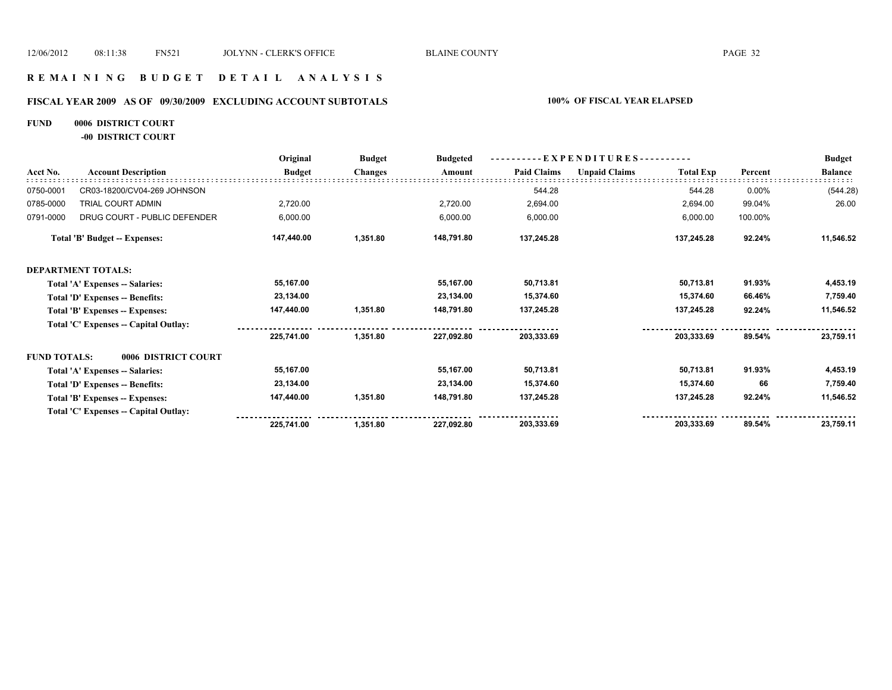#### **R E M A I N I N G B U D G E T D E T A I L A N A L Y S I S**

# **FISCAL YEAR 2009 AS OF 09/30/2009 EXCLUDING ACCOUNT SUBTOTALS 100% OF FISCAL YEAR ELAPSED**

### **FUND 0006 DISTRICT COURT**

**-00 DISTRICT COURT**

|                     |                                       | Original      | <b>Budget</b>  | <b>Budgeted</b> | EXPENDITURES--     |                      |                  |         | <b>Budget</b>  |
|---------------------|---------------------------------------|---------------|----------------|-----------------|--------------------|----------------------|------------------|---------|----------------|
| Acct No.            | <b>Account Description</b>            | <b>Budget</b> | <b>Changes</b> | Amount          | <b>Paid Claims</b> | <b>Unpaid Claims</b> | <b>Total Exp</b> | Percent | <b>Balance</b> |
| 0750-0001           | CR03-18200/CV04-269 JOHNSON           |               |                |                 | 544.28             |                      | 544.28           | 0.00%   | (544.28)       |
| 0785-0000           | TRIAL COURT ADMIN                     | 2,720.00      |                | 2,720.00        | 2,694.00           |                      | 2,694.00         | 99.04%  | 26.00          |
| 0791-0000           | DRUG COURT - PUBLIC DEFENDER          | 6,000.00      |                | 6,000.00        | 6,000.00           |                      | 6,000.00         | 100.00% |                |
|                     | <b>Total 'B' Budget -- Expenses:</b>  | 147,440.00    | 1,351.80       | 148,791.80      | 137,245.28         |                      | 137,245.28       | 92.24%  | 11,546.52      |
|                     | <b>DEPARTMENT TOTALS:</b>             |               |                |                 |                    |                      |                  |         |                |
|                     | Total 'A' Expenses -- Salaries:       | 55,167.00     |                | 55,167.00       | 50,713.81          |                      | 50,713.81        | 91.93%  | 4,453.19       |
|                     | Total 'D' Expenses -- Benefits:       | 23,134.00     |                | 23,134.00       | 15,374.60          |                      | 15.374.60        | 66.46%  | 7,759.40       |
|                     | Total 'B' Expenses -- Expenses:       | 147,440.00    | 1,351.80       | 148,791.80      | 137,245.28         |                      | 137,245.28       | 92.24%  | 11,546.52      |
|                     | Total 'C' Expenses -- Capital Outlay: |               |                |                 |                    |                      |                  |         |                |
|                     |                                       | 225,741.00    | 1,351.80       | 227,092.80      | 203,333.69         |                      | 203,333.69       | 89.54%  | 23,759.11      |
| <b>FUND TOTALS:</b> | 0006 DISTRICT COURT                   |               |                |                 |                    |                      |                  |         |                |
|                     | Total 'A' Expenses -- Salaries:       | 55,167.00     |                | 55,167.00       | 50,713.81          |                      | 50,713.81        | 91.93%  | 4,453.19       |
|                     | Total 'D' Expenses -- Benefits:       | 23,134.00     |                | 23,134.00       | 15,374.60          |                      | 15,374.60        | 66      | 7,759.40       |
|                     | Total 'B' Expenses -- Expenses:       | 147,440.00    | 1,351.80       | 148,791.80      | 137,245.28         |                      | 137,245.28       | 92.24%  | 11,546.52      |
|                     | Total 'C' Expenses -- Capital Outlay: |               |                |                 |                    |                      |                  |         |                |
|                     |                                       | 225,741.00    | 1,351.80       | 227,092.80      | 203,333.69         |                      | 203,333.69       | 89.54%  | 23,759.11      |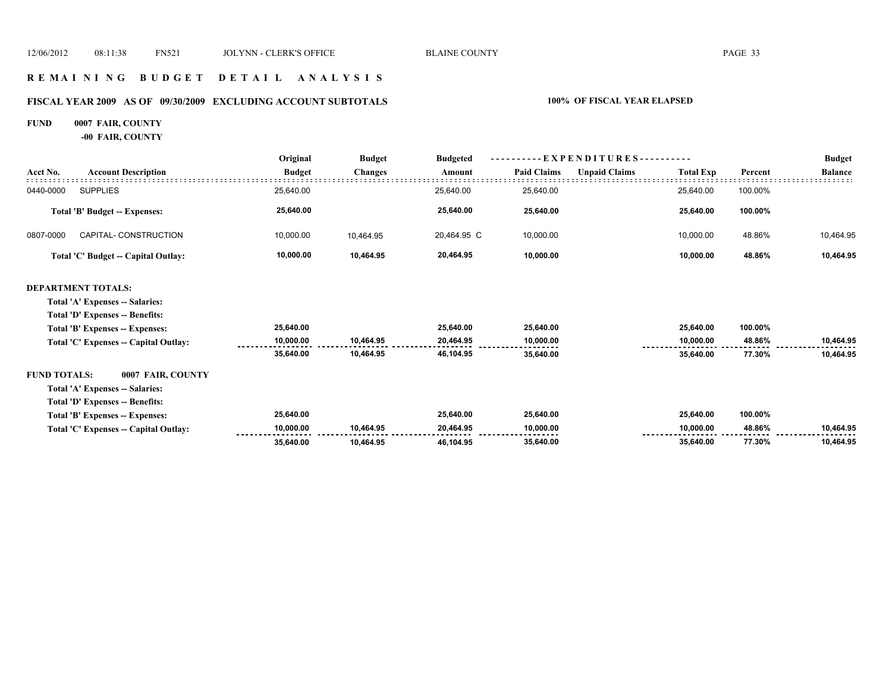#### **R E M A I N I N G B U D G E T D E T A I L A N A L Y S I S**

# **FISCAL YEAR 2009 AS OF 09/30/2009 EXCLUDING ACCOUNT SUBTOTALS 100% OF FISCAL YEAR ELAPSED**

# **FUND 0007 FAIR, COUNTY**

**-00 FAIR, COUNTY**

|                     |                                       | Original      | <b>Budget</b><br><b>Budgeted</b> | - EXPENDITURES---------- |                    |                      |                  | <b>Budget</b> |                |
|---------------------|---------------------------------------|---------------|----------------------------------|--------------------------|--------------------|----------------------|------------------|---------------|----------------|
| Acct No.            | <b>Account Description</b>            | <b>Budget</b> | <b>Changes</b>                   | Amount                   | <b>Paid Claims</b> | <b>Unpaid Claims</b> | <b>Total Exp</b> | Percent       | <b>Balance</b> |
| 0440-0000           | <b>SUPPLIES</b>                       | 25,640.00     |                                  | 25,640.00                | 25,640.00          |                      | 25,640.00        | 100.00%       |                |
|                     | <b>Total 'B' Budget -- Expenses:</b>  | 25,640.00     |                                  | 25,640.00                | 25,640.00          |                      | 25,640.00        | 100.00%       |                |
| 0807-0000           | CAPITAL- CONSTRUCTION                 | 10,000.00     | 10,464.95                        | 20,464.95 C              | 10,000.00          |                      | 10,000.00        | 48.86%        | 10,464.95      |
|                     | Total 'C' Budget -- Capital Outlay:   | 10,000.00     | 10,464.95                        | 20,464.95                | 10,000.00          |                      | 10,000.00        | 48.86%        | 10,464.95      |
|                     | <b>DEPARTMENT TOTALS:</b>             |               |                                  |                          |                    |                      |                  |               |                |
|                     | Total 'A' Expenses -- Salaries:       |               |                                  |                          |                    |                      |                  |               |                |
|                     | Total 'D' Expenses -- Benefits:       |               |                                  |                          |                    |                      |                  |               |                |
|                     | Total 'B' Expenses -- Expenses:       | 25,640.00     |                                  | 25,640.00                | 25,640.00          |                      | 25,640.00        | 100.00%       |                |
|                     | Total 'C' Expenses -- Capital Outlay: | 10.000.00     | 10,464.95                        | 20,464.95                | 10,000.00          |                      | 10.000.00        | 48.86%        | 10,464.95      |
|                     |                                       | 35,640.00     | 10,464.95                        | 46,104.95                | 35,640.00          |                      | 35,640.00        | 77.30%        | 10,464.95      |
| <b>FUND TOTALS:</b> | 0007 FAIR, COUNTY                     |               |                                  |                          |                    |                      |                  |               |                |
|                     | Total 'A' Expenses -- Salaries:       |               |                                  |                          |                    |                      |                  |               |                |
|                     | Total 'D' Expenses -- Benefits:       |               |                                  |                          |                    |                      |                  |               |                |
|                     | Total 'B' Expenses -- Expenses:       | 25,640.00     |                                  | 25,640.00                | 25,640.00          |                      | 25,640.00        | 100.00%       |                |
|                     | Total 'C' Expenses -- Capital Outlay: | 10,000.00     | 10,464.95                        | 20,464.95                | 10,000.00          |                      | 10.000.00        | 48.86%        | 10,464.95      |
|                     |                                       | 35,640.00     | 10.464.95                        | 46.104.95                | 35,640.00          |                      | 35,640.00        | 77.30%        | 10,464.95      |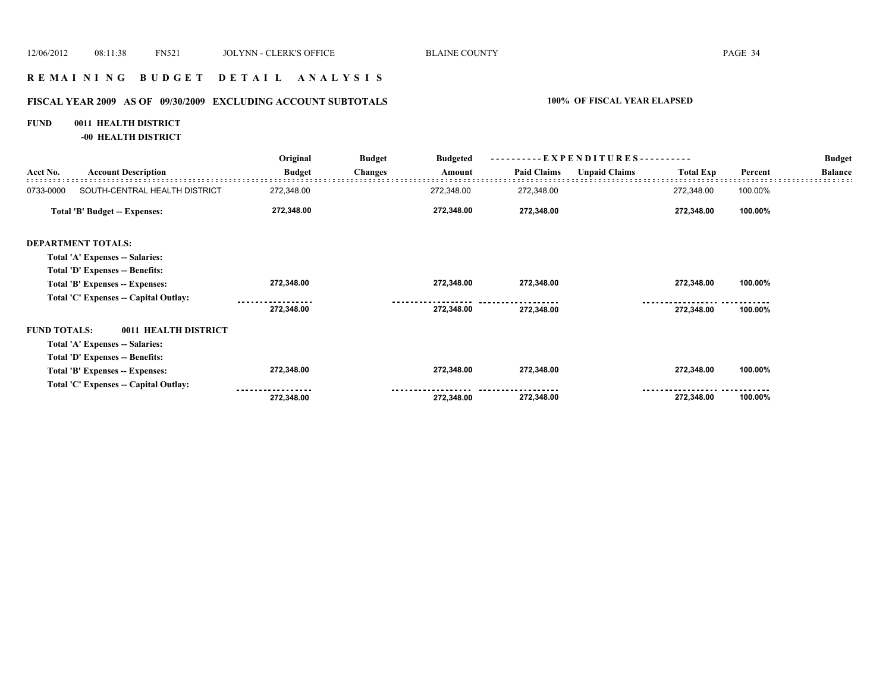### **R E M A I N I N G B U D G E T D E T A I L A N A L Y S I S**

# **FISCAL YEAR 2009 AS OF 09/30/2009 EXCLUDING ACCOUNT SUBTOTALS 100% OF FISCAL YEAR ELAPSED**

#### **FUND 0011 HEALTH DISTRICT**

**-00 HEALTH DISTRICT**

|                     |                                       | Original      | <b>Budget</b>  | <b>Budgeted</b> | $-EXPENDITURES---$ |                      |                  |         | <b>Budget</b>  |
|---------------------|---------------------------------------|---------------|----------------|-----------------|--------------------|----------------------|------------------|---------|----------------|
| Acct No.            | <b>Account Description</b>            | <b>Budget</b> | <b>Changes</b> | Amount          | <b>Paid Claims</b> | <b>Unpaid Claims</b> | <b>Total Exp</b> | Percent | <b>Balance</b> |
| 0733-0000           | SOUTH-CENTRAL HEALTH DISTRICT         | 272,348.00    |                | 272,348.00      | 272,348.00         |                      | 272,348.00       | 100.00% |                |
|                     | Total 'B' Budget -- Expenses:         | 272,348.00    |                | 272,348.00      | 272,348.00         |                      | 272,348.00       | 100.00% |                |
|                     | <b>DEPARTMENT TOTALS:</b>             |               |                |                 |                    |                      |                  |         |                |
|                     | Total 'A' Expenses -- Salaries:       |               |                |                 |                    |                      |                  |         |                |
|                     | Total 'D' Expenses -- Benefits:       |               |                |                 |                    |                      |                  |         |                |
|                     | Total 'B' Expenses -- Expenses:       | 272,348.00    |                | 272,348.00      | 272,348.00         |                      | 272,348.00       | 100.00% |                |
|                     | Total 'C' Expenses -- Capital Outlay: |               |                |                 |                    |                      |                  |         |                |
|                     |                                       | 272,348.00    |                | 272,348.00      | 272,348.00         |                      | 272,348.00       | 100.00% |                |
| <b>FUND TOTALS:</b> | 0011 HEALTH DISTRICT                  |               |                |                 |                    |                      |                  |         |                |
|                     | Total 'A' Expenses -- Salaries:       |               |                |                 |                    |                      |                  |         |                |
|                     | Total 'D' Expenses -- Benefits:       |               |                |                 |                    |                      |                  |         |                |
|                     | Total 'B' Expenses -- Expenses:       | 272,348.00    |                | 272,348.00      | 272,348.00         |                      | 272,348.00       | 100.00% |                |
|                     | Total 'C' Expenses -- Capital Outlay: |               |                |                 |                    |                      |                  |         |                |
|                     |                                       | 272,348.00    |                | 272,348.00      | 272,348.00         |                      | 272,348.00       | 100.00% |                |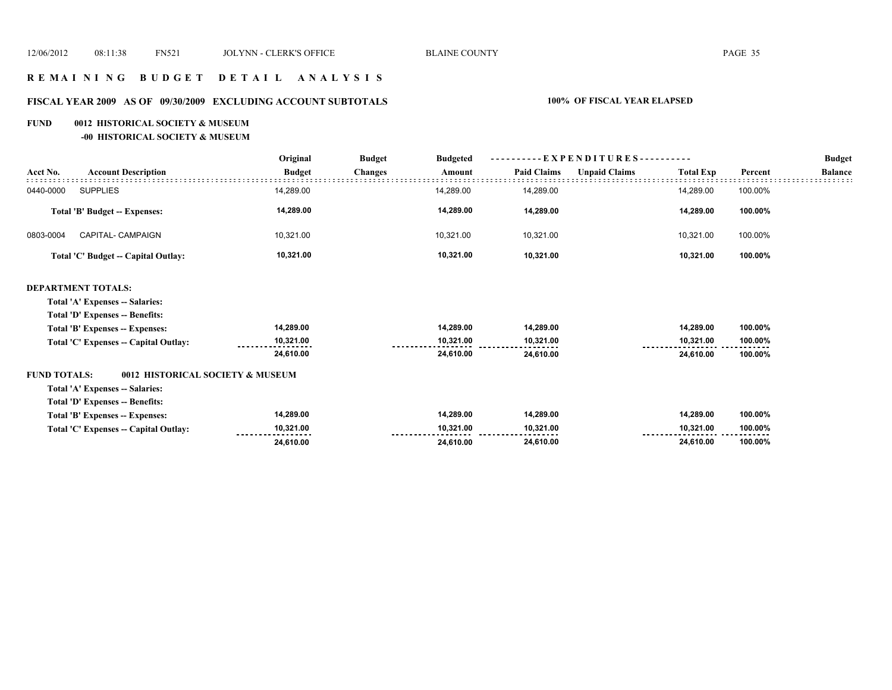# **R E M A I N I N G B U D G E T D E T A I L A N A L Y S I S**

# **FISCAL YEAR 2009 AS OF 09/30/2009 EXCLUDING ACCOUNT SUBTOTALS 100% OF FISCAL YEAR ELAPSED**

#### **FUND 0012 HISTORICAL SOCIETY & MUSEUM**

**-00 HISTORICAL SOCIETY & MUSEUM**

|                                                         | Original      | <b>Budget</b><br><b>Budgeted</b> | E X P E N D I T U R E S - - - - - - - - - - |                    |                      |                  | <b>Budget</b> |                |
|---------------------------------------------------------|---------------|----------------------------------|---------------------------------------------|--------------------|----------------------|------------------|---------------|----------------|
| <b>Account Description</b><br>Acct No.                  | <b>Budget</b> | <b>Changes</b>                   | Amount                                      | <b>Paid Claims</b> | <b>Unpaid Claims</b> | <b>Total Exp</b> | Percent       | <b>Balance</b> |
| <b>SUPPLIES</b><br>0440-0000                            | 14,289.00     |                                  | 14,289.00                                   | 14,289.00          |                      | 14,289.00        | 100.00%       |                |
| <b>Total 'B' Budget -- Expenses:</b>                    | 14,289.00     |                                  | 14,289.00                                   | 14,289.00          |                      | 14,289.00        | 100.00%       |                |
| CAPITAL- CAMPAIGN<br>0803-0004                          | 10,321.00     |                                  | 10,321.00                                   | 10,321.00          |                      | 10,321.00        | 100.00%       |                |
| Total 'C' Budget -- Capital Outlay:                     | 10,321.00     |                                  | 10,321.00                                   | 10,321.00          |                      | 10,321.00        | 100.00%       |                |
| <b>DEPARTMENT TOTALS:</b>                               |               |                                  |                                             |                    |                      |                  |               |                |
| Total 'A' Expenses -- Salaries:                         |               |                                  |                                             |                    |                      |                  |               |                |
| Total 'D' Expenses -- Benefits:                         |               |                                  |                                             |                    |                      |                  |               |                |
| Total 'B' Expenses -- Expenses:                         | 14,289.00     |                                  | 14,289.00                                   | 14,289.00          |                      | 14,289.00        | 100.00%       |                |
| Total 'C' Expenses -- Capital Outlay:                   | 10,321.00     |                                  | 10,321.00                                   | 10,321.00          |                      | 10,321.00        | 100.00%       |                |
|                                                         | 24,610.00     |                                  | 24,610.00                                   | 24,610.00          |                      | 24,610.00        | 100.00%       |                |
| <b>FUND TOTALS:</b><br>0012 HISTORICAL SOCIETY & MUSEUM |               |                                  |                                             |                    |                      |                  |               |                |
| Total 'A' Expenses -- Salaries:                         |               |                                  |                                             |                    |                      |                  |               |                |
| <b>Total 'D' Expenses -- Benefits:</b>                  |               |                                  |                                             |                    |                      |                  |               |                |
| Total 'B' Expenses -- Expenses:                         | 14,289.00     |                                  | 14,289.00                                   | 14,289.00          |                      | 14,289.00        | 100.00%       |                |
| Total 'C' Expenses -- Capital Outlay:                   | 10,321.00     |                                  | 10,321.00                                   | 10,321.00          |                      | 10,321.00        | 100.00%       |                |
|                                                         | 24,610.00     |                                  | 24,610.00                                   | 24,610.00          |                      | 24,610.00        | 100.00%       |                |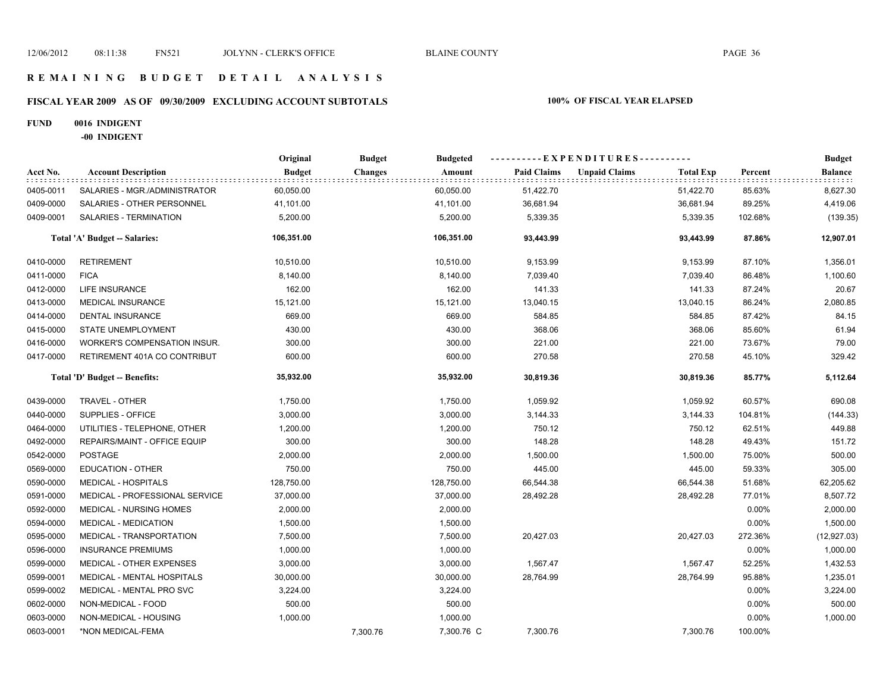### **R E M A I N I N G B U D G E T D E T A I L A N A L Y S I S**

# **FISCAL YEAR 2009 AS OF 09/30/2009 EXCLUDING ACCOUNT SUBTOTALS 100% OF FISCAL YEAR ELAPSED**

#### **FUND 0016 INDIGENT**

**-00 INDIGENT**

|           |                                   | Original      | <b>Budget</b><br><b>Budgeted</b> | ----------EXPENDITURES---------- |                    |                      |                  | <b>Budget</b> |                |
|-----------|-----------------------------------|---------------|----------------------------------|----------------------------------|--------------------|----------------------|------------------|---------------|----------------|
| Acct No.  | <b>Account Description</b>        | <b>Budget</b> | <b>Changes</b>                   | Amount                           | <b>Paid Claims</b> | <b>Unpaid Claims</b> | <b>Total Exp</b> | Percent       | <b>Balance</b> |
| 0405-0011 | SALARIES - MGR./ADMINISTRATOR     | 60,050.00     |                                  | 60,050.00                        | 51,422.70          |                      | 51,422.70        | 85.63%        | 8,627.30       |
| 0409-0000 | SALARIES - OTHER PERSONNEL        | 41,101.00     |                                  | 41,101.00                        | 36,681.94          |                      | 36,681.94        | 89.25%        | 4,419.06       |
| 0409-0001 | SALARIES - TERMINATION            | 5,200.00      |                                  | 5,200.00                         | 5,339.35           |                      | 5,339.35         | 102.68%       | (139.35)       |
|           | Total 'A' Budget -- Salaries:     | 106,351.00    |                                  | 106,351.00                       | 93,443.99          |                      | 93,443.99        | 87.86%        | 12,907.01      |
| 0410-0000 | <b>RETIREMENT</b>                 | 10,510.00     |                                  | 10,510.00                        | 9,153.99           |                      | 9,153.99         | 87.10%        | 1,356.01       |
| 0411-0000 | <b>FICA</b>                       | 8,140.00      |                                  | 8,140.00                         | 7,039.40           |                      | 7,039.40         | 86.48%        | 1,100.60       |
| 0412-0000 | LIFE INSURANCE                    | 162.00        |                                  | 162.00                           | 141.33             |                      | 141.33           | 87.24%        | 20.67          |
| 0413-0000 | <b>MEDICAL INSURANCE</b>          | 15,121.00     |                                  | 15,121.00                        | 13,040.15          |                      | 13,040.15        | 86.24%        | 2,080.85       |
| 0414-0000 | <b>DENTAL INSURANCE</b>           | 669.00        |                                  | 669.00                           | 584.85             |                      | 584.85           | 87.42%        | 84.15          |
| 0415-0000 | <b>STATE UNEMPLOYMENT</b>         | 430.00        |                                  | 430.00                           | 368.06             |                      | 368.06           | 85.60%        | 61.94          |
| 0416-0000 | WORKER'S COMPENSATION INSUR.      | 300.00        |                                  | 300.00                           | 221.00             |                      | 221.00           | 73.67%        | 79.00          |
| 0417-0000 | RETIREMENT 401A CO CONTRIBUT      | 600.00        |                                  | 600.00                           | 270.58             |                      | 270.58           | 45.10%        | 329.42         |
|           | Total 'D' Budget -- Benefits:     | 35,932.00     |                                  | 35,932.00                        | 30,819.36          |                      | 30,819.36        | 85.77%        | 5,112.64       |
| 0439-0000 | TRAVEL - OTHER                    | 1,750.00      |                                  | 1,750.00                         | 1,059.92           |                      | 1,059.92         | 60.57%        | 690.08         |
| 0440-0000 | SUPPLIES - OFFICE                 | 3,000.00      |                                  | 3,000.00                         | 3,144.33           |                      | 3,144.33         | 104.81%       | (144.33)       |
| 0464-0000 | UTILITIES - TELEPHONE, OTHER      | 1,200.00      |                                  | 1,200.00                         | 750.12             |                      | 750.12           | 62.51%        | 449.88         |
| 0492-0000 | REPAIRS/MAINT - OFFICE EQUIP      | 300.00        |                                  | 300.00                           | 148.28             |                      | 148.28           | 49.43%        | 151.72         |
| 0542-0000 | <b>POSTAGE</b>                    | 2,000.00      |                                  | 2,000.00                         | 1,500.00           |                      | 1,500.00         | 75.00%        | 500.00         |
| 0569-0000 | <b>EDUCATION - OTHER</b>          | 750.00        |                                  | 750.00                           | 445.00             |                      | 445.00           | 59.33%        | 305.00         |
| 0590-0000 | <b>MEDICAL - HOSPITALS</b>        | 128,750.00    |                                  | 128,750.00                       | 66,544.38          |                      | 66,544.38        | 51.68%        | 62,205.62      |
| 0591-0000 | MEDICAL - PROFESSIONAL SERVICE    | 37,000.00     |                                  | 37,000.00                        | 28,492.28          |                      | 28,492.28        | 77.01%        | 8,507.72       |
| 0592-0000 | MEDICAL - NURSING HOMES           | 2,000.00      |                                  | 2,000.00                         |                    |                      |                  | 0.00%         | 2,000.00       |
| 0594-0000 | MEDICAL - MEDICATION              | 1,500.00      |                                  | 1,500.00                         |                    |                      |                  | 0.00%         | 1,500.00       |
| 0595-0000 | MEDICAL - TRANSPORTATION          | 7,500.00      |                                  | 7,500.00                         | 20,427.03          |                      | 20,427.03        | 272.36%       | (12, 927.03)   |
| 0596-0000 | <b>INSURANCE PREMIUMS</b>         | 1,000.00      |                                  | 1,000.00                         |                    |                      |                  | 0.00%         | 1,000.00       |
| 0599-0000 | MEDICAL - OTHER EXPENSES          | 3,000.00      |                                  | 3,000.00                         | 1,567.47           |                      | 1,567.47         | 52.25%        | 1,432.53       |
| 0599-0001 | <b>MEDICAL - MENTAL HOSPITALS</b> | 30,000.00     |                                  | 30,000.00                        | 28,764.99          |                      | 28,764.99        | 95.88%        | 1,235.01       |
| 0599-0002 | MEDICAL - MENTAL PRO SVC          | 3,224.00      |                                  | 3,224.00                         |                    |                      |                  | 0.00%         | 3,224.00       |
| 0602-0000 | NON-MEDICAL - FOOD                | 500.00        |                                  | 500.00                           |                    |                      |                  | 0.00%         | 500.00         |
| 0603-0000 | NON-MEDICAL - HOUSING             | 1,000.00      |                                  | 1,000.00                         |                    |                      |                  | 0.00%         | 1,000.00       |
| 0603-0001 | *NON MEDICAL-FEMA                 |               | 7,300.76                         | 7,300.76 C                       | 7,300.76           |                      | 7,300.76         | 100.00%       |                |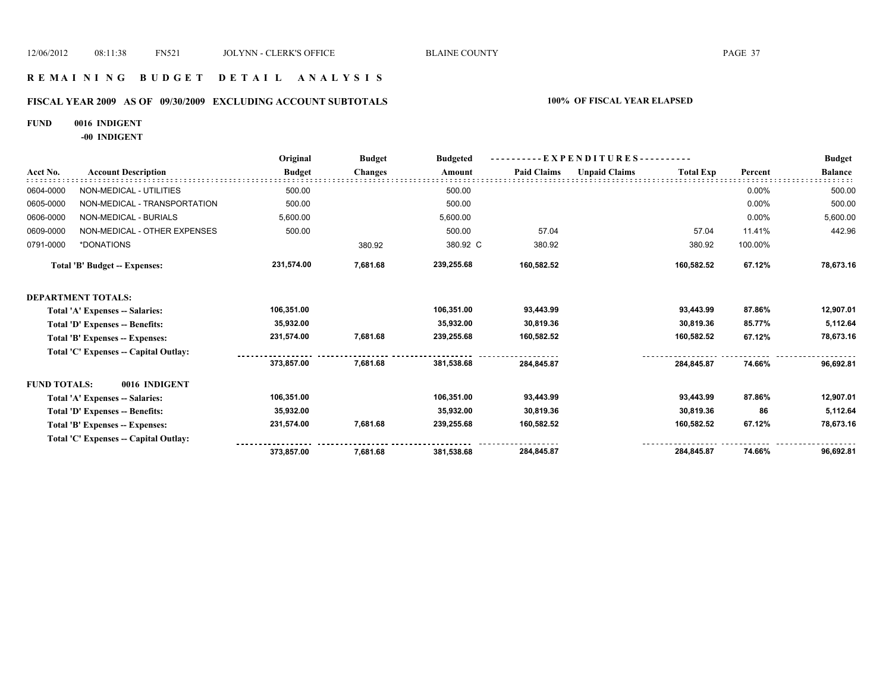#### **R E M A I N I N G B U D G E T D E T A I L A N A L Y S I S**

# **FISCAL YEAR 2009 AS OF 09/30/2009 EXCLUDING ACCOUNT SUBTOTALS 100% OF FISCAL YEAR ELAPSED**

#### **FUND 0016 INDIGENT**

**-00 INDIGENT**

|                     |                                       | Original      | <b>Budget</b>  | <b>Budgeted</b> | - EXPENDITURES---------- |                      |                  |         | <b>Budget</b>  |
|---------------------|---------------------------------------|---------------|----------------|-----------------|--------------------------|----------------------|------------------|---------|----------------|
| Acct No.            | <b>Account Description</b>            | <b>Budget</b> | <b>Changes</b> | Amount          | <b>Paid Claims</b>       | <b>Unpaid Claims</b> | <b>Total Exp</b> | Percent | <b>Balance</b> |
| 0604-0000           | NON-MEDICAL - UTILITIES               | 500.00        |                | 500.00          |                          |                      |                  | 0.00%   | 500.00         |
| 0605-0000           | NON-MEDICAL - TRANSPORTATION          | 500.00        |                | 500.00          |                          |                      |                  | 0.00%   | 500.00         |
| 0606-0000           | NON-MEDICAL - BURIALS                 | 5,600.00      |                | 5,600.00        |                          |                      |                  | 0.00%   | 5,600.00       |
| 0609-0000           | NON-MEDICAL - OTHER EXPENSES          | 500.00        |                | 500.00          | 57.04                    |                      | 57.04            | 11.41%  | 442.96         |
| 0791-0000           | *DONATIONS                            |               | 380.92         | 380.92 C        | 380.92                   |                      | 380.92           | 100.00% |                |
|                     | <b>Total 'B' Budget -- Expenses:</b>  | 231,574.00    | 7,681.68       | 239,255.68      | 160,582.52               |                      | 160,582.52       | 67.12%  | 78,673.16      |
|                     | <b>DEPARTMENT TOTALS:</b>             |               |                |                 |                          |                      |                  |         |                |
|                     | Total 'A' Expenses -- Salaries:       | 106,351.00    |                | 106.351.00      | 93,443.99                |                      | 93.443.99        | 87.86%  | 12,907.01      |
|                     | Total 'D' Expenses -- Benefits:       | 35,932.00     |                | 35,932.00       | 30,819.36                |                      | 30,819.36        | 85.77%  | 5,112.64       |
|                     | Total 'B' Expenses -- Expenses:       | 231,574.00    | 7,681.68       | 239,255.68      | 160,582.52               |                      | 160,582.52       | 67.12%  | 78,673.16      |
|                     | Total 'C' Expenses -- Capital Outlay: |               |                |                 |                          |                      |                  |         |                |
|                     |                                       | 373,857.00    | 7,681.68       | 381,538.68      | 284,845.87               |                      | 284,845.87       | 74.66%  | 96,692.81      |
| <b>FUND TOTALS:</b> | 0016 INDIGENT                         |               |                |                 |                          |                      |                  |         |                |
|                     | Total 'A' Expenses -- Salaries:       | 106,351.00    |                | 106,351.00      | 93,443.99                |                      | 93,443.99        | 87.86%  | 12,907.01      |
|                     | Total 'D' Expenses -- Benefits:       | 35,932.00     |                | 35,932.00       | 30,819.36                |                      | 30,819.36        | 86      | 5,112.64       |
|                     | Total 'B' Expenses -- Expenses:       | 231,574.00    | 7,681.68       | 239,255.68      | 160,582.52               |                      | 160,582.52       | 67.12%  | 78,673.16      |
|                     | Total 'C' Expenses -- Capital Outlay: |               |                |                 |                          |                      |                  |         |                |
|                     |                                       | 373,857.00    | 7,681.68       | 381,538.68      | 284,845.87               |                      | 284.845.87       | 74.66%  | 96,692.81      |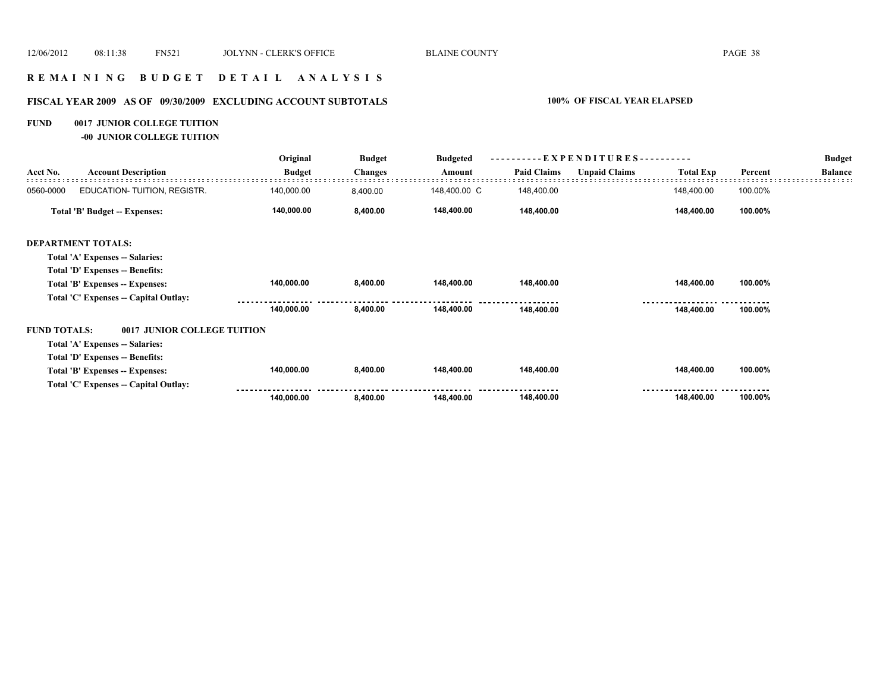# **R E M A I N I N G B U D G E T D E T A I L A N A L Y S I S**

# **FISCAL YEAR 2009 AS OF 09/30/2009 EXCLUDING ACCOUNT SUBTOTALS 100% OF FISCAL YEAR ELAPSED**

#### **FUND 0017 JUNIOR COLLEGE TUITION**

**-00 JUNIOR COLLEGE TUITION**

|                     |                                       | Original      | <b>Budget</b>  | <b>Budgeted</b> |                    | - E X P E N D I T U R E S - - |                  |         | <b>Budget</b>  |
|---------------------|---------------------------------------|---------------|----------------|-----------------|--------------------|-------------------------------|------------------|---------|----------------|
| Acct No.            | <b>Account Description</b>            | <b>Budget</b> | <b>Changes</b> | Amount          | <b>Paid Claims</b> | <b>Unpaid Claims</b>          | <b>Total Exp</b> | Percent | <b>Balance</b> |
| 0560-0000           | EDUCATION-TUITION, REGISTR.           | 140,000.00    | 8,400.00       | 148,400.00 C    | 148,400.00         |                               | 148,400.00       | 100.00% |                |
|                     | Total 'B' Budget -- Expenses:         | 140,000.00    | 8,400.00       | 148,400.00      | 148,400.00         |                               | 148,400.00       | 100.00% |                |
|                     | <b>DEPARTMENT TOTALS:</b>             |               |                |                 |                    |                               |                  |         |                |
|                     | Total 'A' Expenses -- Salaries:       |               |                |                 |                    |                               |                  |         |                |
|                     | Total 'D' Expenses -- Benefits:       |               |                |                 |                    |                               |                  |         |                |
|                     | Total 'B' Expenses -- Expenses:       | 140,000.00    | 8,400.00       | 148,400.00      | 148,400.00         |                               | 148,400.00       | 100.00% |                |
|                     | Total 'C' Expenses -- Capital Outlay: |               |                |                 |                    |                               |                  |         |                |
|                     |                                       | 140,000.00    | 8,400.00       | 148,400.00      | 148,400.00         |                               | 148,400.00       | 100.00% |                |
| <b>FUND TOTALS:</b> | 0017 JUNIOR COLLEGE TUITION           |               |                |                 |                    |                               |                  |         |                |
|                     | Total 'A' Expenses -- Salaries:       |               |                |                 |                    |                               |                  |         |                |
|                     | Total 'D' Expenses -- Benefits:       |               |                |                 |                    |                               |                  |         |                |
|                     | Total 'B' Expenses -- Expenses:       | 140,000.00    | 8,400.00       | 148,400.00      | 148,400.00         |                               | 148,400.00       | 100.00% |                |
|                     | Total 'C' Expenses -- Capital Outlay: |               |                |                 |                    |                               |                  |         |                |
|                     |                                       | 140,000.00    | 8,400.00       | 148,400.00      | 148,400.00         |                               | 148,400.00       | 100.00% |                |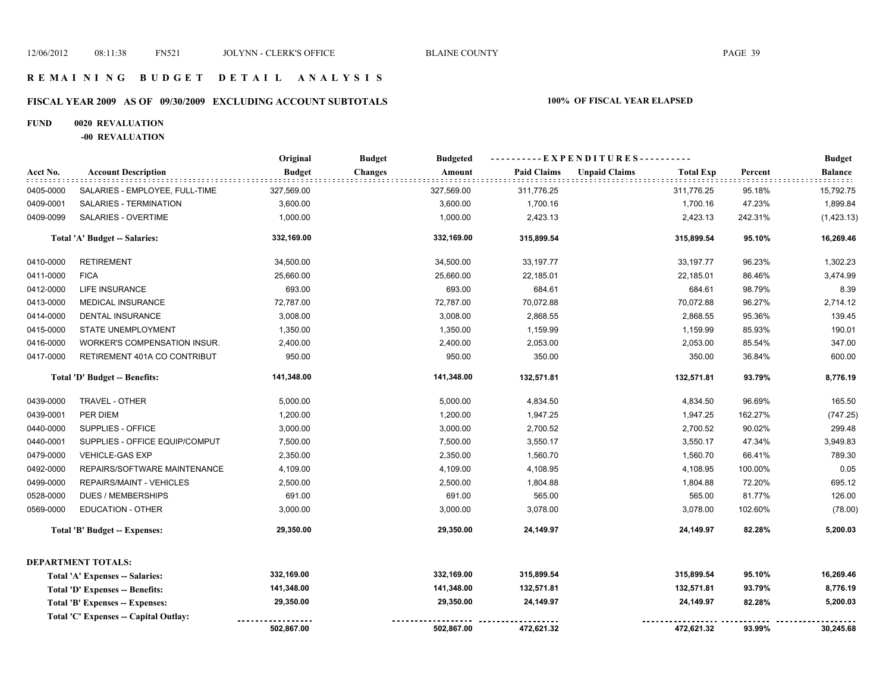# **FISCAL YEAR 2009 AS OF 09/30/2009 EXCLUDING ACCOUNT SUBTOTALS 100% OF FISCAL YEAR ELAPSED**

#### **FUND 0020 REVALUATION**

**-00 REVALUATION**

|           |                                       | Original      | <b>Budget</b><br><b>Budgeted</b> |                    | ----------EXPENDITURES---------- |                  |         | <b>Budget</b> |
|-----------|---------------------------------------|---------------|----------------------------------|--------------------|----------------------------------|------------------|---------|---------------|
| Acct No.  | <b>Account Description</b>            | <b>Budget</b> | <b>Changes</b><br>Amount         | <b>Paid Claims</b> | <b>Unpaid Claims</b>             | <b>Total Exp</b> | Percent | Balance       |
| 0405-0000 | SALARIES - EMPLOYEE, FULL-TIME        | 327,569.00    | 327,569.00                       | 311,776.25         |                                  | 311,776.25       | 95.18%  | 15,792.75     |
| 0409-0001 | SALARIES - TERMINATION                | 3,600.00      | 3,600.00                         | 1,700.16           |                                  | 1,700.16         | 47.23%  | 1,899.84      |
| 0409-0099 | SALARIES - OVERTIME                   | 1,000.00      | 1,000.00                         | 2,423.13           |                                  | 2,423.13         | 242.31% | (1,423.13)    |
|           | Total 'A' Budget -- Salaries:         | 332,169.00    | 332,169.00                       | 315,899.54         |                                  | 315,899.54       | 95.10%  | 16,269.46     |
| 0410-0000 | <b>RETIREMENT</b>                     | 34,500.00     | 34,500.00                        | 33,197.77          |                                  | 33,197.77        | 96.23%  | 1,302.23      |
| 0411-0000 | <b>FICA</b>                           | 25,660.00     | 25,660.00                        | 22,185.01          |                                  | 22,185.01        | 86.46%  | 3,474.99      |
| 0412-0000 | LIFE INSURANCE                        | 693.00        | 693.00                           | 684.61             |                                  | 684.61           | 98.79%  | 8.39          |
| 0413-0000 | <b>MEDICAL INSURANCE</b>              | 72,787.00     | 72,787.00                        | 70,072.88          |                                  | 70,072.88        | 96.27%  | 2,714.12      |
| 0414-0000 | <b>DENTAL INSURANCE</b>               | 3,008.00      | 3,008.00                         | 2,868.55           |                                  | 2,868.55         | 95.36%  | 139.45        |
| 0415-0000 | STATE UNEMPLOYMENT                    | 1,350.00      | 1,350.00                         | 1,159.99           |                                  | 1,159.99         | 85.93%  | 190.01        |
| 0416-0000 | <b>WORKER'S COMPENSATION INSUR.</b>   | 2,400.00      | 2,400.00                         | 2,053.00           |                                  | 2,053.00         | 85.54%  | 347.00        |
| 0417-0000 | RETIREMENT 401A CO CONTRIBUT          | 950.00        | 950.00                           | 350.00             |                                  | 350.00           | 36.84%  | 600.00        |
|           | Total 'D' Budget -- Benefits:         | 141,348.00    | 141,348.00                       | 132,571.81         |                                  | 132,571.81       | 93.79%  | 8,776.19      |
| 0439-0000 | TRAVEL - OTHER                        | 5,000.00      | 5,000.00                         | 4,834.50           |                                  | 4,834.50         | 96.69%  | 165.50        |
| 0439-0001 | PER DIEM                              | 1,200.00      | 1,200.00                         | 1,947.25           |                                  | 1,947.25         | 162.27% | (747.25)      |
| 0440-0000 | SUPPLIES - OFFICE                     | 3,000.00      | 3,000.00                         | 2,700.52           |                                  | 2,700.52         | 90.02%  | 299.48        |
| 0440-0001 | SUPPLIES - OFFICE EQUIP/COMPUT        | 7,500.00      | 7,500.00                         | 3,550.17           |                                  | 3,550.17         | 47.34%  | 3,949.83      |
| 0479-0000 | <b>VEHICLE-GAS EXP</b>                | 2,350.00      | 2,350.00                         | 1,560.70           |                                  | 1,560.70         | 66.41%  | 789.30        |
| 0492-0000 | REPAIRS/SOFTWARE MAINTENANCE          | 4,109.00      | 4,109.00                         | 4,108.95           |                                  | 4,108.95         | 100.00% | 0.05          |
| 0499-0000 | REPAIRS/MAINT - VEHICLES              | 2,500.00      | 2,500.00                         | 1,804.88           |                                  | 1,804.88         | 72.20%  | 695.12        |
| 0528-0000 | <b>DUES / MEMBERSHIPS</b>             | 691.00        | 691.00                           | 565.00             |                                  | 565.00           | 81.77%  | 126.00        |
| 0569-0000 | <b>EDUCATION - OTHER</b>              | 3,000.00      | 3,000.00                         | 3,078.00           |                                  | 3,078.00         | 102.60% | (78.00)       |
|           | <b>Total 'B' Budget -- Expenses:</b>  | 29,350.00     | 29,350.00                        | 24,149.97          |                                  | 24,149.97        | 82.28%  | 5,200.03      |
|           | <b>DEPARTMENT TOTALS:</b>             |               |                                  |                    |                                  |                  |         |               |
|           | Total 'A' Expenses -- Salaries:       | 332,169.00    | 332,169.00                       | 315,899.54         |                                  | 315,899.54       | 95.10%  | 16,269.46     |
|           | Total 'D' Expenses -- Benefits:       | 141,348.00    | 141,348.00                       | 132,571.81         |                                  | 132,571.81       | 93.79%  | 8,776.19      |
|           | Total 'B' Expenses -- Expenses:       | 29,350.00     | 29,350.00                        | 24,149.97          |                                  | 24,149.97        | 82.28%  | 5,200.03      |
|           | Total 'C' Expenses -- Capital Outlay: |               |                                  |                    |                                  |                  |         |               |
|           |                                       | 502,867.00    | 502,867.00                       | 472,621.32         |                                  | 472,621.32       | 93.99%  | 30,245.68     |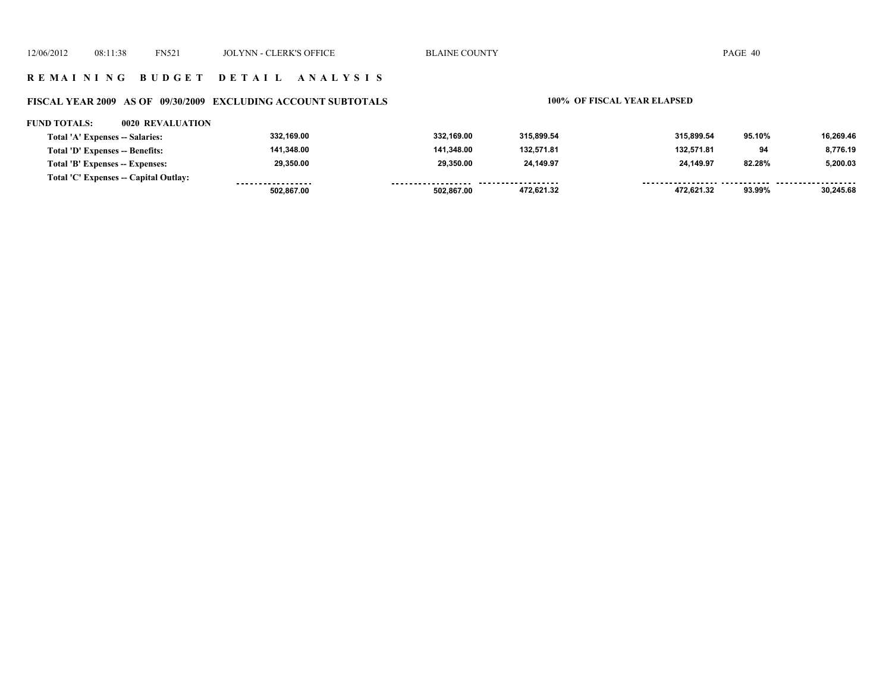#### **R E M A I N I N G B U D G E T D E T A I L A N A L Y S I S**

# **FISCAL YEAR 2009 AS OF 09/30/2009 EXCLUDING ACCOUNT SUBTOTALS 100% OF FISCAL YEAR ELAPSED**

#### **FUND TOTALS: 0020 REVALUATION**

| Total 'A' Expenses -- Salaries:       | 332,169.00        | 332,169.00         | 315.899.54 | 315.899.54 | 95.10% | 16.269.46 |
|---------------------------------------|-------------------|--------------------|------------|------------|--------|-----------|
| Total 'D' Expenses -- Benefits:       | 141.348.00        | 141.348.00         | 132.571.81 | 132.571.81 | 94     | 8.776.19  |
| Total 'B' Expenses -- Expenses:       | 29,350.00         | 29.350.00          | 24.149.97  | 24.149.97  | 82.28% | 5.200.03  |
| Total 'C' Expenses -- Capital Outlay: | ----------------- | ------------------ |            |            |        |           |
|                                       | 502.867.00        | 502,867.00         | 472,621.32 | 472.621.32 | 93.99% | 30.245.68 |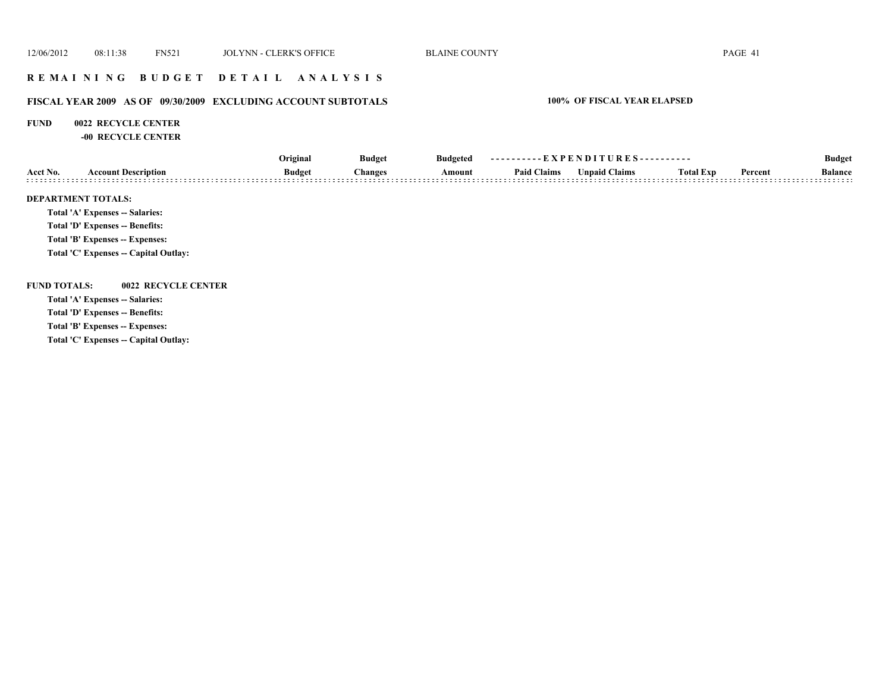### **R E M A I N I N G B U D G E T D E T A I L A N A L Y S I S**

#### **FISCAL YEAR 2009 AS OF 09/30/2009 EXCLUDING ACCOUNT SUBTOTALS 100% OF FISCAL YEAR ELAPSED**

#### **FUND 0022 RECYCLE CENTER**

**-00 RECYCLE CENTER**

|                     |                                        | Original<br><b>Budget</b><br><b>Budget</b><br><b>Changes</b> |        | <b>Budgeted</b>    | ----------EXPENDITURES---------- |                  |         |                | <b>Budget</b> |  |
|---------------------|----------------------------------------|--------------------------------------------------------------|--------|--------------------|----------------------------------|------------------|---------|----------------|---------------|--|
| Acct No.            | <b>Account Description</b>             |                                                              | Amount | <b>Paid Claims</b> | <b>Unpaid Claims</b>             | <b>Total Exp</b> | Percent | <b>Balance</b> |               |  |
|                     | <b>DEPARTMENT TOTALS:</b>              |                                                              |        |                    |                                  |                  |         |                |               |  |
|                     | <b>Total 'A' Expenses -- Salaries:</b> |                                                              |        |                    |                                  |                  |         |                |               |  |
|                     | Total 'D' Expenses -- Benefits:        |                                                              |        |                    |                                  |                  |         |                |               |  |
|                     | Total 'B' Expenses -- Expenses:        |                                                              |        |                    |                                  |                  |         |                |               |  |
|                     | Total 'C' Expenses -- Capital Outlay:  |                                                              |        |                    |                                  |                  |         |                |               |  |
| <b>FUND TOTALS:</b> | 0022 RECYCLE CENTER                    |                                                              |        |                    |                                  |                  |         |                |               |  |
|                     | <b>Total 'A' Expenses -- Salaries:</b> |                                                              |        |                    |                                  |                  |         |                |               |  |
|                     | Total 'D' Expenses -- Benefits:        |                                                              |        |                    |                                  |                  |         |                |               |  |
|                     | Total 'B' Expenses -- Expenses:        |                                                              |        |                    |                                  |                  |         |                |               |  |
|                     | ________                               |                                                              |        |                    |                                  |                  |         |                |               |  |

**Total 'C' Expenses -- Capital Outlay:**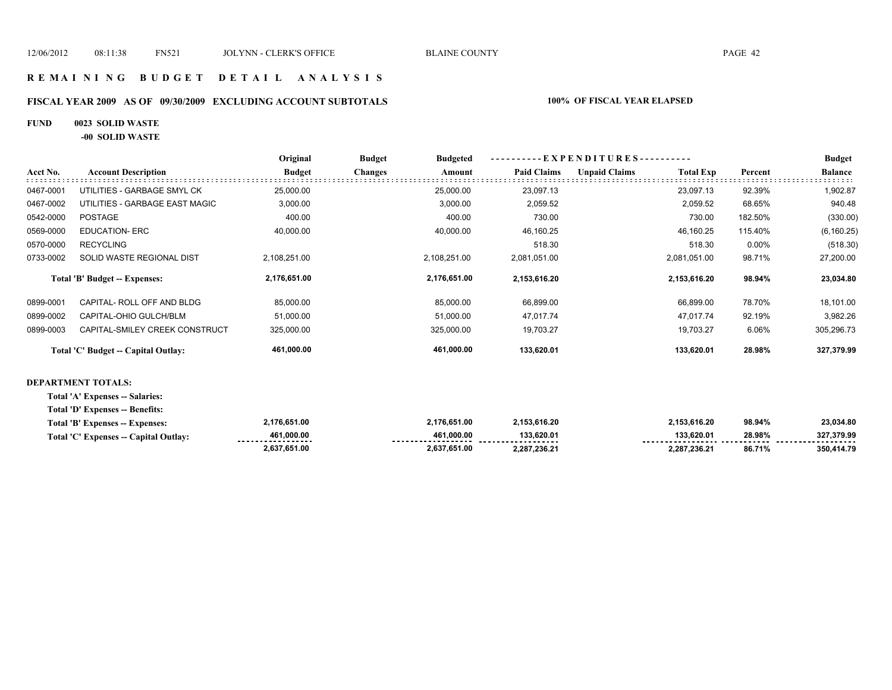# **R E M A I N I N G B U D G E T D E T A I L A N A L Y S I S**

#### **FISCAL YEAR 2009 AS OF 09/30/2009 EXCLUDING ACCOUNT SUBTOTALS 100% OF FISCAL YEAR ELAPSED**

#### **FUND 0023 SOLID WASTE**

**-00 SOLID WASTE**

|           |                                        | Original      | <b>Budget</b><br><b>Budgeted</b> | EXPENDITURES--     |                                          | <b>Budget</b> |                |
|-----------|----------------------------------------|---------------|----------------------------------|--------------------|------------------------------------------|---------------|----------------|
| Acct No.  | <b>Account Description</b>             | <b>Budget</b> | <b>Changes</b><br>Amount         | <b>Paid Claims</b> | <b>Unpaid Claims</b><br><b>Total Exp</b> | Percent       | <b>Balance</b> |
| 0467-0001 | UTILITIES - GARBAGE SMYL CK            | 25,000.00     | 25,000.00                        | 23,097.13          | 23,097.13                                | 92.39%        | 1,902.87       |
| 0467-0002 | UTILITIES - GARBAGE EAST MAGIC         | 3,000.00      | 3,000.00                         | 2,059.52           | 2,059.52                                 | 68.65%        | 940.48         |
| 0542-0000 | <b>POSTAGE</b>                         | 400.00        | 400.00                           | 730.00             | 730.00                                   | 182.50%       | (330.00)       |
| 0569-0000 | <b>EDUCATION- ERC</b>                  | 40,000.00     | 40,000.00                        | 46,160.25          | 46,160.25                                | 115.40%       | (6, 160.25)    |
| 0570-0000 | <b>RECYCLING</b>                       |               |                                  | 518.30             | 518.30                                   | 0.00%         | (518.30)       |
| 0733-0002 | SOLID WASTE REGIONAL DIST              | 2,108,251.00  | 2,108,251.00                     | 2,081,051.00       | 2,081,051.00                             | 98.71%        | 27,200.00      |
|           | Total 'B' Budget -- Expenses:          | 2,176,651.00  | 2,176,651.00                     | 2,153,616.20       | 2,153,616.20                             | 98.94%        | 23,034.80      |
| 0899-0001 | CAPITAL- ROLL OFF AND BLDG             | 85,000.00     | 85,000.00                        | 66,899.00          | 66,899.00                                | 78.70%        | 18,101.00      |
| 0899-0002 | CAPITAL-OHIO GULCH/BLM                 | 51,000.00     | 51,000.00                        | 47.017.74          | 47.017.74                                | 92.19%        | 3,982.26       |
| 0899-0003 | CAPITAL-SMILEY CREEK CONSTRUCT         | 325,000.00    | 325,000.00                       | 19,703.27          | 19,703.27                                | 6.06%         | 305,296.73     |
|           | Total 'C' Budget -- Capital Outlay:    | 461,000.00    | 461,000.00                       | 133,620.01         | 133,620.01                               | 28.98%        | 327,379.99     |
|           | <b>DEPARTMENT TOTALS:</b>              |               |                                  |                    |                                          |               |                |
|           | Total 'A' Expenses -- Salaries:        |               |                                  |                    |                                          |               |                |
|           | <b>Total 'D' Expenses -- Benefits:</b> |               |                                  |                    |                                          |               |                |
|           | Total 'B' Expenses -- Expenses:        | 2,176,651.00  | 2,176,651.00                     | 2,153,616.20       | 2,153,616.20                             | 98.94%        | 23,034.80      |
|           | Total 'C' Expenses -- Capital Outlay:  | 461,000.00    | 461,000.00                       | 133,620.01         | 133,620.01                               | 28.98%        | 327,379.99     |
|           |                                        | 2,637,651.00  | 2,637,651.00                     | 2,287,236.21       | 2,287,236.21                             | 86.71%        | 350,414.79     |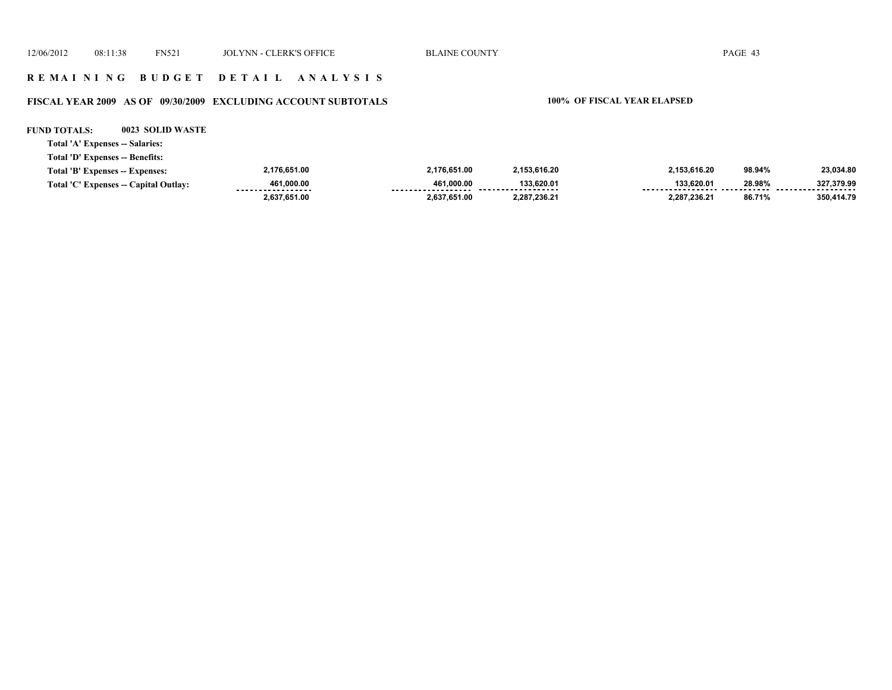12/06/2012 08:11:38 FN521 JOLYNN - CLERK'S OFFICE BLAINE COUNTY PAGE 43 **R E M A I N I N G B U D G E T D E T A I L A N A L Y S I S**

# **FISCAL YEAR 2009 AS OF 09/30/2009 EXCLUDING ACCOUNT SUBTOTALS 100% OF FISCAL YEAR ELAPSED**

**FUND TOTALS: 0023 SOLID WASTE**

**Total 'A' Expenses -- Salaries:**

**Total 'D' Expenses -- Benefits:**

| Total 'B' Expenses -- Expenses:       | 2,176,651.00                     | 2,176,651.00    | 2.153.616.20                     | 2,153,616.20 | 98.94% | 23,034.80                 |
|---------------------------------------|----------------------------------|-----------------|----------------------------------|--------------|--------|---------------------------|
| Total 'C' Expenses -- Capital Outlay: | 461.000.00<br>------------------ | 461.000.00<br>. | 133.620.01<br>------------------ | 133.620.01   | 28.98% | 327.379.99<br>----------- |
|                                       | 2.637.651.00                     | 2.637.651.00    | 2.287.236.21                     | 2.287.236.21 | 86.71% | 350,414.79                |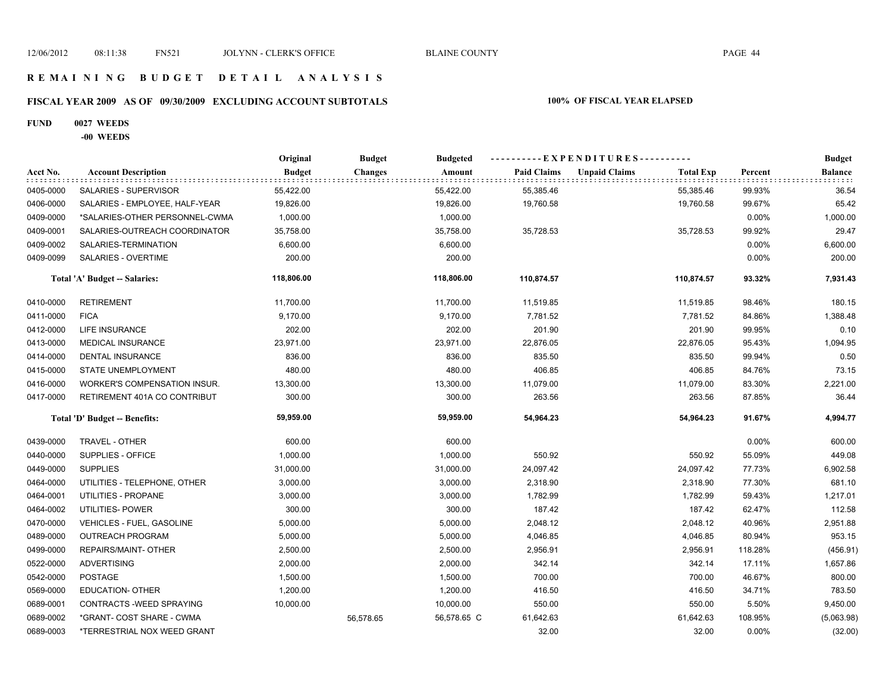#### **R E M A I N I N G B U D G E T D E T A I L A N A L Y S I S**

# **FISCAL YEAR 2009 AS OF 09/30/2009 EXCLUDING ACCOUNT SUBTOTALS 100% OF FISCAL YEAR ELAPSED**

#### **FUND 0027 WEEDS**

**-00 WEEDS**

|           |                                | Original      | <b>Budget</b>  | <b>Budgeted</b> | ----------EXPENDITURES---------- |                      |                  |         | <b>Budget</b>  |
|-----------|--------------------------------|---------------|----------------|-----------------|----------------------------------|----------------------|------------------|---------|----------------|
| Acct No.  | <b>Account Description</b>     | <b>Budget</b> | <b>Changes</b> | Amount          | <b>Paid Claims</b>               | <b>Unpaid Claims</b> | <b>Total Exp</b> | Percent | <b>Balance</b> |
| 0405-0000 | <b>SALARIES - SUPERVISOR</b>   | 55,422.00     |                | 55,422.00       | 55,385.46                        |                      | 55,385.46        | 99.93%  | 36.54          |
| 0406-0000 | SALARIES - EMPLOYEE, HALF-YEAR | 19,826.00     |                | 19,826.00       | 19,760.58                        |                      | 19,760.58        | 99.67%  | 65.42          |
| 0409-0000 | *SALARIES-OTHER PERSONNEL-CWMA | 1,000.00      |                | 1,000.00        |                                  |                      |                  | 0.00%   | 1,000.00       |
| 0409-0001 | SALARIES-OUTREACH COORDINATOR  | 35,758.00     |                | 35,758.00       | 35,728.53                        |                      | 35,728.53        | 99.92%  | 29.47          |
| 0409-0002 | SALARIES-TERMINATION           | 6,600.00      |                | 6,600.00        |                                  |                      |                  | 0.00%   | 6,600.00       |
| 0409-0099 | SALARIES - OVERTIME            | 200.00        |                | 200.00          |                                  |                      |                  | 0.00%   | 200.00         |
|           | Total 'A' Budget -- Salaries:  | 118,806.00    |                | 118,806.00      | 110,874.57                       |                      | 110,874.57       | 93.32%  | 7,931.43       |
| 0410-0000 | <b>RETIREMENT</b>              | 11,700.00     |                | 11,700.00       | 11,519.85                        |                      | 11,519.85        | 98.46%  | 180.15         |
| 0411-0000 | <b>FICA</b>                    | 9,170.00      |                | 9,170.00        | 7,781.52                         |                      | 7,781.52         | 84.86%  | 1,388.48       |
| 0412-0000 | LIFE INSURANCE                 | 202.00        |                | 202.00          | 201.90                           |                      | 201.90           | 99.95%  | 0.10           |
| 0413-0000 | <b>MEDICAL INSURANCE</b>       | 23,971.00     |                | 23,971.00       | 22,876.05                        |                      | 22,876.05        | 95.43%  | 1,094.95       |
| 0414-0000 | DENTAL INSURANCE               | 836.00        |                | 836.00          | 835.50                           |                      | 835.50           | 99.94%  | 0.50           |
| 0415-0000 | <b>STATE UNEMPLOYMENT</b>      | 480.00        |                | 480.00          | 406.85                           |                      | 406.85           | 84.76%  | 73.15          |
| 0416-0000 | WORKER'S COMPENSATION INSUR.   | 13,300.00     |                | 13,300.00       | 11,079.00                        |                      | 11,079.00        | 83.30%  | 2,221.00       |
| 0417-0000 | RETIREMENT 401A CO CONTRIBUT   | 300.00        |                | 300.00          | 263.56                           |                      | 263.56           | 87.85%  | 36.44          |
|           | Total 'D' Budget -- Benefits:  | 59,959.00     |                | 59,959.00       | 54,964.23                        |                      | 54,964.23        | 91.67%  | 4,994.77       |
| 0439-0000 | TRAVEL - OTHER                 | 600.00        |                | 600.00          |                                  |                      |                  | 0.00%   | 600.00         |
| 0440-0000 | SUPPLIES - OFFICE              | 1,000.00      |                | 1,000.00        | 550.92                           |                      | 550.92           | 55.09%  | 449.08         |
| 0449-0000 | <b>SUPPLIES</b>                | 31,000.00     |                | 31,000.00       | 24,097.42                        |                      | 24,097.42        | 77.73%  | 6,902.58       |
| 0464-0000 | UTILITIES - TELEPHONE, OTHER   | 3,000.00      |                | 3,000.00        | 2,318.90                         |                      | 2,318.90         | 77.30%  | 681.10         |
| 0464-0001 | UTILITIES - PROPANE            | 3,000.00      |                | 3,000.00        | 1,782.99                         |                      | 1,782.99         | 59.43%  | 1,217.01       |
| 0464-0002 | UTILITIES- POWER               | 300.00        |                | 300.00          | 187.42                           |                      | 187.42           | 62.47%  | 112.58         |
| 0470-0000 | VEHICLES - FUEL, GASOLINE      | 5,000.00      |                | 5,000.00        | 2,048.12                         |                      | 2,048.12         | 40.96%  | 2,951.88       |
| 0489-0000 | <b>OUTREACH PROGRAM</b>        | 5,000.00      |                | 5,000.00        | 4,046.85                         |                      | 4,046.85         | 80.94%  | 953.15         |
| 0499-0000 | REPAIRS/MAINT- OTHER           | 2,500.00      |                | 2,500.00        | 2,956.91                         |                      | 2,956.91         | 118.28% | (456.91)       |
| 0522-0000 | <b>ADVERTISING</b>             | 2,000.00      |                | 2,000.00        | 342.14                           |                      | 342.14           | 17.11%  | 1,657.86       |
| 0542-0000 | <b>POSTAGE</b>                 | 1,500.00      |                | 1,500.00        | 700.00                           |                      | 700.00           | 46.67%  | 800.00         |
| 0569-0000 | <b>EDUCATION- OTHER</b>        | 1,200.00      |                | 1,200.00        | 416.50                           |                      | 416.50           | 34.71%  | 783.50         |
| 0689-0001 | CONTRACTS - WEED SPRAYING      | 10,000.00     |                | 10,000.00       | 550.00                           |                      | 550.00           | 5.50%   | 9,450.00       |
| 0689-0002 | *GRANT- COST SHARE - CWMA      |               | 56,578.65      | 56,578.65 C     | 61,642.63                        |                      | 61,642.63        | 108.95% | (5,063.98)     |
| 0689-0003 | *TERRESTRIAL NOX WEED GRANT    |               |                |                 | 32.00                            |                      | 32.00            | 0.00%   | (32.00)        |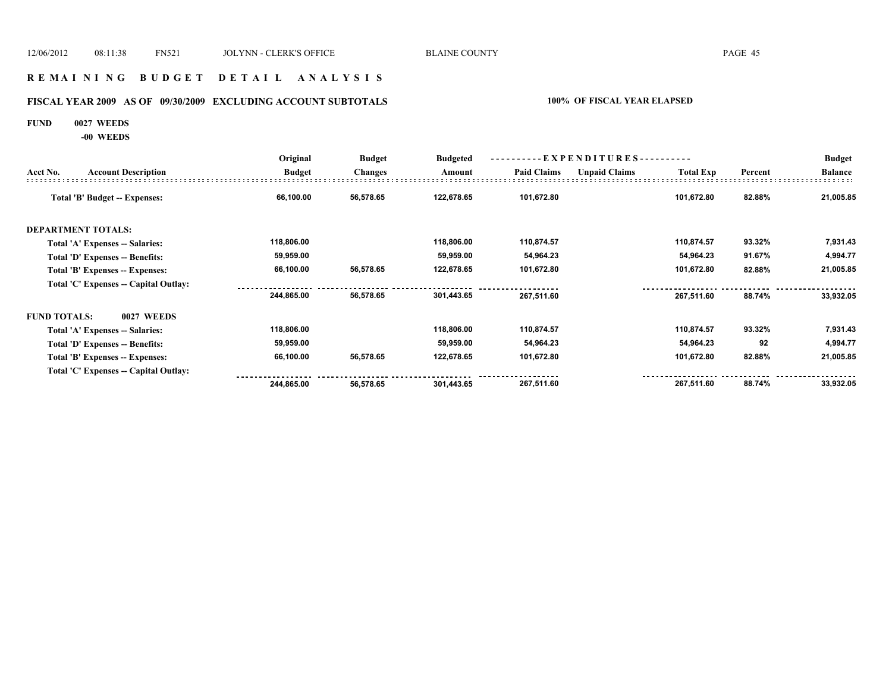#### **R E M A I N I N G B U D G E T D E T A I L A N A L Y S I S**

# **FISCAL YEAR 2009 AS OF 09/30/2009 EXCLUDING ACCOUNT SUBTOTALS 100% OF FISCAL YEAR ELAPSED**

#### **FUND 0027 WEEDS**

**-00 WEEDS**

|                     |                                       | Original      | <b>Budget</b>  | <b>Budgeted</b> | ----------EXPENDITURES---------- |                      |                  |         | <b>Budget</b>  |
|---------------------|---------------------------------------|---------------|----------------|-----------------|----------------------------------|----------------------|------------------|---------|----------------|
| Acct No.            | <b>Account Description</b>            | <b>Budget</b> | <b>Changes</b> | Amount          | <b>Paid Claims</b>               | <b>Unpaid Claims</b> | <b>Total Exp</b> | Percent | <b>Balance</b> |
|                     | Total 'B' Budget -- Expenses:         | 66,100.00     | 56,578.65      | 122,678.65      | 101,672.80                       |                      | 101,672.80       | 82.88%  | 21,005.85      |
|                     | <b>DEPARTMENT TOTALS:</b>             |               |                |                 |                                  |                      |                  |         |                |
|                     | Total 'A' Expenses -- Salaries:       | 118,806.00    |                | 118,806.00      | 110,874.57                       |                      | 110,874.57       | 93.32%  | 7,931.43       |
|                     | Total 'D' Expenses -- Benefits:       | 59,959.00     |                | 59,959.00       | 54,964.23                        |                      | 54,964.23        | 91.67%  | 4,994.77       |
|                     | Total 'B' Expenses -- Expenses:       | 66,100.00     | 56,578.65      | 122,678.65      | 101,672.80                       |                      | 101,672.80       | 82.88%  | 21,005.85      |
|                     | Total 'C' Expenses -- Capital Outlay: |               |                |                 |                                  |                      |                  |         |                |
|                     |                                       | 244,865.00    | 56,578.65      | 301,443.65      | 267,511.60                       |                      | 267,511.60       | 88.74%  | 33,932.05      |
| <b>FUND TOTALS:</b> | 0027 WEEDS                            |               |                |                 |                                  |                      |                  |         |                |
|                     | Total 'A' Expenses -- Salaries:       | 118,806.00    |                | 118,806.00      | 110,874.57                       |                      | 110,874.57       | 93.32%  | 7,931.43       |
|                     | Total 'D' Expenses -- Benefits:       | 59,959.00     |                | 59,959.00       | 54,964.23                        |                      | 54,964.23        | 92      | 4,994.77       |
|                     | Total 'B' Expenses -- Expenses:       | 66,100.00     | 56,578.65      | 122,678.65      | 101,672.80                       |                      | 101,672.80       | 82.88%  | 21,005.85      |
|                     | Total 'C' Expenses -- Capital Outlay: |               |                |                 |                                  |                      |                  |         |                |
|                     |                                       | 244,865.00    | 56,578.65      | 301,443.65      | 267,511.60                       |                      | 267,511.60       | 88.74%  | 33,932.05      |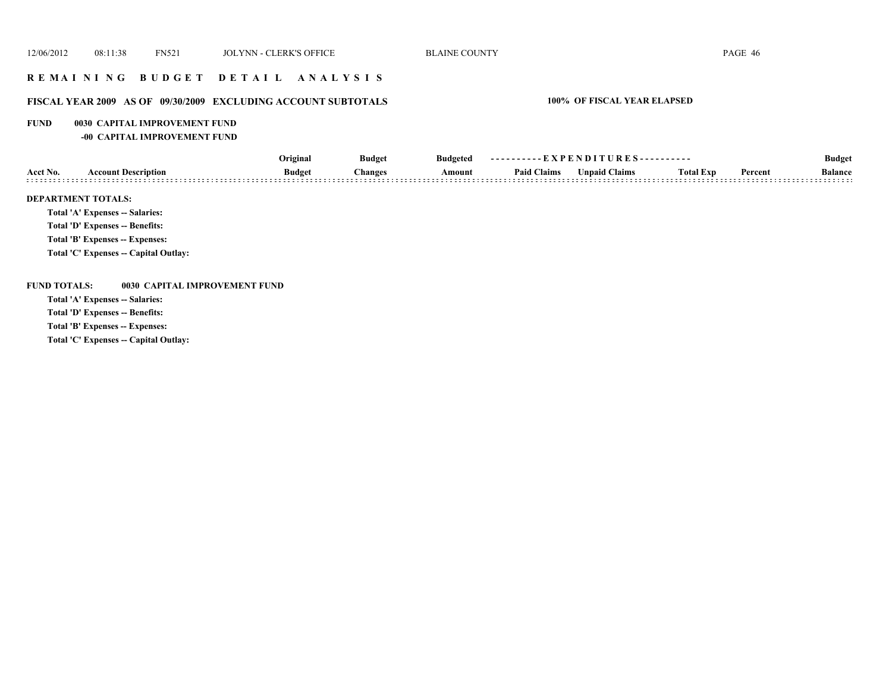### **R E M A I N I N G B U D G E T D E T A I L A N A L Y S I S**

### **FISCAL YEAR 2009 AS OF 09/30/2009 EXCLUDING ACCOUNT SUBTOTALS 100% OF FISCAL YEAR ELAPSED**

#### **FUND 0030 CAPITAL IMPROVEMENT FUND**

**-00 CAPITAL IMPROVEMENT FUND**

|          |                                 | Original      | <b>Budget</b> | <b>Budgeted</b> | ----------EXPENDITURES---------- |               |                  |         | <b>Budget</b>  |
|----------|---------------------------------|---------------|---------------|-----------------|----------------------------------|---------------|------------------|---------|----------------|
| Acct No. | <b>Account Description</b>      | <b>Budget</b> | Changes       | Amount          | <b>Paid Claims</b>               | Unpaid Claims | <b>Total Exp</b> | Percent | <b>Balance</b> |
|          | <b>DEPARTMENT TOTALS:</b>       |               |               |                 |                                  |               |                  |         |                |
|          | Total 'A' Expenses -- Salaries: |               |               |                 |                                  |               |                  |         |                |

**Total 'D' Expenses -- Benefits:**

**Total 'B' Expenses -- Expenses:**

**Total 'C' Expenses -- Capital Outlay:**

**FUND TOTALS: 0030 CAPITAL IMPROVEMENT FUND**

**Total 'A' Expenses -- Salaries:**

**Total 'D' Expenses -- Benefits:**

**Total 'B' Expenses -- Expenses:**

**Total 'C' Expenses -- Capital Outlay:**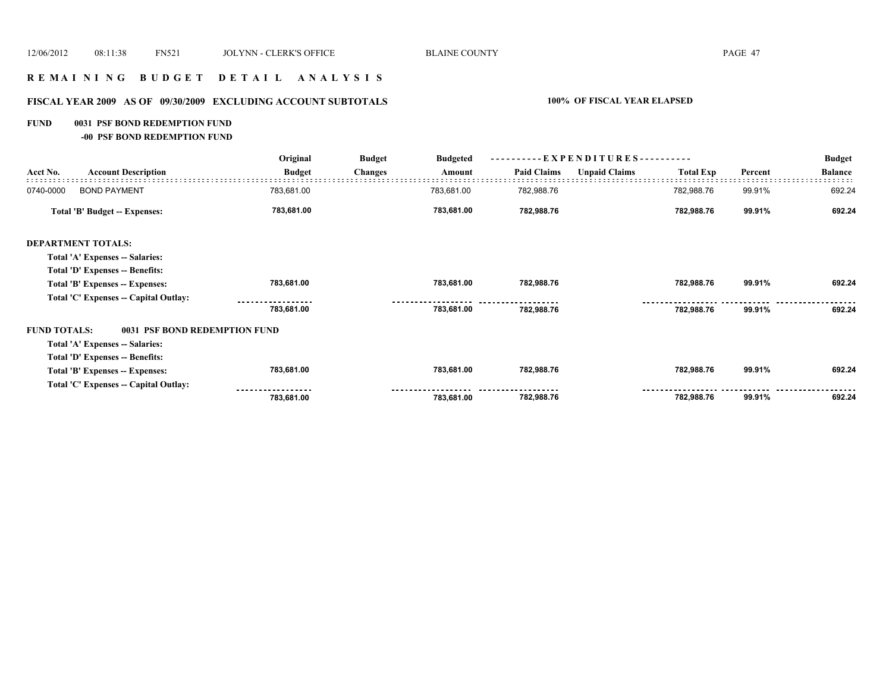# **R E M A I N I N G B U D G E T D E T A I L A N A L Y S I S**

# **FISCAL YEAR 2009 AS OF 09/30/2009 EXCLUDING ACCOUNT SUBTOTALS 100% OF FISCAL YEAR ELAPSED**

#### **FUND 0031 PSF BOND REDEMPTION FUND**

**-00 PSF BOND REDEMPTION FUND**

|                     | <b>Account Description</b>             | Original<br><b>Budget</b> | <b>Budget</b>  | <b>Budgeted</b> | ----------EXPENDITURES---------- |                      |                  |         | <b>Budget</b>  |
|---------------------|----------------------------------------|---------------------------|----------------|-----------------|----------------------------------|----------------------|------------------|---------|----------------|
| Acct No.            |                                        |                           | <b>Changes</b> | Amount          | <b>Paid Claims</b>               | <b>Unpaid Claims</b> | <b>Total Exp</b> | Percent | <b>Balance</b> |
| 0740-0000           | <b>BOND PAYMENT</b>                    | 783,681.00                |                | 783,681.00      | 782,988.76                       |                      | 782,988.76       | 99.91%  | 692.24         |
|                     | <b>Total 'B' Budget -- Expenses:</b>   | 783,681.00                |                | 783,681.00      | 782,988.76                       |                      | 782,988.76       | 99.91%  | 692.24         |
|                     | <b>DEPARTMENT TOTALS:</b>              |                           |                |                 |                                  |                      |                  |         |                |
|                     | Total 'A' Expenses -- Salaries:        |                           |                |                 |                                  |                      |                  |         |                |
|                     | Total 'D' Expenses -- Benefits:        |                           |                |                 |                                  |                      |                  |         |                |
|                     | Total 'B' Expenses -- Expenses:        | 783,681.00                |                | 783,681.00      | 782,988.76                       |                      | 782,988.76       | 99.91%  | 692.24         |
|                     | Total 'C' Expenses -- Capital Outlay:  |                           |                |                 |                                  |                      |                  |         |                |
|                     |                                        | 783,681.00                |                | 783,681.00      | 782,988.76                       |                      | 782,988.76       | 99.91%  | 692.24         |
| <b>FUND TOTALS:</b> | 0031 PSF BOND REDEMPTION FUND          |                           |                |                 |                                  |                      |                  |         |                |
|                     | <b>Total 'A' Expenses -- Salaries:</b> |                           |                |                 |                                  |                      |                  |         |                |
|                     | Total 'D' Expenses -- Benefits:        |                           |                |                 |                                  |                      |                  |         |                |
|                     | Total 'B' Expenses -- Expenses:        | 783,681.00                |                | 783,681.00      | 782,988.76                       |                      | 782,988.76       | 99.91%  | 692.24         |
|                     | Total 'C' Expenses -- Capital Outlay:  |                           |                |                 |                                  |                      |                  |         |                |
|                     |                                        | 783,681.00                |                | 783,681.00      | 782,988.76                       |                      | 782,988.76       | 99.91%  | 692.24         |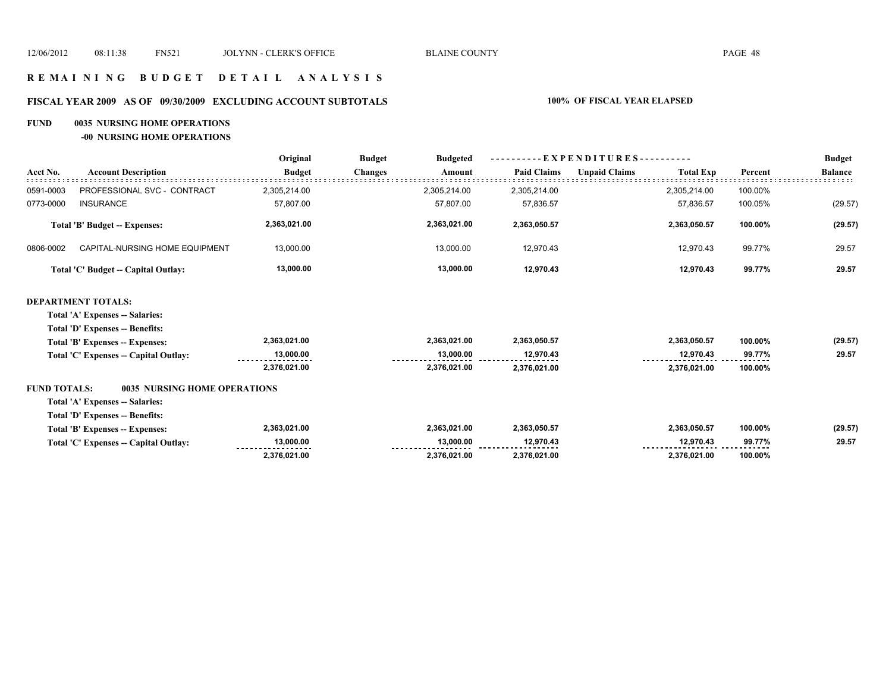# **R E M A I N I N G B U D G E T D E T A I L A N A L Y S I S**

# **FISCAL YEAR 2009 AS OF 09/30/2009 EXCLUDING ACCOUNT SUBTOTALS 100% OF FISCAL YEAR ELAPSED**

#### **FUND 0035 NURSING HOME OPERATIONS**

**-00 NURSING HOME OPERATIONS**

|                     |                                        | Original      | <b>Budget</b><br><b>Budgeted</b> | - E X P E N D I T U R E S - - |                      |                  |         | <b>Budget</b>  |
|---------------------|----------------------------------------|---------------|----------------------------------|-------------------------------|----------------------|------------------|---------|----------------|
| Acct No.            | <b>Account Description</b>             | <b>Budget</b> | <b>Changes</b><br>Amount         | <b>Paid Claims</b>            | <b>Unpaid Claims</b> | <b>Total Exp</b> | Percent | <b>Balance</b> |
| 0591-0003           | PROFESSIONAL SVC - CONTRACT            | 2,305,214.00  | 2,305,214.00                     | 2,305,214.00                  |                      | 2,305,214.00     | 100.00% |                |
| 0773-0000           | <b>INSURANCE</b>                       | 57,807.00     | 57,807.00                        | 57,836.57                     |                      | 57,836.57        | 100.05% | (29.57)        |
|                     | Total 'B' Budget -- Expenses:          | 2,363,021.00  | 2,363,021.00                     | 2,363,050.57                  |                      | 2,363,050.57     | 100.00% | (29.57)        |
| 0806-0002           | CAPITAL-NURSING HOME EQUIPMENT         | 13,000.00     | 13,000.00                        | 12,970.43                     |                      | 12,970.43        | 99.77%  | 29.57          |
|                     | Total 'C' Budget -- Capital Outlay:    | 13,000.00     | 13,000.00                        | 12,970.43                     |                      | 12,970.43        | 99.77%  | 29.57          |
|                     | <b>DEPARTMENT TOTALS:</b>              |               |                                  |                               |                      |                  |         |                |
|                     | Total 'A' Expenses -- Salaries:        |               |                                  |                               |                      |                  |         |                |
|                     | <b>Total 'D' Expenses -- Benefits:</b> |               |                                  |                               |                      |                  |         |                |
|                     | Total 'B' Expenses -- Expenses:        | 2,363,021.00  | 2,363,021.00                     | 2,363,050.57                  |                      | 2,363,050.57     | 100.00% | (29.57)        |
|                     | Total 'C' Expenses -- Capital Outlay:  | 13,000.00     | 13,000.00                        | 12,970.43                     |                      | 12,970.43        | 99.77%  | 29.57          |
|                     |                                        | 2,376,021.00  | 2,376,021.00                     | 2,376,021.00                  |                      | 2,376,021.00     | 100.00% |                |
| <b>FUND TOTALS:</b> | <b>0035 NURSING HOME OPERATIONS</b>    |               |                                  |                               |                      |                  |         |                |
|                     | Total 'A' Expenses -- Salaries:        |               |                                  |                               |                      |                  |         |                |
|                     | Total 'D' Expenses -- Benefits:        |               |                                  |                               |                      |                  |         |                |
|                     | Total 'B' Expenses -- Expenses:        | 2,363,021.00  | 2,363,021.00                     | 2,363,050.57                  |                      | 2,363,050.57     | 100.00% | (29.57)        |
|                     | Total 'C' Expenses -- Capital Outlay:  | 13,000.00     | 13,000.00                        | 12,970.43                     |                      | 12,970.43        | 99.77%  | 29.57          |
|                     |                                        | 2,376,021.00  | 2,376,021.00                     | 2,376,021.00                  |                      | 2,376,021.00     | 100.00% |                |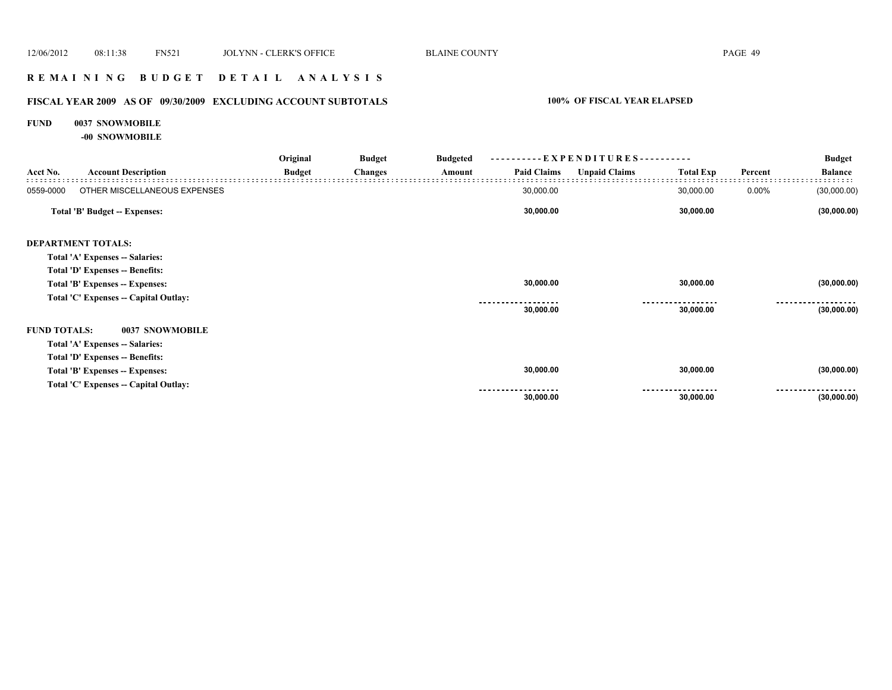### **R E M A I N I N G B U D G E T D E T A I L A N A L Y S I S**

# **FISCAL YEAR 2009 AS OF 09/30/2009 EXCLUDING ACCOUNT SUBTOTALS 100% OF FISCAL YEAR ELAPSED**

#### **FUND 0037 SNOWMOBILE**

**-00 SNOWMOBILE**

|                     |                                       | Original      | <b>Budget</b>  | <b>Budgeted</b> |                    |                      | --EXPENDITURES---------- |         |                |
|---------------------|---------------------------------------|---------------|----------------|-----------------|--------------------|----------------------|--------------------------|---------|----------------|
| Acct No.            | <b>Account Description</b>            | <b>Budget</b> | <b>Changes</b> | Amount          | <b>Paid Claims</b> | <b>Unpaid Claims</b> | <b>Total Exp</b>         | Percent | <b>Balance</b> |
| 0559-0000           | OTHER MISCELLANEOUS EXPENSES          |               |                |                 | 30,000.00          |                      | 30,000.00                | 0.00%   | (30,000.00)    |
|                     | Total 'B' Budget -- Expenses:         |               |                |                 | 30,000.00          |                      | 30,000.00                |         | (30,000.00)    |
|                     | <b>DEPARTMENT TOTALS:</b>             |               |                |                 |                    |                      |                          |         |                |
|                     | Total 'A' Expenses -- Salaries:       |               |                |                 |                    |                      |                          |         |                |
|                     | Total 'D' Expenses -- Benefits:       |               |                |                 |                    |                      |                          |         |                |
|                     | Total 'B' Expenses -- Expenses:       |               |                |                 | 30,000.00          |                      | 30,000.00                |         | (30,000.00)    |
|                     | Total 'C' Expenses -- Capital Outlay: |               |                |                 |                    |                      |                          |         |                |
|                     |                                       |               |                |                 | 30,000.00          |                      | 30,000.00                |         | (30,000.00)    |
| <b>FUND TOTALS:</b> | 0037 SNOWMOBILE                       |               |                |                 |                    |                      |                          |         |                |
|                     | Total 'A' Expenses -- Salaries:       |               |                |                 |                    |                      |                          |         |                |
|                     | Total 'D' Expenses -- Benefits:       |               |                |                 |                    |                      |                          |         |                |
|                     | Total 'B' Expenses -- Expenses:       |               |                |                 | 30,000.00          |                      | 30,000.00                |         | (30,000.00)    |
|                     | Total 'C' Expenses -- Capital Outlay: |               |                |                 |                    |                      |                          |         | .              |
|                     |                                       |               |                |                 | 30,000.00          |                      | 30,000.00                |         | (30,000.00)    |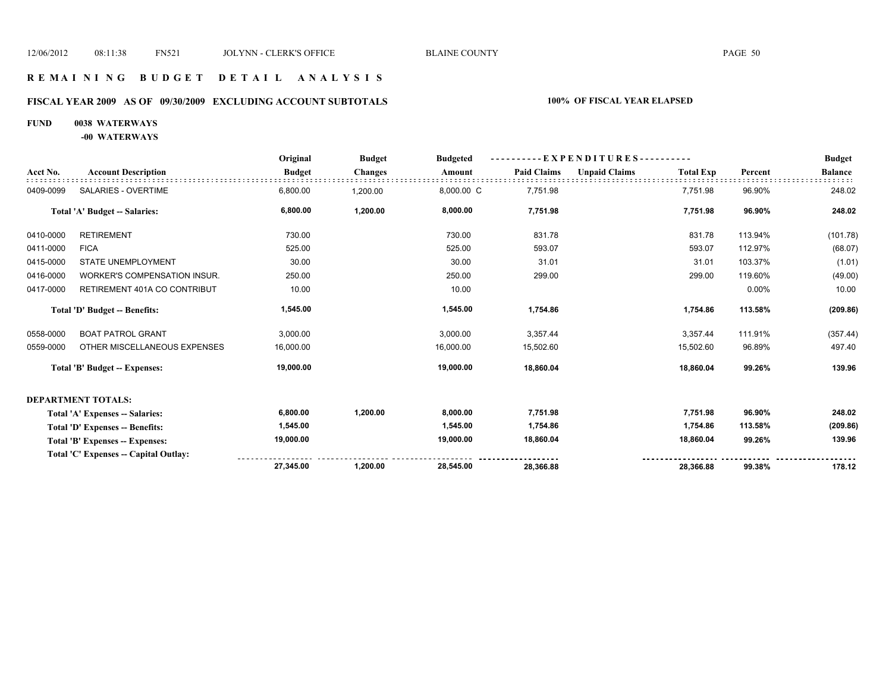#### **R E M A I N I N G B U D G E T D E T A I L A N A L Y S I S**

# **FISCAL YEAR 2009 AS OF 09/30/2009 EXCLUDING ACCOUNT SUBTOTALS 100% OF FISCAL YEAR ELAPSED**

### **FUND 0038 WATERWAYS**

**-00 WATERWAYS**

|           |                                       | Original      | <b>Budget</b>  | <b>Budgeted</b> |                    | - EXPENDITURES----------                 |         | <b>Budget</b>  |
|-----------|---------------------------------------|---------------|----------------|-----------------|--------------------|------------------------------------------|---------|----------------|
| Acct No.  | <b>Account Description</b>            | <b>Budget</b> | <b>Changes</b> | Amount          | <b>Paid Claims</b> | <b>Unpaid Claims</b><br><b>Total Exp</b> | Percent | <b>Balance</b> |
| 0409-0099 | SALARIES - OVERTIME                   | 6,800.00      | 1,200.00       | 8,000.00 C      | 7,751.98           | 7,751.98                                 | 96.90%  | 248.02         |
|           | <b>Total 'A' Budget -- Salaries:</b>  | 6,800.00      | 1,200.00       | 8,000.00        | 7,751.98           | 7,751.98                                 | 96.90%  | 248.02         |
| 0410-0000 | <b>RETIREMENT</b>                     | 730.00        |                | 730.00          | 831.78             | 831.78                                   | 113.94% | (101.78)       |
| 0411-0000 | <b>FICA</b>                           | 525.00        |                | 525.00          | 593.07             | 593.07                                   | 112.97% | (68.07)        |
| 0415-0000 | <b>STATE UNEMPLOYMENT</b>             | 30.00         |                | 30.00           | 31.01              | 31.01                                    | 103.37% | (1.01)         |
| 0416-0000 | <b>WORKER'S COMPENSATION INSUR.</b>   | 250.00        |                | 250.00          | 299.00             | 299.00                                   | 119.60% | (49.00)        |
| 0417-0000 | RETIREMENT 401A CO CONTRIBUT          | 10.00         |                | 10.00           |                    |                                          | 0.00%   | 10.00          |
|           | Total 'D' Budget -- Benefits:         | 1,545.00      |                | 1,545.00        | 1,754.86           | 1,754.86                                 | 113.58% | (209.86)       |
| 0558-0000 | <b>BOAT PATROL GRANT</b>              | 3,000.00      |                | 3,000.00        | 3,357.44           | 3,357.44                                 | 111.91% | (357.44)       |
| 0559-0000 | OTHER MISCELLANEOUS EXPENSES          | 16,000.00     |                | 16,000.00       | 15,502.60          | 15,502.60                                | 96.89%  | 497.40         |
|           | <b>Total 'B' Budget -- Expenses:</b>  | 19,000.00     |                | 19,000.00       | 18,860.04          | 18,860.04                                | 99.26%  | 139.96         |
|           | <b>DEPARTMENT TOTALS:</b>             |               |                |                 |                    |                                          |         |                |
|           | Total 'A' Expenses -- Salaries:       | 6,800.00      | 1,200.00       | 8,000.00        | 7,751.98           | 7,751.98                                 | 96.90%  | 248.02         |
|           | Total 'D' Expenses -- Benefits:       | 1,545.00      |                | 1,545.00        | 1,754.86           | 1,754.86                                 | 113.58% | (209.86)       |
|           | Total 'B' Expenses -- Expenses:       | 19,000.00     |                | 19,000.00       | 18,860.04          | 18,860.04                                | 99.26%  | 139.96         |
|           | Total 'C' Expenses -- Capital Outlay: |               |                |                 |                    |                                          |         |                |
|           |                                       | 27,345.00     | 1,200.00       | 28,545.00       | 28.366.88          | 28.366.88                                | 99.38%  | 178.12         |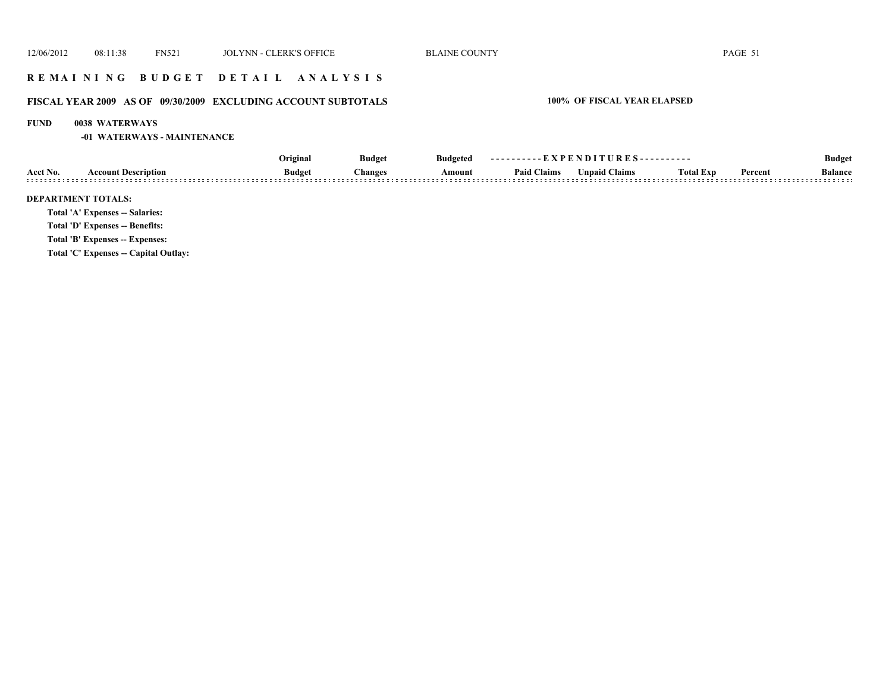### **R E M A I N I N G B U D G E T D E T A I L A N A L Y S I S**

# **FISCAL YEAR 2009 AS OF 09/30/2009 EXCLUDING ACCOUNT SUBTOTALS 100% OF FISCAL YEAR ELAPSED**

#### **FUND 0038 WATERWAYS**

**-01 WATERWAYS - MAINTENANCE**

|          |                                       | Original      | <b>Budget</b>  | <b>Budgeted</b> | ----------EXPENDITURES---------- |                      |                  |         | <b>Budget</b>  |
|----------|---------------------------------------|---------------|----------------|-----------------|----------------------------------|----------------------|------------------|---------|----------------|
| Acct No. | <b>Account Description</b>            | <b>Budget</b> | <b>Changes</b> | Amount          | <b>Paid Claims</b>               | <b>Unpaid Claims</b> | <b>Total Exp</b> | Percent | <b>Balance</b> |
|          | <b>DEPARTMENT TOTALS:</b>             |               |                |                 |                                  |                      |                  |         |                |
|          | Total 'A' Expenses -- Salaries:       |               |                |                 |                                  |                      |                  |         |                |
|          | Total 'D' Expenses -- Benefits:       |               |                |                 |                                  |                      |                  |         |                |
|          | Total 'B' Expenses -- Expenses:       |               |                |                 |                                  |                      |                  |         |                |
|          | Total 'C' Expenses -- Capital Outlay: |               |                |                 |                                  |                      |                  |         |                |
|          |                                       |               |                |                 |                                  |                      |                  |         |                |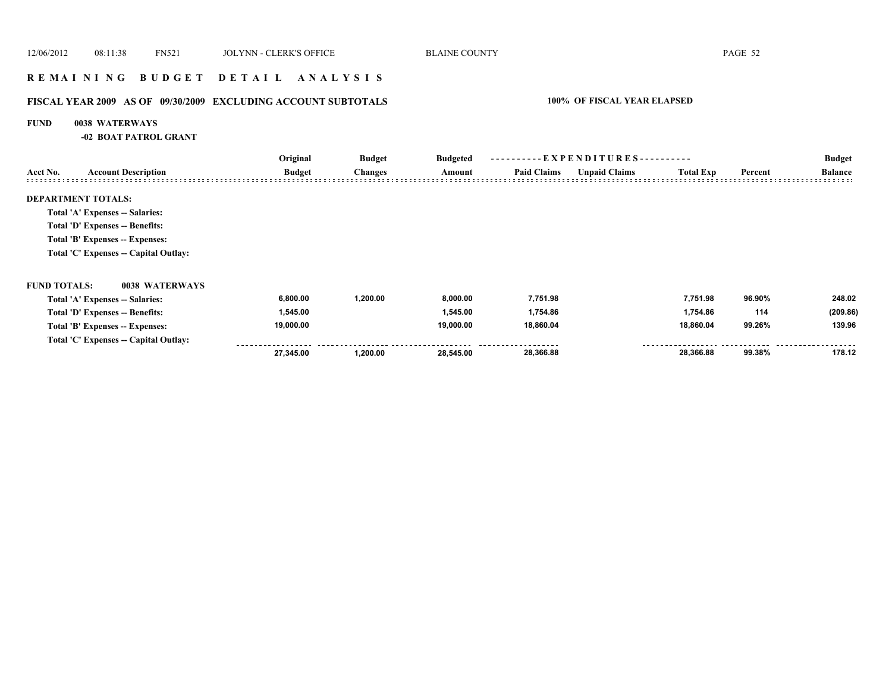### **R E M A I N I N G B U D G E T D E T A I L A N A L Y S I S**

# **FISCAL YEAR 2009 AS OF 09/30/2009 EXCLUDING ACCOUNT SUBTOTALS 100% OF FISCAL YEAR ELAPSED**

#### **FUND 0038 WATERWAYS**

**-02 BOAT PATROL GRANT**

|                     |                                       | Original      | <b>Budget</b>  | <b>Budgeted</b> | ----------EXPENDITURES---------- |                      |                  |         | <b>Budget</b>  |
|---------------------|---------------------------------------|---------------|----------------|-----------------|----------------------------------|----------------------|------------------|---------|----------------|
| Acct No.            | <b>Account Description</b>            | <b>Budget</b> | <b>Changes</b> | Amount          | <b>Paid Claims</b>               | <b>Unpaid Claims</b> | <b>Total Exp</b> | Percent | <b>Balance</b> |
|                     | <b>DEPARTMENT TOTALS:</b>             |               |                |                 |                                  |                      |                  |         |                |
|                     | Total 'A' Expenses -- Salaries:       |               |                |                 |                                  |                      |                  |         |                |
|                     | Total 'D' Expenses -- Benefits:       |               |                |                 |                                  |                      |                  |         |                |
|                     | Total 'B' Expenses -- Expenses:       |               |                |                 |                                  |                      |                  |         |                |
|                     | Total 'C' Expenses -- Capital Outlay: |               |                |                 |                                  |                      |                  |         |                |
| <b>FUND TOTALS:</b> | 0038 WATERWAYS                        |               |                |                 |                                  |                      |                  |         |                |
|                     | Total 'A' Expenses -- Salaries:       | 6,800.00      | 1,200.00       | 8,000.00        | 7,751.98                         |                      | 7,751.98         | 96.90%  | 248.02         |
|                     | Total 'D' Expenses -- Benefits:       | 1,545.00      |                | 1,545.00        | 1,754.86                         |                      | 1,754.86         | 114     | (209.86)       |
|                     | Total 'B' Expenses -- Expenses:       | 19,000.00     |                | 19,000.00       | 18,860.04                        |                      | 18,860.04        | 99.26%  | 139.96         |
|                     | Total 'C' Expenses -- Capital Outlay: |               |                |                 |                                  |                      |                  |         |                |
|                     |                                       | 27,345.00     | 1,200.00       | 28,545.00       | 28,366.88                        |                      | 28,366.88        | 99.38%  | 178.12         |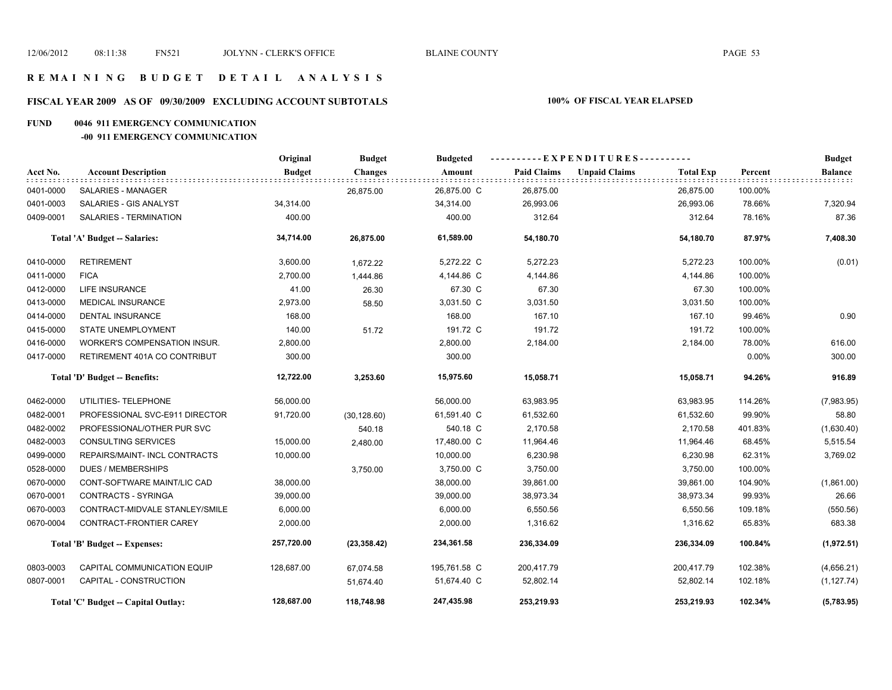# **FISCAL YEAR 2009 AS OF 09/30/2009 EXCLUDING ACCOUNT SUBTOTALS 100% OF FISCAL YEAR ELAPSED**

#### **FUND 0046 911 EMERGENCY COMMUNICATION**

**-00 911 EMERGENCY COMMUNICATION**

|           |                                     | Original      | <b>Budget</b>  | <b>Budgeted</b> |                    | ----------EXPENDITURES---------- |                  |         | <b>Budget</b>  |
|-----------|-------------------------------------|---------------|----------------|-----------------|--------------------|----------------------------------|------------------|---------|----------------|
| Acct No.  | <b>Account Description</b>          | <b>Budget</b> | <b>Changes</b> | Amount          | <b>Paid Claims</b> | <b>Unpaid Claims</b>             | <b>Total Exp</b> | Percent | <b>Balance</b> |
| 0401-0000 | SALARIES - MANAGER                  |               | 26,875.00      | 26,875.00 C     | 26,875.00          |                                  | 26,875.00        | 100.00% |                |
| 0401-0003 | SALARIES - GIS ANALYST              | 34,314.00     |                | 34,314.00       | 26,993.06          |                                  | 26,993.06        | 78.66%  | 7,320.94       |
| 0409-0001 | SALARIES - TERMINATION              | 400.00        |                | 400.00          | 312.64             |                                  | 312.64           | 78.16%  | 87.36          |
|           | Total 'A' Budget -- Salaries:       | 34,714.00     | 26,875.00      | 61,589.00       | 54,180.70          |                                  | 54,180.70        | 87.97%  | 7,408.30       |
| 0410-0000 | <b>RETIREMENT</b>                   | 3,600.00      | 1,672.22       | 5,272.22 C      | 5,272.23           |                                  | 5,272.23         | 100.00% | (0.01)         |
| 0411-0000 | <b>FICA</b>                         | 2,700.00      | 1,444.86       | 4,144.86 C      | 4,144.86           |                                  | 4,144.86         | 100.00% |                |
| 0412-0000 | LIFE INSURANCE                      | 41.00         | 26.30          | 67.30 C         | 67.30              |                                  | 67.30            | 100.00% |                |
| 0413-0000 | <b>MEDICAL INSURANCE</b>            | 2,973.00      | 58.50          | 3,031.50 C      | 3,031.50           |                                  | 3,031.50         | 100.00% |                |
| 0414-0000 | <b>DENTAL INSURANCE</b>             | 168.00        |                | 168.00          | 167.10             |                                  | 167.10           | 99.46%  | 0.90           |
| 0415-0000 | <b>STATE UNEMPLOYMENT</b>           | 140.00        | 51.72          | 191.72 C        | 191.72             |                                  | 191.72           | 100.00% |                |
| 0416-0000 | <b>WORKER'S COMPENSATION INSUR.</b> | 2,800.00      |                | 2,800.00        | 2,184.00           |                                  | 2,184.00         | 78.00%  | 616.00         |
| 0417-0000 | RETIREMENT 401A CO CONTRIBUT        | 300.00        |                | 300.00          |                    |                                  |                  | 0.00%   | 300.00         |
|           | Total 'D' Budget -- Benefits:       | 12,722.00     | 3,253.60       | 15,975.60       | 15,058.71          |                                  | 15,058.71        | 94.26%  | 916.89         |
| 0462-0000 | UTILITIES- TELEPHONE                | 56,000.00     |                | 56,000.00       | 63,983.95          |                                  | 63,983.95        | 114.26% | (7,983.95)     |
| 0482-0001 | PROFESSIONAL SVC-E911 DIRECTOR      | 91,720.00     | (30, 128.60)   | 61,591.40 C     | 61,532.60          |                                  | 61,532.60        | 99.90%  | 58.80          |
| 0482-0002 | PROFESSIONAL/OTHER PUR SVC          |               | 540.18         | 540.18 C        | 2,170.58           |                                  | 2,170.58         | 401.83% | (1,630.40)     |
| 0482-0003 | <b>CONSULTING SERVICES</b>          | 15,000.00     | 2,480.00       | 17,480.00 C     | 11,964.46          |                                  | 11,964.46        | 68.45%  | 5,515.54       |
| 0499-0000 | REPAIRS/MAINT- INCL CONTRACTS       | 10,000.00     |                | 10,000.00       | 6,230.98           |                                  | 6,230.98         | 62.31%  | 3,769.02       |
| 0528-0000 | DUES / MEMBERSHIPS                  |               | 3,750.00       | 3,750.00 C      | 3,750.00           |                                  | 3,750.00         | 100.00% |                |
| 0670-0000 | CONT-SOFTWARE MAINT/LIC CAD         | 38,000.00     |                | 38,000.00       | 39,861.00          |                                  | 39,861.00        | 104.90% | (1,861.00)     |
| 0670-0001 | <b>CONTRACTS - SYRINGA</b>          | 39,000.00     |                | 39,000.00       | 38,973.34          |                                  | 38,973.34        | 99.93%  | 26.66          |
| 0670-0003 | CONTRACT-MIDVALE STANLEY/SMILE      | 6,000.00      |                | 6,000.00        | 6,550.56           |                                  | 6,550.56         | 109.18% | (550.56)       |
| 0670-0004 | CONTRACT-FRONTIER CAREY             | 2,000.00      |                | 2,000.00        | 1,316.62           |                                  | 1,316.62         | 65.83%  | 683.38         |
|           | Total 'B' Budget -- Expenses:       | 257,720.00    | (23, 358.42)   | 234,361.58      | 236,334.09         |                                  | 236,334.09       | 100.84% | (1,972.51)     |
| 0803-0003 | CAPITAL COMMUNICATION EQUIP         | 128,687.00    | 67,074.58      | 195,761.58 C    | 200,417.79         |                                  | 200,417.79       | 102.38% | (4,656.21)     |
| 0807-0001 | CAPITAL - CONSTRUCTION              |               | 51,674.40      | 51,674.40 C     | 52,802.14          |                                  | 52,802.14        | 102.18% | (1, 127.74)    |
|           | Total 'C' Budget -- Capital Outlay: | 128,687.00    | 118,748.98     | 247,435.98      | 253,219.93         |                                  | 253,219.93       | 102.34% | (5,783.95)     |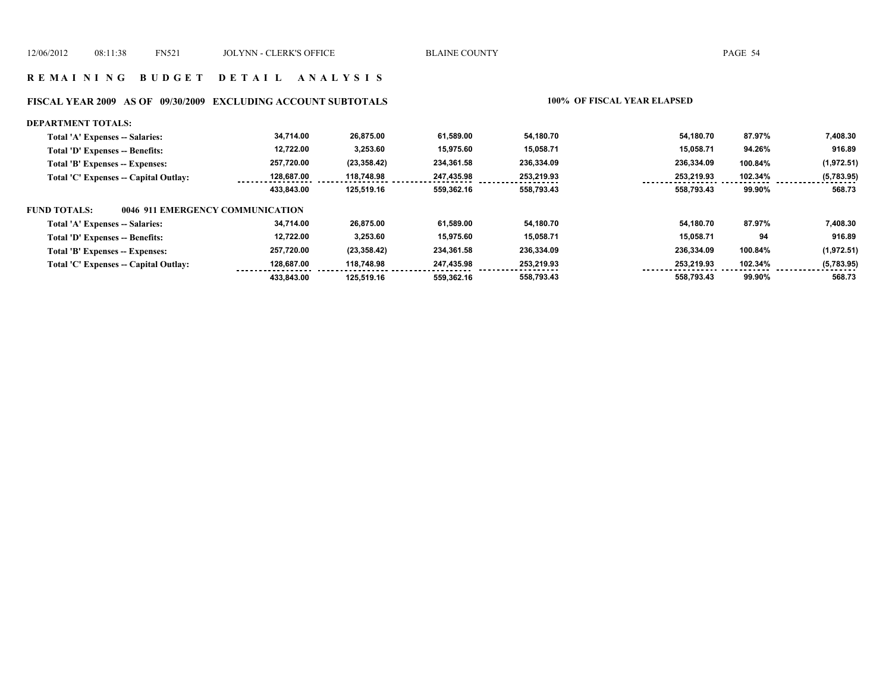# **FISCAL YEAR 2009 AS OF 09/30/2009 EXCLUDING ACCOUNT SUBTOTALS 100% OF FISCAL YEAR ELAPSED**

| <b>DEPARTMENT TOTALS:</b>                               |            |              |            |            |            |         |            |
|---------------------------------------------------------|------------|--------------|------------|------------|------------|---------|------------|
| Total 'A' Expenses -- Salaries:                         | 34,714.00  | 26.875.00    | 61.589.00  | 54.180.70  | 54.180.70  | 87.97%  | 7,408.30   |
| Total 'D' Expenses -- Benefits:                         | 12,722.00  | 3,253.60     | 15,975.60  | 15,058.71  | 15.058.71  | 94.26%  | 916.89     |
| Total 'B' Expenses -- Expenses:                         | 257,720.00 | (23, 358.42) | 234.361.58 | 236,334.09 | 236,334.09 | 100.84% | (1,972.51) |
| Total 'C' Expenses -- Capital Outlay:                   | 128.687.00 | 118,748.98   | 247,435.98 | 253,219.93 | 253,219.93 | 102.34% | (5,783.95) |
|                                                         | 433.843.00 | 125.519.16   | 559.362.16 | 558,793.43 | 558.793.43 | 99.90%  | 568.73     |
| 0046 911 EMERGENCY COMMUNICATION<br><b>FUND TOTALS:</b> |            |              |            |            |            |         |            |
| Total 'A' Expenses -- Salaries:                         | 34,714.00  | 26,875.00    | 61.589.00  | 54.180.70  | 54.180.70  | 87.97%  | 7,408.30   |
| Total 'D' Expenses -- Benefits:                         | 12,722.00  | 3,253.60     | 15.975.60  | 15,058.71  | 15.058.71  | 94      | 916.89     |
| Total 'B' Expenses -- Expenses:                         | 257,720.00 | (23, 358.42) | 234.361.58 | 236,334.09 | 236,334.09 | 100.84% | (1,972.51) |
| Total 'C' Expenses -- Capital Outlay:                   | 128.687.00 | 118,748.98   | 247.435.98 | 253.219.93 | 253.219.93 | 102.34% | (5,783.95) |
|                                                         | 433.843.00 | 125.519.16   | 559.362.16 | 558.793.43 | 558.793.43 | 99.90%  | 568.73     |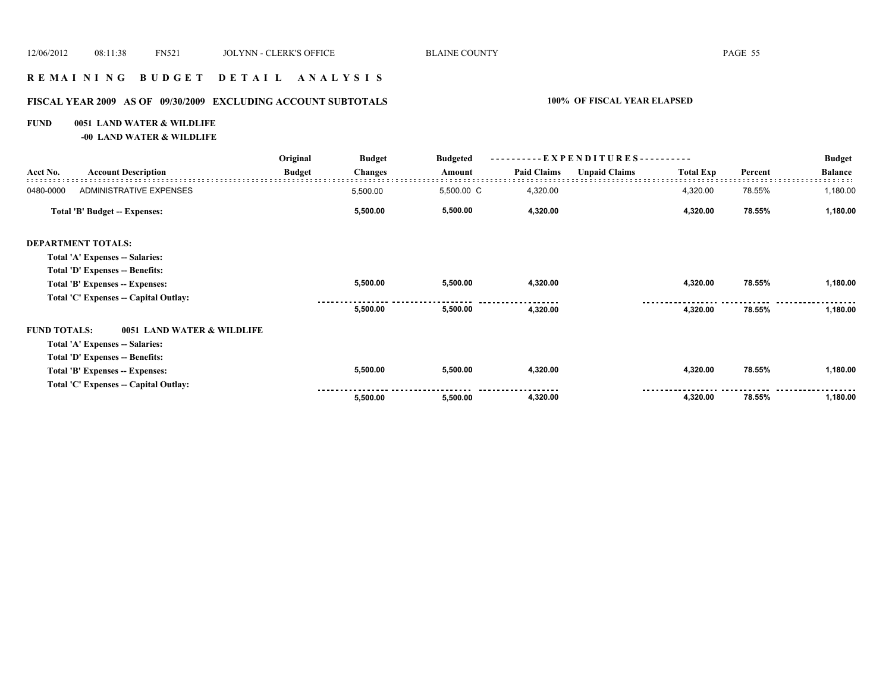#### **R E M A I N I N G B U D G E T D E T A I L A N A L Y S I S**

# **FISCAL YEAR 2009 AS OF 09/30/2009 EXCLUDING ACCOUNT SUBTOTALS 100% OF FISCAL YEAR ELAPSED**

#### **FUND 0051 LAND WATER & WILDLIFE**

**-00 LAND WATER & WILDLIFE**

|                     |                                       | Original      | <b>Budget</b>  | <b>Budgeted</b> | - EXPENDITURES---------- |                      |                  |         | <b>Budget</b>  |
|---------------------|---------------------------------------|---------------|----------------|-----------------|--------------------------|----------------------|------------------|---------|----------------|
| Acct No.            | <b>Account Description</b>            | <b>Budget</b> | <b>Changes</b> | Amount          | <b>Paid Claims</b>       | <b>Unpaid Claims</b> | <b>Total Exp</b> | Percent | <b>Balance</b> |
| 0480-0000           | ADMINISTRATIVE EXPENSES               |               | 5,500.00       | 5,500.00 C      | 4,320.00                 |                      | 4,320.00         | 78.55%  | 1,180.00       |
|                     | Total 'B' Budget -- Expenses:         |               | 5,500.00       | 5,500.00        | 4,320.00                 |                      | 4,320.00         | 78.55%  | 1,180.00       |
|                     | <b>DEPARTMENT TOTALS:</b>             |               |                |                 |                          |                      |                  |         |                |
|                     | Total 'A' Expenses -- Salaries:       |               |                |                 |                          |                      |                  |         |                |
|                     | Total 'D' Expenses -- Benefits:       |               |                |                 |                          |                      |                  |         |                |
|                     | Total 'B' Expenses -- Expenses:       |               | 5,500.00       | 5,500.00        | 4,320.00                 |                      | 4,320.00         | 78.55%  | 1,180.00       |
|                     | Total 'C' Expenses -- Capital Outlay: |               |                |                 |                          |                      |                  |         |                |
|                     |                                       |               | 5,500.00       | 5,500.00        | 4,320.00                 |                      | 4,320.00         | 78.55%  | 1,180.00       |
| <b>FUND TOTALS:</b> | 0051 LAND WATER & WILDLIFE            |               |                |                 |                          |                      |                  |         |                |
|                     | Total 'A' Expenses -- Salaries:       |               |                |                 |                          |                      |                  |         |                |
|                     | Total 'D' Expenses -- Benefits:       |               |                |                 |                          |                      |                  |         |                |
|                     | Total 'B' Expenses -- Expenses:       |               | 5,500.00       | 5,500.00        | 4,320.00                 |                      | 4,320.00         | 78.55%  | 1,180.00       |
|                     | Total 'C' Expenses -- Capital Outlay: |               |                |                 |                          |                      |                  |         |                |
|                     |                                       |               | 5,500.00       | 5,500.00        | 4,320.00                 |                      | 4,320.00         | 78.55%  | 1,180.00       |